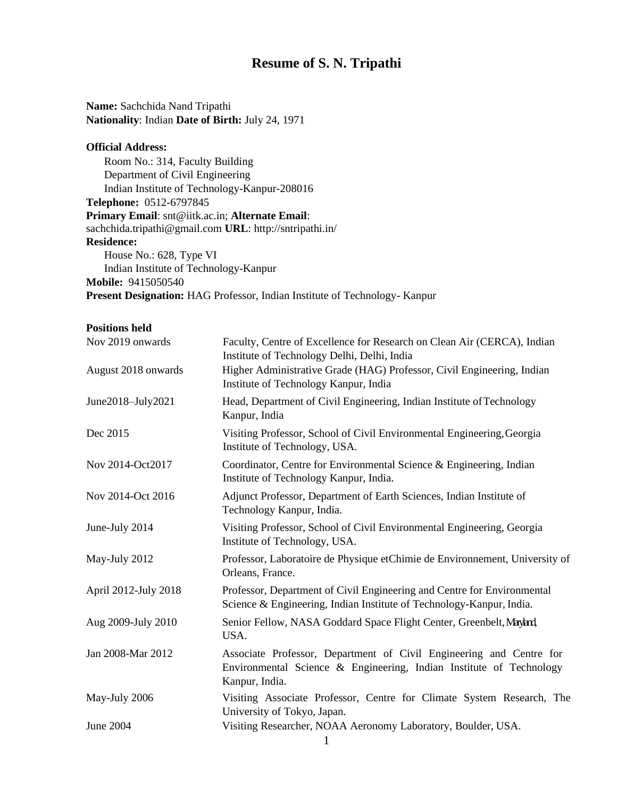# **Resume of S. N. Tripathi**

**Name:** Sachchida Nand Tripathi **Nationality**: Indian **Date of Birth:** July 24, 1971

## **Official Address:**

Room No.: 314, Faculty Building Department of Civil Engineering Indian Institute of Technology-Kanpur-208016 **Telephone:** 0512-6797845 **Primary Email**: snt@iitk.ac.in; **Alternate Email**: [sachchida.tripathi@gmail.com](mailto:sachchida.tripathi@gmail.com) **URL**:<http://sntripathi.in/> **Residence:** House No.: 628, Type VI Indian Institute of Technology-Kanpur **Mobile:** 9415050540

**Present Designation:** HAG Professor, Indian Institute of Technology- Kanpur

| Nov 2019 onwards     | Faculty, Centre of Excellence for Research on Clean Air (CERCA), Indian<br>Institute of Technology Delhi, Delhi, India                                       |  |  |  |
|----------------------|--------------------------------------------------------------------------------------------------------------------------------------------------------------|--|--|--|
| August 2018 onwards  | Higher Administrative Grade (HAG) Professor, Civil Engineering, Indian<br>Institute of Technology Kanpur, India                                              |  |  |  |
| June2018-July2021    | Head, Department of Civil Engineering, Indian Institute of Technology<br>Kanpur, India                                                                       |  |  |  |
| Dec 2015             | Visiting Professor, School of Civil Environmental Engineering, Georgia<br>Institute of Technology, USA.                                                      |  |  |  |
| Nov 2014-Oct2017     | Coordinator, Centre for Environmental Science & Engineering, Indian<br>Institute of Technology Kanpur, India.                                                |  |  |  |
| Nov 2014-Oct 2016    | Adjunct Professor, Department of Earth Sciences, Indian Institute of<br>Technology Kanpur, India.                                                            |  |  |  |
| June-July 2014       | Visiting Professor, School of Civil Environmental Engineering, Georgia<br>Institute of Technology, USA.                                                      |  |  |  |
| May-July 2012        | Professor, Laboratoire de Physique etChimie de Environnement, University of<br>Orleans, France.                                                              |  |  |  |
| April 2012-July 2018 | Professor, Department of Civil Engineering and Centre for Environmental<br>Science & Engineering, Indian Institute of Technology-Kanpur, India.              |  |  |  |
| Aug 2009-July 2010   | Senior Fellow, NASA Goddard Space Flight Center, Greenbelt, Mayland,<br>USA.                                                                                 |  |  |  |
| Jan 2008-Mar 2012    | Associate Professor, Department of Civil Engineering and Centre for<br>Environmental Science & Engineering, Indian Institute of Technology<br>Kanpur, India. |  |  |  |
| May-July 2006        | Visiting Associate Professor, Centre for Climate System Research, The<br>University of Tokyo, Japan.                                                         |  |  |  |
| <b>June 2004</b>     | Visiting Researcher, NOAA Aeronomy Laboratory, Boulder, USA.                                                                                                 |  |  |  |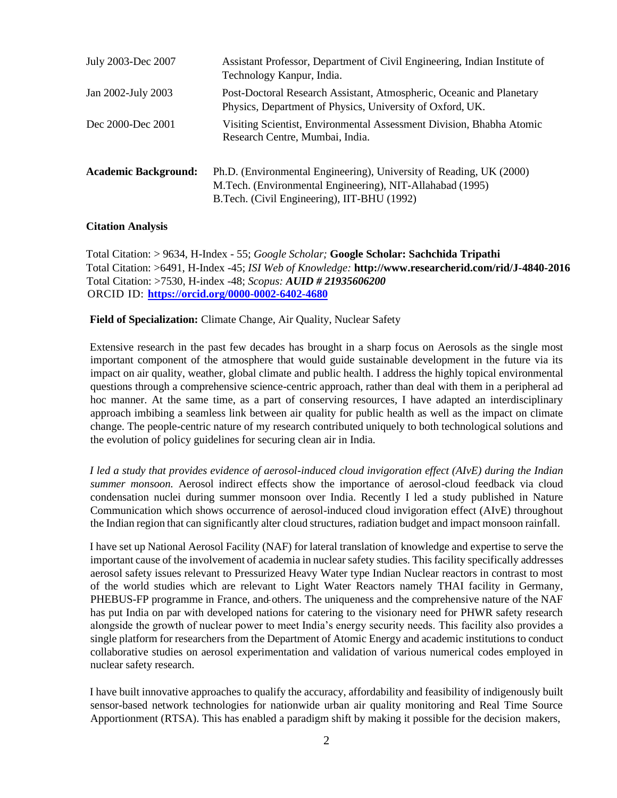| July 2003-Dec 2007          | Assistant Professor, Department of Civil Engineering, Indian Institute of<br>Technology Kanpur, India.                                                                          |
|-----------------------------|---------------------------------------------------------------------------------------------------------------------------------------------------------------------------------|
| Jan 2002-July 2003          | Post-Doctoral Research Assistant, Atmospheric, Oceanic and Planetary<br>Physics, Department of Physics, University of Oxford, UK.                                               |
| Dec 2000-Dec 2001           | Visiting Scientist, Environmental Assessment Division, Bhabha Atomic<br>Research Centre, Mumbai, India.                                                                         |
| <b>Academic Background:</b> | Ph.D. (Environmental Engineering), University of Reading, UK (2000)<br>M.Tech. (Environmental Engineering), NIT-Allahabad (1995)<br>B.Tech. (Civil Engineering), IIT-BHU (1992) |

#### **Citation Analysis**

Total Citation: > 9634, H-Index - 55; *Google Scholar;* **Google Scholar: Sachchida Tripathi** Total Citation: >6491, H-Index -45; *ISI Web of Knowledge:* **<http://www.researcherid.com/rid/J-4840-2016>** Total Citation: >7530, H-index -48; *Scopus: AUID # 21935606200* ORCID ID: **<https://orcid.org/0000-0002-6402-4680>**

#### **Field of Specialization:** Climate Change, Air Quality, Nuclear Safety

Extensive research in the past few decades has brought in a sharp focus on Aerosols as the single most important component of the atmosphere that would guide sustainable development in the future via its impact on air quality, weather, global climate and public health. I address the highly topical environmental questions through a comprehensive science-centric approach, rather than deal with them in a peripheral ad hoc manner. At the same time, as a part of conserving resources, I have adapted an interdisciplinary approach imbibing a seamless link between air quality for public health as well as the impact on climate change. The people-centric nature of my research contributed uniquely to both technological solutions and the evolution of policy guidelines for securing clean air in India.

*I led a study that provides evidence of aerosol-induced cloud invigoration effect (AIvE) during the Indian summer monsoon.* Aerosol indirect effects show the importance of aerosol-cloud feedback via cloud condensation nuclei during summer monsoon over India. Recently I led a study published in Nature Communication which shows occurrence of aerosol-induced cloud invigoration effect (AIvE) throughout the Indian region that can significantly alter cloud structures, radiation budget and impact monsoon rainfall.

I have set up National Aerosol Facility (NAF) for lateral translation of knowledge and expertise to serve the important cause of the involvement of academia in nuclearsafety studies. This facility specifically addresses aerosol safety issues relevant to Pressurized Heavy Water type Indian Nuclear reactors in contrast to most of the world studies which are relevant to Light Water Reactors namely THAI facility in Germany, PHEBUS-FP programme in France, and others. The uniqueness and the comprehensive nature of the NAF has put India on par with developed nations for catering to the visionary need for PHWR safety research alongside the growth of nuclear power to meet India's energy security needs. This facility also provides a single platform for researchers from the Department of Atomic Energy and academic institutions to conduct collaborative studies on aerosol experimentation and validation of various numerical codes employed in nuclear safety research.

I have built innovative approaches to qualify the accuracy, affordability and feasibility of indigenously built sensor-based network technologies for nationwide urban air quality monitoring and Real Time Source Apportionment (RTSA). This has enabled a paradigm shift by making it possible for the decision makers,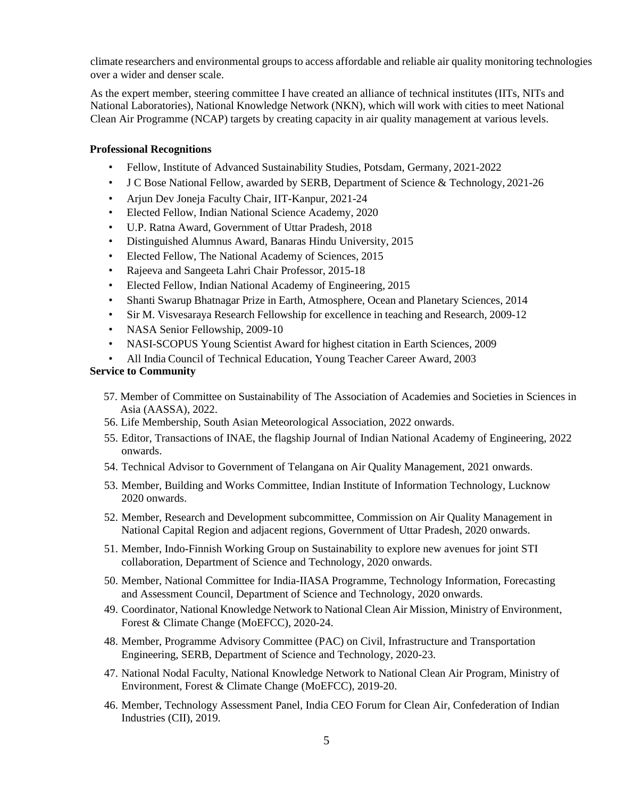climate researchers and environmental groups to access affordable and reliable air quality monitoring technologies over a wider and denser scale.

As the expert member, steering committee I have created an alliance of technical institutes (IITs, NITs and National Laboratories), National Knowledge Network (NKN), which will work with cities to meet National Clean Air Programme (NCAP) targets by creating capacity in air quality management at various levels.

## **Professional Recognitions**

- Fellow, Institute of Advanced Sustainability Studies, Potsdam, Germany, 2021-2022
- J C Bose National Fellow, awarded by SERB, Department of Science & Technology, 2021-26
- Arjun Dev Joneja Faculty Chair, IIT-Kanpur, 2021-24
- Elected Fellow, Indian National Science Academy, 2020
- U.P. Ratna Award, Government of Uttar Pradesh, 2018
- Distinguished Alumnus Award, Banaras Hindu University, 2015
- Elected Fellow, The National Academy of Sciences, 2015
- Rajeeva and Sangeeta Lahri Chair Professor, 2015-18
- Elected Fellow, Indian National Academy of Engineering, 2015
- Shanti Swarup Bhatnagar Prize in Earth, Atmosphere, Ocean and Planetary Sciences, 2014
- Sir M. Visvesaraya Research Fellowship for excellence in teaching and Research, 2009-12
- NASA Senior Fellowship, 2009-10
- NASI-SCOPUS Young Scientist Award for highest citation in Earth Sciences, 2009
- All India Council of Technical Education, Young Teacher Career Award, 2003

# **Service to Community**

- 57. Member of Committee on Sustainability of The Association of Academies and Societies in Sciences in Asia (AASSA), 2022.
- 56. Life Membership, South Asian Meteorological Association, 2022 onwards.
- 55. Editor, Transactions of INAE, the flagship Journal of Indian National Academy of Engineering, 2022 onwards.
- 54. Technical Advisor to Government of Telangana on Air Quality Management, 2021 onwards.
- 53. Member, Building and Works Committee, Indian Institute of Information Technology, Lucknow 2020 onwards.
- 52. Member, Research and Development subcommittee, Commission on Air Quality Management in National Capital Region and adjacent regions, Government of Uttar Pradesh, 2020 onwards.
- 51. Member, Indo-Finnish Working Group on Sustainability to explore new avenues for joint STI collaboration, Department of Science and Technology, 2020 onwards.
- 50. Member, National Committee for India-IIASA Programme, Technology Information, Forecasting and Assessment Council, Department of Science and Technology, 2020 onwards.
- 49. Coordinator, National Knowledge Network to National Clean Air Mission, Ministry of Environment, Forest & Climate Change (MoEFCC), 2020-24.
- 48. Member, Programme Advisory Committee (PAC) on Civil, Infrastructure and Transportation Engineering, SERB, Department of Science and Technology, 2020-23.
- 47. National Nodal Faculty, National Knowledge Network to National Clean Air Program, Ministry of Environment, Forest & Climate Change (MoEFCC), 2019-20.
- 46. Member, Technology Assessment Panel, India CEO Forum for Clean Air, Confederation of Indian Industries (CII), 2019.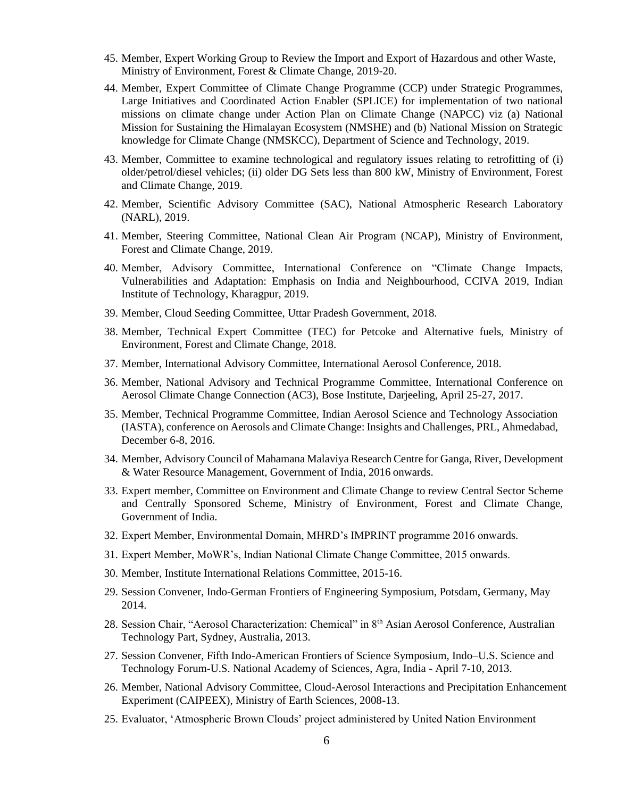- 45. Member, Expert Working Group to Review the Import and Export of Hazardous and other Waste, Ministry of Environment, Forest & Climate Change, 2019-20.
- 44. Member, Expert Committee of Climate Change Programme (CCP) under Strategic Programmes, Large Initiatives and Coordinated Action Enabler (SPLICE) for implementation of two national missions on climate change under Action Plan on Climate Change (NAPCC) viz (a) National Mission for Sustaining the Himalayan Ecosystem (NMSHE) and (b) National Mission on Strategic knowledge for Climate Change (NMSKCC), Department of Science and Technology, 2019.
- 43. Member, Committee to examine technological and regulatory issues relating to retrofitting of (i) older/petrol/diesel vehicles; (ii) older DG Sets less than 800 kW, Ministry of Environment, Forest and Climate Change, 2019.
- 42. Member, Scientific Advisory Committee (SAC), National Atmospheric Research Laboratory (NARL), 2019.
- 41. Member, Steering Committee, National Clean Air Program (NCAP), Ministry of Environment, Forest and Climate Change, 2019.
- 40. Member, Advisory Committee, International Conference on "Climate Change Impacts, Vulnerabilities and Adaptation: Emphasis on India and Neighbourhood, CCIVA 2019, Indian Institute of Technology, Kharagpur, 2019.
- 39. Member, Cloud Seeding Committee, Uttar Pradesh Government, 2018.
- 38. Member, Technical Expert Committee (TEC) for Petcoke and Alternative fuels, Ministry of Environment, Forest and Climate Change, 2018.
- 37. Member, International Advisory Committee, International Aerosol Conference, 2018.
- 36. Member, National Advisory and Technical Programme Committee, International Conference on Aerosol Climate Change Connection (AC3), Bose Institute, Darjeeling, April 25-27, 2017.
- 35. Member, Technical Programme Committee, Indian Aerosol Science and Technology Association (IASTA), conference on Aerosols and Climate Change: Insights and Challenges, PRL, Ahmedabad, December 6-8, 2016.
- 34. Member, Advisory Council of Mahamana Malaviya Research Centre for Ganga, River, Development & Water Resource Management, Government of India, 2016 onwards.
- 33. Expert member, Committee on Environment and Climate Change to review Central Sector Scheme and Centrally Sponsored Scheme, Ministry of Environment, Forest and Climate Change, Government of India.
- 32. Expert Member, Environmental Domain, MHRD's IMPRINT programme 2016 onwards.
- 31. Expert Member, MoWR's, Indian National Climate Change Committee, 2015 onwards.
- 30. Member, Institute International Relations Committee, 2015-16.
- 29. Session Convener, Indo-German Frontiers of Engineering Symposium, Potsdam, Germany, May 2014.
- 28. Session Chair, "Aerosol Characterization: Chemical" in 8th Asian Aerosol Conference, Australian Technology Part, Sydney, Australia, 2013.
- 27. Session Convener, Fifth Indo-American Frontiers of Science Symposium, Indo–U.S. Science and Technology Forum-U.S. National Academy of Sciences, Agra, India - April 7-10, 2013.
- 26. Member, National Advisory Committee, Cloud-Aerosol Interactions and Precipitation Enhancement Experiment (CAIPEEX), Ministry of Earth Sciences, 2008-13.
- 25. Evaluator, 'Atmospheric Brown Clouds' project administered by United Nation Environment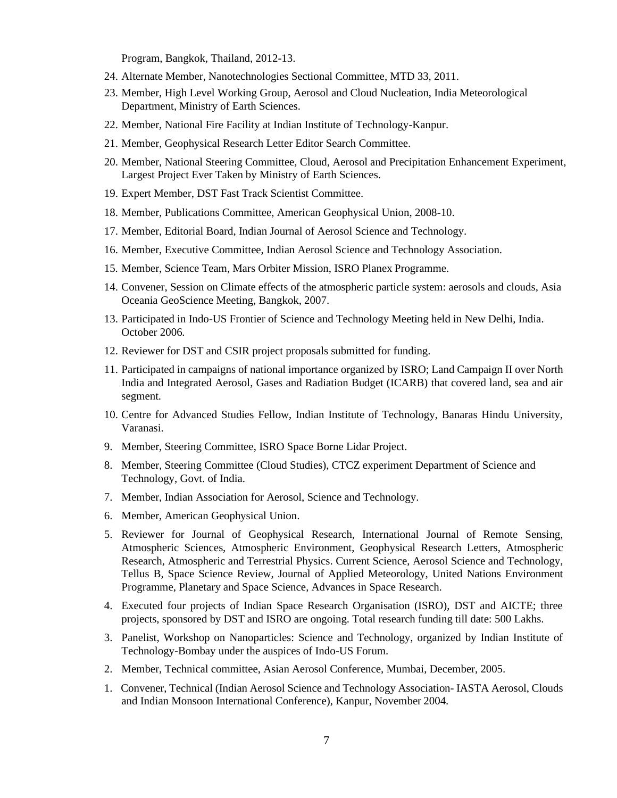Program, Bangkok, Thailand, 2012-13.

- 24. Alternate Member, Nanotechnologies Sectional Committee, MTD 33, 2011.
- 23. Member, High Level Working Group, Aerosol and Cloud Nucleation, India Meteorological Department, Ministry of Earth Sciences.
- 22. Member, National Fire Facility at Indian Institute of Technology-Kanpur.
- 21. Member, Geophysical Research Letter Editor Search Committee.
- 20. Member, National Steering Committee, Cloud, Aerosol and Precipitation Enhancement Experiment, Largest Project Ever Taken by Ministry of Earth Sciences.
- 19. Expert Member, DST Fast Track Scientist Committee.
- 18. Member, Publications Committee, American Geophysical Union, 2008-10.
- 17. Member, Editorial Board, Indian Journal of Aerosol Science and Technology.
- 16. Member, Executive Committee, Indian Aerosol Science and Technology Association.
- 15. Member, Science Team, Mars Orbiter Mission, ISRO Planex Programme.
- 14. Convener, Session on Climate effects of the atmospheric particle system: aerosols and clouds, Asia Oceania GeoScience Meeting, Bangkok, 2007.
- 13. Participated in Indo-US Frontier of Science and Technology Meeting held in New Delhi, India. October 2006.
- 12. Reviewer for DST and CSIR project proposals submitted for funding.
- 11. Participated in campaigns of national importance organized by ISRO; Land Campaign II over North India and Integrated Aerosol, Gases and Radiation Budget (ICARB) that covered land, sea and air segment.
- 10. Centre for Advanced Studies Fellow, Indian Institute of Technology, Banaras Hindu University, Varanasi.
- 9. Member, Steering Committee, ISRO Space Borne Lidar Project.
- 8. Member, Steering Committee (Cloud Studies), CTCZ experiment Department of Science and Technology, Govt. of India.
- 7. Member, Indian Association for Aerosol, Science and Technology.
- 6. Member, American Geophysical Union.
- 5. Reviewer for Journal of Geophysical Research, International Journal of Remote Sensing, Atmospheric Sciences, Atmospheric Environment, Geophysical Research Letters, Atmospheric Research, Atmospheric and Terrestrial Physics. Current Science, Aerosol Science and Technology, Tellus B, Space Science Review, Journal of Applied Meteorology, United Nations Environment Programme, Planetary and Space Science, Advances in Space Research.
- 4. Executed four projects of Indian Space Research Organisation (ISRO), DST and AICTE; three projects, sponsored by DST and ISRO are ongoing. Total research funding till date: 500 Lakhs.
- 3. Panelist, Workshop on Nanoparticles: Science and Technology, organized by Indian Institute of Technology-Bombay under the auspices of Indo-US Forum.
- 2. Member, Technical committee, Asian Aerosol Conference, Mumbai, December, 2005.
- 1. Convener, Technical (Indian Aerosol Science and Technology Association- IASTA Aerosol, Clouds and Indian Monsoon International Conference), Kanpur, November 2004.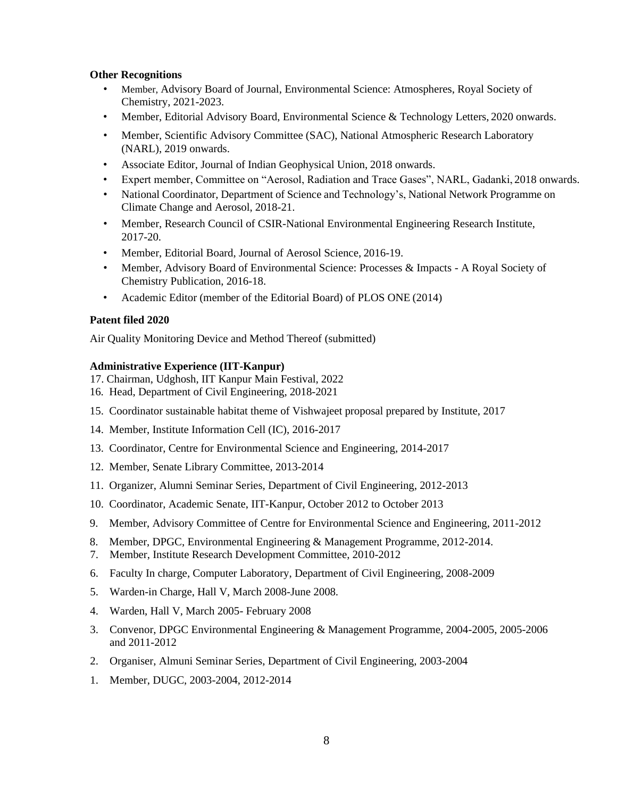## **Other Recognitions**

- Member, Advisory Board of Journal, Environmental Science: Atmospheres, Royal Society of Chemistry, 2021-2023.
- Member, Editorial Advisory Board, Environmental Science & Technology Letters, 2020 onwards.
- Member, Scientific Advisory Committee (SAC), National Atmospheric Research Laboratory (NARL), 2019 onwards.
- Associate Editor, Journal of Indian Geophysical Union, 2018 onwards.
- Expert member, Committee on "Aerosol, Radiation and Trace Gases", NARL, Gadanki, 2018 onwards.
- National Coordinator, Department of Science and Technology's, National Network Programme on Climate Change and Aerosol, 2018-21.
- Member, Research Council of CSIR-National Environmental Engineering Research Institute, 2017-20.
- Member, Editorial Board, Journal of Aerosol Science, 2016-19.
- Member, Advisory Board of Environmental Science: Processes & Impacts A Royal Society of Chemistry Publication, 2016-18.
- Academic Editor (member of the Editorial Board) of PLOS ONE (2014)

#### **Patent filed 2020**

Air Quality Monitoring Device and Method Thereof (submitted)

#### **Administrative Experience (IIT-Kanpur)**

- 17. Chairman, Udghosh, IIT Kanpur Main Festival, 2022
- 16. Head, Department of Civil Engineering, 2018-2021
- 15. Coordinator sustainable habitat theme of Vishwajeet proposal prepared by Institute, 2017
- 14. Member, Institute Information Cell (IC), 2016-2017
- 13. Coordinator, Centre for Environmental Science and Engineering, 2014-2017
- 12. Member, Senate Library Committee, 2013-2014
- 11. Organizer, Alumni Seminar Series, Department of Civil Engineering, 2012-2013
- 10. Coordinator, Academic Senate, IIT-Kanpur, October 2012 to October 2013
- 9. Member, Advisory Committee of Centre for Environmental Science and Engineering, 2011-2012
- 8. Member, DPGC, Environmental Engineering & Management Programme, 2012-2014.
- 7. Member, Institute Research Development Committee, 2010-2012
- 6. Faculty In charge, Computer Laboratory, Department of Civil Engineering, 2008-2009
- 5. Warden-in Charge, Hall V, March 2008-June 2008.
- 4. Warden, Hall V, March 2005- February 2008
- 3. Convenor, DPGC Environmental Engineering & Management Programme, 2004-2005, 2005-2006 and 2011-2012
- 2. Organiser, Almuni Seminar Series, Department of Civil Engineering, 2003-2004
- 1. Member, DUGC, 2003-2004, 2012-2014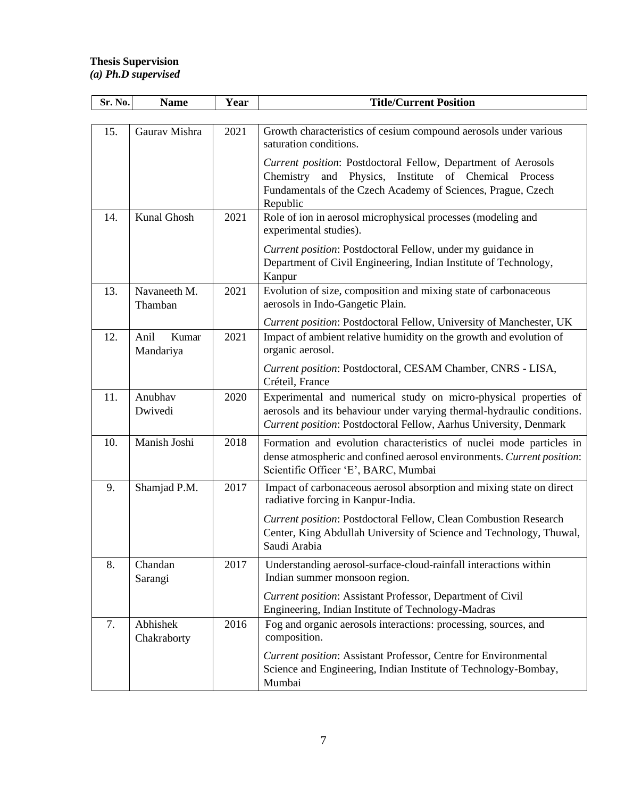## **Thesis Supervision** *(a) Ph.D supervised*

| Sr. No. | <b>Name</b>                | Year | <b>Title/Current Position</b>                                                                                                                                                                                   |
|---------|----------------------------|------|-----------------------------------------------------------------------------------------------------------------------------------------------------------------------------------------------------------------|
|         |                            |      |                                                                                                                                                                                                                 |
| 15.     | Gaurav Mishra              | 2021 | Growth characteristics of cesium compound aerosols under various<br>saturation conditions.                                                                                                                      |
|         |                            |      | Current position: Postdoctoral Fellow, Department of Aerosols<br>and Physics, Institute of Chemical Process<br>Chemistry<br>Fundamentals of the Czech Academy of Sciences, Prague, Czech<br>Republic            |
| 14.     | Kunal Ghosh                | 2021 | Role of ion in aerosol microphysical processes (modeling and<br>experimental studies).                                                                                                                          |
|         |                            |      | Current position: Postdoctoral Fellow, under my guidance in<br>Department of Civil Engineering, Indian Institute of Technology,<br>Kanpur                                                                       |
| 13.     | Navaneeth M.<br>Thamban    | 2021 | Evolution of size, composition and mixing state of carbonaceous<br>aerosols in Indo-Gangetic Plain.                                                                                                             |
| 12.     | Anil<br>Kumar<br>Mandariya | 2021 | Current position: Postdoctoral Fellow, University of Manchester, UK<br>Impact of ambient relative humidity on the growth and evolution of<br>organic aerosol.                                                   |
|         |                            |      | Current position: Postdoctoral, CESAM Chamber, CNRS - LISA,<br>Créteil, France                                                                                                                                  |
| 11.     | Anubhav<br>Dwivedi         | 2020 | Experimental and numerical study on micro-physical properties of<br>aerosols and its behaviour under varying thermal-hydraulic conditions.<br>Current position: Postdoctoral Fellow, Aarhus University, Denmark |
| 10.     | Manish Joshi               | 2018 | Formation and evolution characteristics of nuclei mode particles in<br>dense atmospheric and confined aerosol environments. Current position:<br>Scientific Officer 'E', BARC, Mumbai                           |
| 9.      | Shamjad P.M.               | 2017 | Impact of carbonaceous aerosol absorption and mixing state on direct<br>radiative forcing in Kanpur-India.                                                                                                      |
|         |                            |      | Current position: Postdoctoral Fellow, Clean Combustion Research<br>Center, King Abdullah University of Science and Technology, Thuwal,<br>Saudi Arabia                                                         |
| 8.      | Chandan<br>Sarangi         | 2017 | Understanding aerosol-surface-cloud-rainfall interactions within<br>Indian summer monsoon region.                                                                                                               |
|         |                            |      | Current position: Assistant Professor, Department of Civil<br>Engineering, Indian Institute of Technology-Madras                                                                                                |
| 7.      | Abhishek<br>Chakraborty    | 2016 | Fog and organic aerosols interactions: processing, sources, and<br>composition.                                                                                                                                 |
|         |                            |      | <b>Current position: Assistant Professor, Centre for Environmental</b><br>Science and Engineering, Indian Institute of Technology-Bombay,<br>Mumbai                                                             |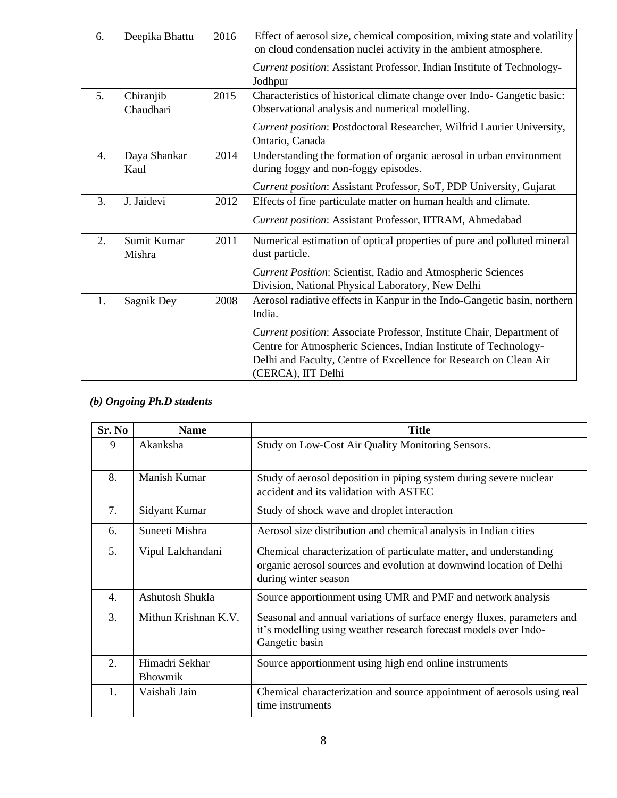| 6.               | Deepika Bhattu         | 2016 | Effect of aerosol size, chemical composition, mixing state and volatility<br>on cloud condensation nuclei activity in the ambient atmosphere.                                                                                        |
|------------------|------------------------|------|--------------------------------------------------------------------------------------------------------------------------------------------------------------------------------------------------------------------------------------|
|                  |                        |      | Current position: Assistant Professor, Indian Institute of Technology-<br>Jodhpur                                                                                                                                                    |
| 5 <sub>1</sub>   | Chiranjib<br>Chaudhari | 2015 | Characteristics of historical climate change over Indo-Gangetic basic:<br>Observational analysis and numerical modelling.                                                                                                            |
|                  |                        |      | Current position: Postdoctoral Researcher, Wilfrid Laurier University,<br>Ontario, Canada                                                                                                                                            |
| $\overline{4}$ . | Daya Shankar<br>Kaul   | 2014 | Understanding the formation of organic aerosol in urban environment<br>during foggy and non-foggy episodes.                                                                                                                          |
|                  |                        |      | Current position: Assistant Professor, SoT, PDP University, Gujarat                                                                                                                                                                  |
| 3.               | J. Jaidevi             | 2012 | Effects of fine particulate matter on human health and climate.                                                                                                                                                                      |
|                  |                        |      | Current position: Assistant Professor, IITRAM, Ahmedabad                                                                                                                                                                             |
| 2.               | Sumit Kumar<br>Mishra  | 2011 | Numerical estimation of optical properties of pure and polluted mineral<br>dust particle.                                                                                                                                            |
|                  |                        |      | Current Position: Scientist, Radio and Atmospheric Sciences<br>Division, National Physical Laboratory, New Delhi                                                                                                                     |
| 1.               | Sagnik Dey             | 2008 | Aerosol radiative effects in Kanpur in the Indo-Gangetic basin, northern<br>India.                                                                                                                                                   |
|                  |                        |      | Current position: Associate Professor, Institute Chair, Department of<br>Centre for Atmospheric Sciences, Indian Institute of Technology-<br>Delhi and Faculty, Centre of Excellence for Research on Clean Air<br>(CERCA), IIT Delhi |

# *(b) Ongoing Ph.D students*

| Sr. No | <b>Name</b>                      | <b>Title</b>                                                                                                                                                      |
|--------|----------------------------------|-------------------------------------------------------------------------------------------------------------------------------------------------------------------|
| 9      | Akanksha                         | Study on Low-Cost Air Quality Monitoring Sensors.                                                                                                                 |
| 8.     | Manish Kumar                     | Study of aerosol deposition in piping system during severe nuclear<br>accident and its validation with ASTEC                                                      |
| 7.     | Sidyant Kumar                    | Study of shock wave and droplet interaction                                                                                                                       |
| 6.     | Suneeti Mishra                   | Aerosol size distribution and chemical analysis in Indian cities                                                                                                  |
| 5.     | Vipul Lalchandani                | Chemical characterization of particulate matter, and understanding<br>organic aerosol sources and evolution at downwind location of Delhi<br>during winter season |
| 4.     | Ashutosh Shukla                  | Source apportionment using UMR and PMF and network analysis                                                                                                       |
| 3.     | Mithun Krishnan K.V.             | Seasonal and annual variations of surface energy fluxes, parameters and<br>it's modelling using weather research forecast models over Indo-<br>Gangetic basin     |
| 2.     | Himadri Sekhar<br><b>Bhowmik</b> | Source apportionment using high end online instruments                                                                                                            |
| 1.     | Vaishali Jain                    | Chemical characterization and source appointment of aerosols using real<br>time instruments                                                                       |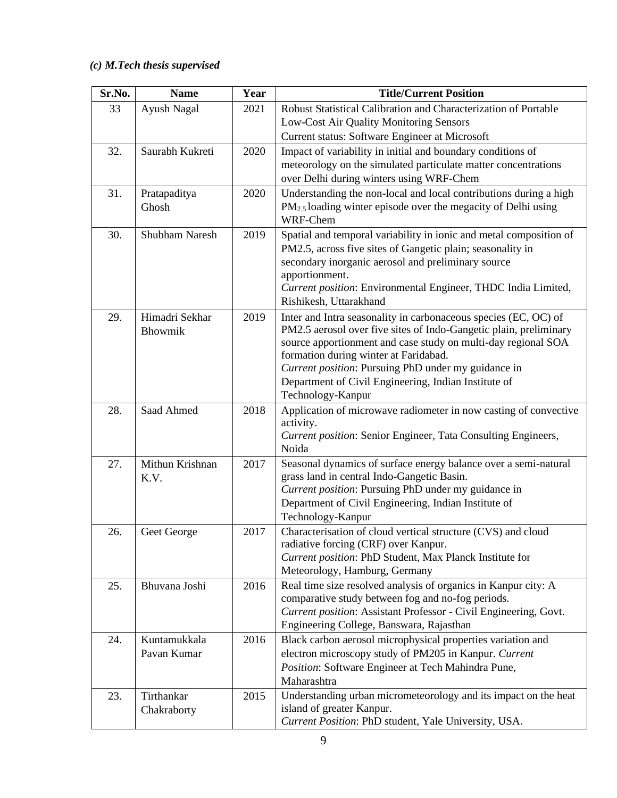# *(c) M.Tech thesis supervised*

| Sr.No. | <b>Name</b>           | Year | <b>Title/Current Position</b>                                                                                                        |
|--------|-----------------------|------|--------------------------------------------------------------------------------------------------------------------------------------|
| 33     | Ayush Nagal           | 2021 | Robust Statistical Calibration and Characterization of Portable                                                                      |
|        |                       |      | Low-Cost Air Quality Monitoring Sensors                                                                                              |
|        |                       |      | Current status: Software Engineer at Microsoft                                                                                       |
| 32.    | Saurabh Kukreti       | 2020 | Impact of variability in initial and boundary conditions of                                                                          |
|        |                       |      | meteorology on the simulated particulate matter concentrations                                                                       |
|        |                       |      | over Delhi during winters using WRF-Chem                                                                                             |
| 31.    | Pratapaditya          | 2020 | Understanding the non-local and local contributions during a high                                                                    |
|        | Ghosh                 |      | $PM_{2.5}$ loading winter episode over the megacity of Delhi using                                                                   |
|        |                       |      | WRF-Chem                                                                                                                             |
| 30.    | <b>Shubham Naresh</b> | 2019 | Spatial and temporal variability in ionic and metal composition of                                                                   |
|        |                       |      | PM2.5, across five sites of Gangetic plain; seasonality in                                                                           |
|        |                       |      | secondary inorganic aerosol and preliminary source                                                                                   |
|        |                       |      | apportionment.                                                                                                                       |
|        |                       |      | Current position: Environmental Engineer, THDC India Limited,<br>Rishikesh, Uttarakhand                                              |
|        | Himadri Sekhar        |      |                                                                                                                                      |
| 29.    | Bhowmik               | 2019 | Inter and Intra seasonality in carbonaceous species (EC, OC) of<br>PM2.5 aerosol over five sites of Indo-Gangetic plain, preliminary |
|        |                       |      | source apportionment and case study on multi-day regional SOA                                                                        |
|        |                       |      | formation during winter at Faridabad.                                                                                                |
|        |                       |      | Current position: Pursuing PhD under my guidance in                                                                                  |
|        |                       |      | Department of Civil Engineering, Indian Institute of                                                                                 |
|        |                       |      | Technology-Kanpur                                                                                                                    |
| 28.    | Saad Ahmed            | 2018 | Application of microwave radiometer in now casting of convective                                                                     |
|        |                       |      | activity.                                                                                                                            |
|        |                       |      | Current position: Senior Engineer, Tata Consulting Engineers,                                                                        |
|        |                       |      | Noida                                                                                                                                |
| 27.    | Mithun Krishnan       | 2017 | Seasonal dynamics of surface energy balance over a semi-natural<br>grass land in central Indo-Gangetic Basin.                        |
|        | K.V.                  |      | Current position: Pursuing PhD under my guidance in                                                                                  |
|        |                       |      | Department of Civil Engineering, Indian Institute of                                                                                 |
|        |                       |      | Technology-Kanpur                                                                                                                    |
| 26.    | Geet George           | 2017 | Characterisation of cloud vertical structure (CVS) and cloud                                                                         |
|        |                       |      | radiative forcing (CRF) over Kanpur.                                                                                                 |
|        |                       |      | Current position: PhD Student, Max Planck Institute for                                                                              |
|        |                       |      | Meteorology, Hamburg, Germany                                                                                                        |
| 25.    | Bhuvana Joshi         | 2016 | Real time size resolved analysis of organics in Kanpur city: A                                                                       |
|        |                       |      | comparative study between fog and no-fog periods.                                                                                    |
|        |                       |      | Current position: Assistant Professor - Civil Engineering, Govt.                                                                     |
|        |                       |      | Engineering College, Banswara, Rajasthan                                                                                             |
| 24.    | Kuntamukkala          | 2016 | Black carbon aerosol microphysical properties variation and                                                                          |
|        | Pavan Kumar           |      | electron microscopy study of PM205 in Kanpur. Current                                                                                |
|        |                       |      | Position: Software Engineer at Tech Mahindra Pune,                                                                                   |
|        |                       |      | Maharashtra                                                                                                                          |
| 23.    | Tirthankar            | 2015 | Understanding urban micrometeorology and its impact on the heat<br>island of greater Kanpur.                                         |
|        | Chakraborty           |      | Current Position: PhD student, Yale University, USA.                                                                                 |
|        |                       |      |                                                                                                                                      |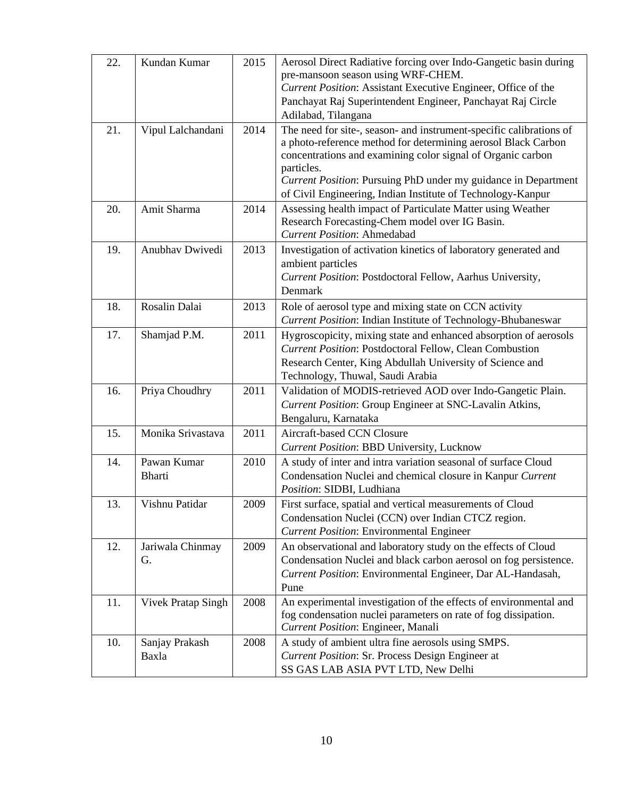| 22. | Kundan Kumar                 | 2015 | Aerosol Direct Radiative forcing over Indo-Gangetic basin during<br>pre-mansoon season using WRF-CHEM.<br>Current Position: Assistant Executive Engineer, Office of the<br>Panchayat Raj Superintendent Engineer, Panchayat Raj Circle                                                                                                                                    |
|-----|------------------------------|------|---------------------------------------------------------------------------------------------------------------------------------------------------------------------------------------------------------------------------------------------------------------------------------------------------------------------------------------------------------------------------|
| 21. | Vipul Lalchandani            | 2014 | Adilabad, Tilangana<br>The need for site-, season- and instrument-specific calibrations of<br>a photo-reference method for determining aerosol Black Carbon<br>concentrations and examining color signal of Organic carbon<br>particles.<br>Current Position: Pursuing PhD under my guidance in Department<br>of Civil Engineering, Indian Institute of Technology-Kanpur |
| 20. | Amit Sharma                  | 2014 | Assessing health impact of Particulate Matter using Weather<br>Research Forecasting-Chem model over IG Basin.<br><b>Current Position: Ahmedabad</b>                                                                                                                                                                                                                       |
| 19. | Anubhav Dwivedi              | 2013 | Investigation of activation kinetics of laboratory generated and<br>ambient particles<br>Current Position: Postdoctoral Fellow, Aarhus University,<br>Denmark                                                                                                                                                                                                             |
| 18. | Rosalin Dalai                | 2013 | Role of aerosol type and mixing state on CCN activity<br>Current Position: Indian Institute of Technology-Bhubaneswar                                                                                                                                                                                                                                                     |
| 17. | Shamjad P.M.                 | 2011 | Hygroscopicity, mixing state and enhanced absorption of aerosols<br><b>Current Position: Postdoctoral Fellow, Clean Combustion</b><br>Research Center, King Abdullah University of Science and<br>Technology, Thuwal, Saudi Arabia                                                                                                                                        |
| 16. | Priya Choudhry               | 2011 | Validation of MODIS-retrieved AOD over Indo-Gangetic Plain.<br>Current Position: Group Engineer at SNC-Lavalin Atkins,<br>Bengaluru, Karnataka                                                                                                                                                                                                                            |
| 15. | Monika Srivastava            | 2011 | Aircraft-based CCN Closure<br>Current Position: BBD University, Lucknow                                                                                                                                                                                                                                                                                                   |
| 14. | Pawan Kumar<br><b>Bharti</b> | 2010 | A study of inter and intra variation seasonal of surface Cloud<br>Condensation Nuclei and chemical closure in Kanpur Current<br>Position: SIDBI, Ludhiana                                                                                                                                                                                                                 |
| 13. | Vishnu Patidar               | 2009 | First surface, spatial and vertical measurements of Cloud<br>Condensation Nuclei (CCN) over Indian CTCZ region.<br><b>Current Position: Environmental Engineer</b>                                                                                                                                                                                                        |
| 12. | Jariwala Chinmay<br>G.       | 2009 | An observational and laboratory study on the effects of Cloud<br>Condensation Nuclei and black carbon aerosol on fog persistence.<br>Current Position: Environmental Engineer, Dar AL-Handasah,<br>Pune                                                                                                                                                                   |
| 11. | <b>Vivek Pratap Singh</b>    | 2008 | An experimental investigation of the effects of environmental and<br>fog condensation nuclei parameters on rate of fog dissipation.<br>Current Position: Engineer, Manali                                                                                                                                                                                                 |
| 10. | Sanjay Prakash<br>Baxla      | 2008 | A study of ambient ultra fine aerosols using SMPS.<br>Current Position: Sr. Process Design Engineer at<br>SS GAS LAB ASIA PVT LTD, New Delhi                                                                                                                                                                                                                              |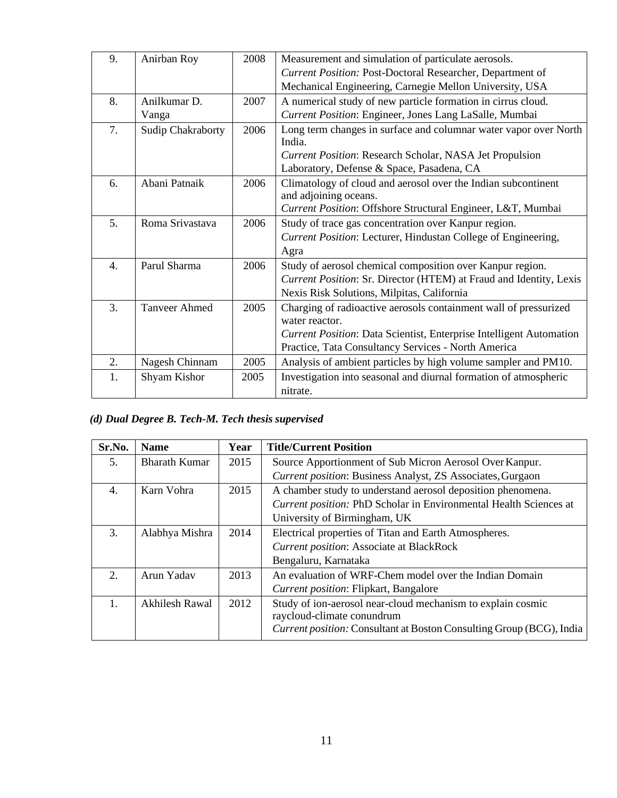| 9.               | Anirban Roy          | 2008 | Measurement and simulation of particulate aerosols.                                    |
|------------------|----------------------|------|----------------------------------------------------------------------------------------|
|                  |                      |      | Current Position: Post-Doctoral Researcher, Department of                              |
|                  |                      |      | Mechanical Engineering, Carnegie Mellon University, USA                                |
| 8.               | Anilkumar D.         | 2007 | A numerical study of new particle formation in cirrus cloud.                           |
|                  | Vanga                |      | Current Position: Engineer, Jones Lang LaSalle, Mumbai                                 |
| 7.               | Sudip Chakraborty    | 2006 | Long term changes in surface and columnar water vapor over North<br>India.             |
|                  |                      |      | <b>Current Position: Research Scholar, NASA Jet Propulsion</b>                         |
|                  |                      |      | Laboratory, Defense & Space, Pasadena, CA                                              |
| 6.               | Abani Patnaik        | 2006 | Climatology of cloud and aerosol over the Indian subcontinent<br>and adjoining oceans. |
|                  |                      |      | Current Position: Offshore Structural Engineer, L&T, Mumbai                            |
| 5.               | Roma Srivastava      | 2006 | Study of trace gas concentration over Kanpur region.                                   |
|                  |                      |      | Current Position: Lecturer, Hindustan College of Engineering,                          |
|                  |                      |      | Agra                                                                                   |
| $\overline{4}$ . | Parul Sharma         | 2006 | Study of aerosol chemical composition over Kanpur region.                              |
|                  |                      |      | Current Position: Sr. Director (HTEM) at Fraud and Identity, Lexis                     |
|                  |                      |      | Nexis Risk Solutions, Milpitas, California                                             |
| 3.               | <b>Tanveer Ahmed</b> | 2005 | Charging of radioactive aerosols containment wall of pressurized                       |
|                  |                      |      | water reactor.                                                                         |
|                  |                      |      | <b>Current Position: Data Scientist, Enterprise Intelligent Automation</b>             |
|                  |                      |      | Practice, Tata Consultancy Services - North America                                    |
| 2.               | Nagesh Chinnam       | 2005 | Analysis of ambient particles by high volume sampler and PM10.                         |
| 1.               | Shyam Kishor         | 2005 | Investigation into seasonal and diurnal formation of atmospheric<br>nitrate.           |

# *(d) Dual Degree B. Tech-M. Tech thesis supervised*

| Sr.No.           | <b>Name</b>           | Year | <b>Title/Current Position</b>                                               |  |
|------------------|-----------------------|------|-----------------------------------------------------------------------------|--|
| 5.               | <b>Bharath Kumar</b>  | 2015 | Source Apportionment of Sub Micron Aerosol Over Kanpur.                     |  |
|                  |                       |      | <b>Current position: Business Analyst, ZS Associates, Gurgaon</b>           |  |
| 4.               | Karn Vohra            | 2015 | A chamber study to understand aerosol deposition phenomena.                 |  |
|                  |                       |      | Current position: PhD Scholar in Environmental Health Sciences at           |  |
|                  |                       |      | University of Birmingham, UK                                                |  |
| 3.               | Alabhya Mishra        | 2014 | Electrical properties of Titan and Earth Atmospheres.                       |  |
|                  |                       |      | <b>Current position: Associate at BlackRock</b>                             |  |
|                  |                       |      | Bengaluru, Karnataka                                                        |  |
| $\overline{2}$ . | Arun Yadav            | 2013 | An evaluation of WRF-Chem model over the Indian Domain                      |  |
|                  |                       |      | <b>Current position: Flipkart, Bangalore</b>                                |  |
| 1.               | <b>Akhilesh Rawal</b> | 2012 | Study of ion-aerosol near-cloud mechanism to explain cosmic                 |  |
|                  |                       |      | raycloud-climate conundrum                                                  |  |
|                  |                       |      | <i>Current position:</i> Consultant at Boston Consulting Group (BCG), India |  |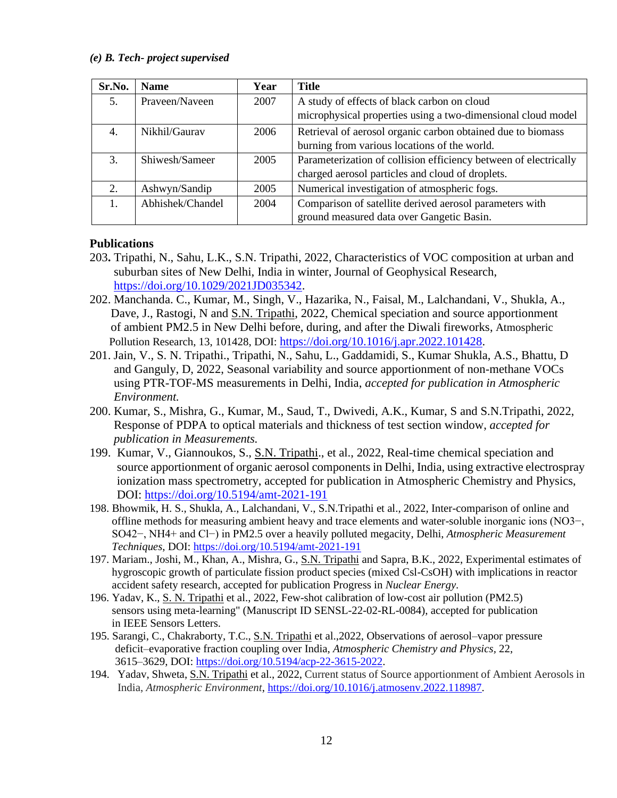#### *(e) B. Tech- project supervised*

| Sr.No. | <b>Name</b>      | Year | <b>Title</b>                                                                                                |
|--------|------------------|------|-------------------------------------------------------------------------------------------------------------|
| 5.     | Praveen/Naveen   | 2007 | A study of effects of black carbon on cloud<br>microphysical properties using a two-dimensional cloud model |
|        |                  |      |                                                                                                             |
| 4.     | Nikhil/Gaurav    | 2006 | Retrieval of aerosol organic carbon obtained due to biomass                                                 |
|        |                  |      | burning from various locations of the world.                                                                |
| 3.     | Shiwesh/Sameer   | 2005 | Parameterization of collision efficiency between of electrically                                            |
|        |                  |      | charged aerosol particles and cloud of droplets.                                                            |
| 2.     | Ashwyn/Sandip    | 2005 | Numerical investigation of atmospheric fogs.                                                                |
|        | Abhishek/Chandel | 2004 | Comparison of satellite derived aerosol parameters with                                                     |
|        |                  |      | ground measured data over Gangetic Basin.                                                                   |

# **Publications**

- 203**.** Tripathi, N., Sahu, L.K., S.N. Tripathi, 2022, Characteristics of VOC composition at urban and suburban sites of New Delhi, India in winter, Journal of Geophysical Research, [https://doi.org/10.1029/2021JD035342.](https://doi.org/10.1029/2021JD035342)
- 202. Manchanda. C., Kumar, M., Singh, V., Hazarika, N., Faisal, M., Lalchandani, V., Shukla, A., Dave, J., Rastogi, N and S.N. Tripathi, 2022, Chemical speciation and source apportionment of ambient PM2.5 in New Delhi before, during, and after the Diwali fireworks, Atmospheric Pollution Research, 13, 101428, DOI: [https://doi.org/10.1016/j.apr.2022.101428.](https://doi.org/10.1016/j.apr.2022.101428)
- 201. Jain, V., S. N. Tripathi., Tripathi, N., Sahu, L., Gaddamidi, S., Kumar Shukla, A.S., Bhattu, D and Ganguly, D, 2022, Seasonal variability and source apportionment of non-methane VOCs using PTR-TOF-MS measurements in Delhi, India, *accepted for publication in Atmospheric Environment.*
- 200. Kumar, S., Mishra, G., Kumar, M., Saud, T., Dwivedi, A.K., Kumar, S and S.N.Tripathi, 2022, Response of PDPA to optical materials and thickness of test section window, *accepted for publication in Measurements.*
- 199. Kumar, V., Giannoukos, S., S.N. Tripathi., et al., 2022, Real-time chemical speciation and source apportionment of organic aerosol components in Delhi, India, using extractive electrospray ionization mass spectrometry, accepted for publication in Atmospheric Chemistry and Physics, DOI: [https://doi.org/10.5194/amt-2021-191](https://doi.org/10.5194/acp-2021-1033)
- 198. Bhowmik, H. S., Shukla, A., Lalchandani, V., S.N.Tripathi et al., 2022, Inter-comparison of online and offline methods for measuring ambient heavy and trace elements and water-soluble inorganic ions (NO3−, SO42−, NH4+ and Cl−) in PM2.5 over a heavily polluted megacity, Delhi, *Atmospheric Measurement Techniques*, DOI:<https://doi.org/10.5194/amt-2021-191>
- 197. Mariam., Joshi, M., Khan, A., Mishra, G., S.N. Tripathi and Sapra, B.K., 2022, Experimental estimates of hygroscopic growth of particulate fission product species (mixed Csl-CsOH) with implications in reactor accident safety research, accepted for publication Progress in *Nuclear Energy*.
- 196. Yadav, K., S. N. Tripathi et al., 2022, Few-shot calibration of low-cost air pollution (PM2.5) sensors using meta-learning" (Manuscript ID SENSL-22-02-RL-0084), accepted for publication in IEEE Sensors Letters.
- 195. Sarangi, C., Chakraborty, T.C., S.N. Tripathi et al.,2022, Observations of aerosol–vapor pressure deficit–evaporative fraction coupling over India, *Atmospheric Chemistry and Physics,* 22, 3615–3629, DOI: [https://doi.org/10.5194/acp-22-3615-2022.](https://doi.org/10.5194/acp-22-3615-2022)
- 194. Yadav, Shweta, S.N. Tripathi et al., 2022, Current status of Source apportionment of Ambient Aerosols in India, *Atmospheric Environment*, [https://doi.org/10.1016/j.atmosenv.2022.118987.](https://doi.org/10.1016/j.atmosenv.2022.118987)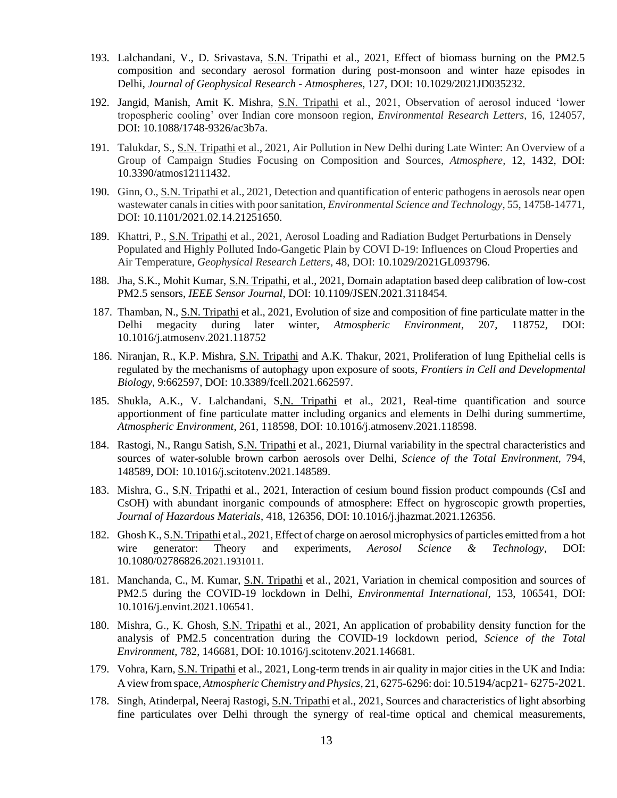- 193. Lalchandani, V., D. Srivastava, S.N. Tripathi et al., 2021, Effect of biomass burning on the PM2.5 composition and secondary aerosol formation during post-monsoon and winter haze episodes in Delhi, *Journal of Geophysical Research - Atmospheres*, 127, DOI: 10.1029/2021JD035232.
- 192. Jangid, Manish, Amit K. Mishra, S.N. Tripathi et al., 2021, Observation of aerosol induced 'lower tropospheric cooling' over Indian core monsoon region, *Environmental Research Letters*, 16, 124057, DOI: 10.1088/1748-9326/ac3b7a.
- 191. Talukdar, S., S.N. Tripathi et al., 2021, Air Pollution in New Delhi during Late Winter: An Overview of a Group of Campaign Studies Focusing on Composition and Sources, *Atmosphere*, 12, 1432, DOI: 10.3390/atmos12111432.
- 190. Ginn, O., S.N. Tripathi et al., 2021, Detection and quantification of enteric pathogens in aerosols near open wastewater canals in cities with poor sanitation, *Environmental Science and Technology*, 55, 14758-14771, DOI: 10.1101/2021.02.14.21251650.
- 189. Khattri, P., S.N. Tripathi et al., 2021, Aerosol Loading and Radiation Budget Perturbations in Densely Populated and Highly Polluted Indo-Gangetic Plain by COVI D-19: Influences on Cloud Properties and Air Temperature, *Geophysical Research Letters*, 48, DOI: 10.1029/2021GL093796.
- 188. Jha, S.K., Mohit Kumar, S.N. Tripathi, et al., 2021, Domain adaptation based deep calibration of low-cost PM2.5 sensors, *IEEE Sensor Journal*, DOI: 10.1109/JSEN.2021.3118454.
- 187. Thamban, N., S.N. Tripathi et al., 2021, Evolution of size and composition of fine particulate matter in the Delhi megacity during later winter, *Atmospheric Environment*, 207, 118752, DOI: 10.1016/j.atmosenv.2021.118752
- 186. Niranjan, R., K.P. Mishra, S.N. Tripathi and A.K. Thakur, 2021, Proliferation of lung Epithelial cells is regulated by the mechanisms of autophagy upon exposure of soots, *Frontiers in Cell and Developmental Biology*, 9:662597, DOI: 10.3389/fcell.2021.662597.
- 185. Shukla, A.K., V. Lalchandani, S.N. Tripathi et al., 2021, Real-time quantification and source apportionment of fine particulate matter including organics and elements in Delhi during summertime, *Atmospheric Environment*, 261, 118598, DOI: 10.1016/j.atmosenv.2021.118598.
- 184. Rastogi, N., Rangu Satish, S.N. Tripathi et al., 2021, Diurnal variability in the spectral characteristics and sources of water-soluble brown carbon aerosols over Delhi, *Science of the Total Environment*, 794, 148589, DOI: 10.1016/j.scitotenv.2021.148589.
- 183. Mishra, G., S.N. Tripathi et al., 2021, Interaction of cesium bound fission product compounds (CsI and CsOH) with abundant inorganic compounds of atmosphere: Effect on hygroscopic growth properties, *Journal of Hazardous Materials*, 418, 126356, DOI: 10.1016/j.jhazmat.2021.126356.
- 182. Ghosh K., S.N. Tripathi et al., 2021, Effect of charge on aerosol microphysics of particles emitted from a hot wire generator: Theory and experiments, *Aerosol Science & Technology*, DOI: 10.1080/02786826.2021.1931011.
- 181. Manchanda, C., M. Kumar, S.N. Tripathi et al., 2021, Variation in chemical composition and sources of PM2.5 during the COVID-19 lockdown in Delhi, *Environmental International*, 153, 106541, DOI: 10.1016/j.envint.2021.106541.
- 180. Mishra, G., K. Ghosh, S.N. Tripathi et al., 2021, An application of probability density function for the analysis of PM2.5 concentration during the COVID-19 lockdown period, *Science of the Total Environment*, 782, 146681, DOI: 10.1016/j.scitotenv.2021.146681.
- 179. Vohra, Karn, S.N. Tripathi et al., 2021, Long-term trends in air quality in major cities in the UK and India: A view from space, *AtmosphericChemistry and Physics*, 21, 6275-6296: doi: 10.5194/acp21- 6275-2021.
- 178. Singh, Atinderpal, Neeraj Rastogi, S.N. Tripathi et al., 2021, Sources and characteristics of light absorbing fine particulates over Delhi through the synergy of real-time optical and chemical measurements,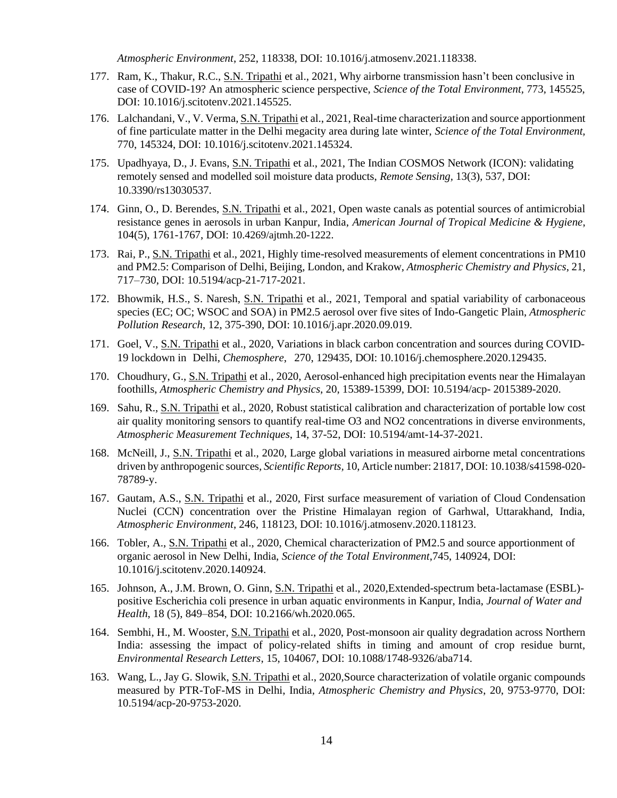*Atmospheric Environment*, 252, 118338, DOI: 10.1016/j.atmosenv.2021.118338.

- 177. Ram, K., Thakur, R.C., S.N. Tripathi et al., 2021, Why airborne transmission hasn't been conclusive in case of COVID-19? An atmospheric science perspective, *Science of the Total Environment,* 773, 145525, DOI: 10.1016/j.scitotenv.2021.145525.
- 176. Lalchandani, V., V. Verma, S.N. Tripathi et al., 2021, Real-time characterization and source apportionment of fine particulate matter in the Delhi megacity area during late winter, *Science of the Total Environment,*  770, 145324, DOI: 10.1016/j.scitotenv.2021.145324.
- 175. Upadhyaya, D., J. Evans, S.N. Tripathi et al., 2021, The Indian COSMOS Network (ICON): validating remotely sensed and modelled soil moisture data products, *Remote Sensing,* 13(3), 537, DOI: 10.3390/rs13030537.
- 174. Ginn, O., D. Berendes, S.N. Tripathi et al., 2021, Open waste canals as potential sources of antimicrobial resistance genes in aerosols in urban Kanpur, India, *American Journal of Tropical Medicine & Hygiene*, 104(5), 1761-1767, DOI: 10.4269/ajtmh.20-1222.
- 173. Rai, P., S.N. Tripathi et al., 2021, Highly time-resolved measurements of element concentrations in PM10 and PM2.5: Comparison of Delhi, Beijing, London, and Krakow, *Atmospheric Chemistry and Physics*, 21, 717–730, DOI: 10.5194/acp-21-717-2021.
- 172. Bhowmik, H.S., S. Naresh, S.N. Tripathi et al., 2021, Temporal and spatial variability of carbonaceous species (EC; OC; WSOC and SOA) in PM2.5 aerosol over five sites of Indo-Gangetic Plain, *Atmospheric Pollution Research*, 12, 375-390, DOI: 10.1016/j.apr.2020.09.019.
- 171. Goel, V., S.N. Tripathi et al., 2020, Variations in black carbon concentration and sources during COVID-19 lockdown in Delhi, *Chemosphere*, 270, 129435, DOI: 10.1016/j.chemosphere.2020.129435.
- 170. Choudhury, G., S.N. Tripathi et al., 2020, Aerosol-enhanced high precipitation events near the Himalayan foothills, *Atmospheric Chemistry and Physics*, 20, 15389-15399, DOI: 10.5194/acp- 2015389-2020.
- 169. Sahu, R., S.N. Tripathi et al., 2020, Robust statistical calibration and characterization of portable low cost air quality monitoring sensors to quantify real-time O3 and NO2 concentrations in diverse environments, *Atmospheric Measurement Techniques*, 14, 37-52, DOI: 10.5194/amt-14-37-2021.
- 168. McNeill, J., S.N. Tripathi et al., 2020, Large global variations in measured airborne metal concentrations driven by anthropogenic sources*, Scientific Reports,* 10, Article number: 21817, DOI: 10.1038/s41598-020- 78789-y.
- 167. Gautam, A.S., S.N. Tripathi et al., 2020, First surface measurement of variation of Cloud Condensation Nuclei (CCN) concentration over the Pristine Himalayan region of Garhwal, Uttarakhand, India, *Atmospheric Environment*, 246, 118123, DOI: 10.1016/j.atmosenv.2020.118123.
- 166. Tobler, A., S.N. Tripathi et al., 2020, Chemical characterization of PM2.5 and source apportionment of organic aerosol in New Delhi, India, *Science of the Total Environment*,745, 140924, DOI: 10.1016/j.scitotenv.2020.140924.
- 165. Johnson, A., J.M. Brown, O. Ginn, S.N. Tripathi et al., 2020,Extended-spectrum beta-lactamase (ESBL) positive Escherichia coli presence in urban aquatic environments in Kanpur, India, *Journal of Water and Health*, 18 (5), 849–854, DOI: 10.2166/wh.2020.065.
- 164. Sembhi, H., M. Wooster, S.N. Tripathi et al., 2020, Post-monsoon air quality degradation across Northern India: assessing the impact of policy-related shifts in timing and amount of crop residue burnt, *Environmental Research Letters*, 15, 104067, DOI: 10.1088/1748-9326/aba714.
- 163. Wang, L., Jay G. Slowik, S.N. Tripathi et al., 2020,Source characterization of volatile organic compounds measured by PTR-ToF-MS in Delhi, India, *Atmospheric Chemistry and Physics*, 20, 9753-9770, DOI: 10.5194/acp-20-9753-2020.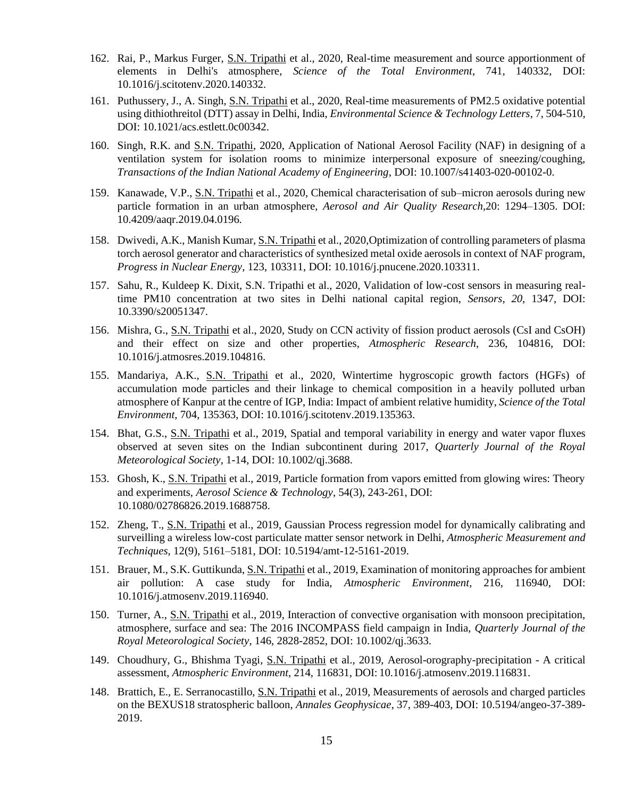- 162. Rai, P., Markus Furger, S.N. Tripathi et al., 2020, Real-time measurement and source apportionment of elements in Delhi's atmosphere, *Science of the Total Environment*, 741, 140332, DOI: 10.1016/j.scitotenv.2020.140332.
- 161. Puthussery, J., A. Singh, S.N. Tripathi et al., 2020, Real-time measurements of PM2.5 oxidative potential using dithiothreitol (DTT) assay in Delhi, India, *Environmental Science & Technology Letters*, 7, 504-510, DOI: 10.1021/acs.estlett.0c00342.
- 160. Singh, R.K. and S.N. Tripathi, 2020, Application of National Aerosol Facility (NAF) in designing of a ventilation system for isolation rooms to minimize interpersonal exposure of sneezing/coughing, *Transactions of the Indian National Academy of Engineering*, DOI: 10.1007/s41403-020-00102-0.
- 159. Kanawade, V.P., S.N. Tripathi et al., 2020, Chemical characterisation of sub–micron aerosols during new particle formation in an urban atmosphere, *Aerosol and Air Quality Research*,20: 1294–1305. DOI: 10.4209/aaqr.2019.04.0196.
- 158. Dwivedi, A.K., Manish Kumar, S.N. Tripathi et al., 2020,Optimization of controlling parameters of plasma torch aerosol generator and characteristics of synthesized metal oxide aerosols in context of NAF program, *Progress in Nuclear Energy*, 123, 103311, DOI: 10.1016/j.pnucene.2020.103311.
- 157. Sahu, R., Kuldeep K. Dixit, S.N. Tripathi et al., 2020, Validation of low-cost sensors in measuring realtime PM10 concentration at two sites in Delhi national capital region, *Sensors*, *20*, 1347, DOI: 10.3390/s20051347.
- 156. Mishra, G., S.N. Tripathi et al., 2020, Study on CCN activity of fission product aerosols (CsI and CsOH) and their effect on size and other properties, *Atmospheric Research*, 236, 104816, DOI: 10.1016/j.atmosres.2019.104816.
- 155. Mandariya, A.K., S.N. Tripathi et al., 2020, Wintertime hygroscopic growth factors (HGFs) of accumulation mode particles and their linkage to chemical composition in a heavily polluted urban atmosphere of Kanpur at the centre of IGP, India: Impact of ambient relative humidity, *Science of the Total Environment*, 704, 135363, DOI: 10.1016/j.scitotenv.2019.135363.
- 154. Bhat, G.S., S.N. Tripathi et al., 2019, Spatial and temporal variability in energy and water vapor fluxes observed at seven sites on the Indian subcontinent during 2017, *Quarterly Journal of the Royal Meteorological Society*, 1-14, DOI: 10.1002/qj.3688.
- 153. Ghosh, K., S.N. Tripathi et al., 2019, Particle formation from vapors emitted from glowing wires: Theory and experiments, *Aerosol Science & Technology*, 54(3), 243-261, DOI: 10.1080/02786826.2019.1688758.
- 152. Zheng, T., S.N. Tripathi et al., 2019, Gaussian Process regression model for dynamically calibrating and surveilling a wireless low-cost particulate matter sensor network in Delhi, *Atmospheric Measurement and Techniques*, 12(9), 5161–5181, DOI: 10.5194/amt-12-5161-2019.
- 151. Brauer, M., S.K. Guttikunda, S.N. Tripathi et al., 2019, Examination of monitoring approaches for ambient air pollution: A case study for India, *Atmospheric Environment*, 216, 116940, DOI: 10.1016/j.atmosenv.2019.116940.
- 150. Turner, A., S.N. Tripathi et al., 2019, Interaction of convective organisation with monsoon precipitation, atmosphere, surface and sea: The 2016 INCOMPASS field campaign in India, *Quarterly Journal of the Royal Meteorological Society*, 146, 2828-2852, DOI: 10.1002/qj.3633.
- 149. Choudhury, G., Bhishma Tyagi, S.N. Tripathi et al., 2019, Aerosol-orography-precipitation A critical assessment, *Atmospheric Environment*, 214, 116831, DOI: 10.1016/j.atmosenv.2019.116831.
- 148. Brattich, E., E. Serranocastillo, S.N. Tripathi et al., 2019, Measurements of aerosols and charged particles on the BEXUS18 stratospheric balloon, *Annales Geophysicae*, 37, 389-403, DOI: 10.5194/angeo-37-389- 2019.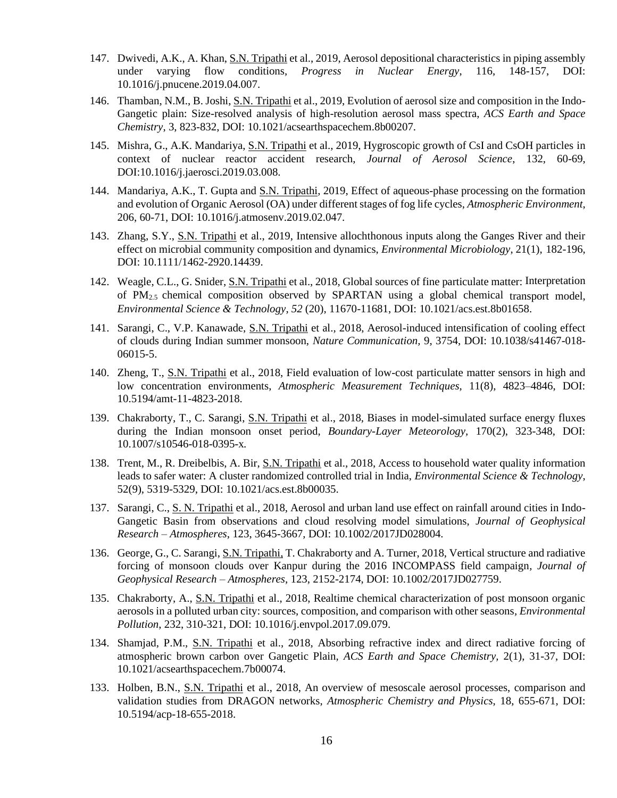- 147. Dwivedi, A.K., A. Khan, S.N. Tripathi et al., 2019, Aerosol depositional characteristics in piping assembly under varying flow conditions, *Progress in Nuclear Energy*, 116, 148-157, DOI: 10.1016/j.pnucene.2019.04.007.
- 146. Thamban, N.M., B. Joshi, S.N. Tripathi et al., 2019, Evolution of aerosol size and composition in the Indo-Gangetic plain: Size-resolved analysis of high-resolution aerosol mass spectra, *ACS Earth and Space Chemistry*, 3, 823-832, DOI: 10.1021/acsearthspacechem.8b00207.
- 145. Mishra, G., A.K. Mandariya, S.N. Tripathi et al., 2019, Hygroscopic growth of CsI and CsOH particles in context of nuclear reactor accident research, *Journal of Aerosol Science*, 132, 60-69, DOI:10.1016/j.jaerosci.2019.03.008.
- 144. Mandariya, A.K., T. Gupta and S.N. Tripathi, 2019, Effect of aqueous-phase processing on the formation and evolution of Organic Aerosol (OA) under different stages of fog life cycles, *Atmospheric Environment*, 206, 60-71, DOI: 10.1016/j.atmosenv.2019.02.047.
- 143. Zhang, S.Y., S.N. Tripathi et al., 2019, Intensive allochthonous inputs along the Ganges River and their effect on microbial community composition and dynamics, *Environmental Microbiology*, 21(1), 182-196, DOI: 10.1111/1462-2920.14439.
- 142. Weagle, C.L., G. Snider, S.N. Tripathi et al., 2018, Global sources of fine particulate matter: Interpretation of PM2.5 chemical composition observed by SPARTAN using a global chemical transport model, *Environmental Science & Technology*, *52* (20), 11670-11681, DOI: 10.1021/acs.est.8b01658.
- 141. Sarangi, C., V.P. Kanawade, S.N. Tripathi et al., 2018, Aerosol-induced intensification of cooling effect of clouds during Indian summer monsoon, *Nature Communication,* 9, 3754, DOI: 10.1038/s41467-018- 06015-5.
- 140. Zheng, T., S.N. Tripathi et al., 2018, Field evaluation of low-cost particulate matter sensors in high and low concentration environments, *Atmospheric Measurement Techniques,* 11(8), 4823–4846, DOI: 10.5194/amt-11-4823-2018.
- 139. Chakraborty, T., C. Sarangi, S.N. Tripathi et al., 2018, Biases in model-simulated surface energy fluxes during the Indian monsoon onset period, *Boundary-Layer Meteorology,* 170(2), 323-348, DOI: 10.1007/s10546-018-0395-x*.*
- 138. Trent, M., R. Dreibelbis, A. Bir, S.N. Tripathi et al., 2018, Access to household water quality information leads to safer water: A cluster randomized controlled trial in India, *Environmental Science & Technology*, 52(9), 5319-5329, DOI: 10.1021/acs.est.8b00035.
- 137. Sarangi, C., S. N. Tripathi et al., 2018, Aerosol and urban land use effect on rainfall around cities in Indo-Gangetic Basin from observations and cloud resolving model simulations, *Journal of Geophysical Research – Atmospheres*, 123, 3645-3667, DOI: 10.1002/2017JD028004.
- 136. George, G., C. Sarangi, S.N. Tripathi, T. Chakraborty and A. Turner, 2018, Vertical structure and radiative forcing of monsoon clouds over Kanpur during the 2016 INCOMPASS field campaign*, Journal of Geophysical Research – Atmospheres*, 123, 2152-2174, DOI: 10.1002/2017JD027759.
- 135. Chakraborty, A., S.N. Tripathi et al., 2018, Realtime chemical characterization of post monsoon organic aerosols in a polluted urban city: sources, composition, and comparison with other seasons*, Environmental Pollution*, 232, 310-321, DOI: 10.1016/j.envpol.2017.09.079.
- 134. Shamjad, P.M., S.N. Tripathi et al., 2018, Absorbing refractive index and direct radiative forcing of atmospheric brown carbon over Gangetic Plain, *ACS Earth and Space Chemistry,* 2(1), 31-37, DOI: 10.1021/acsearthspacechem.7b00074.
- 133. Holben, B.N., S.N. Tripathi et al., 2018, An overview of mesoscale aerosol processes, comparison and validation studies from DRAGON networks, *Atmospheric Chemistry and Physics*, 18, 655-671, DOI: 10.5194/acp-18-655-2018.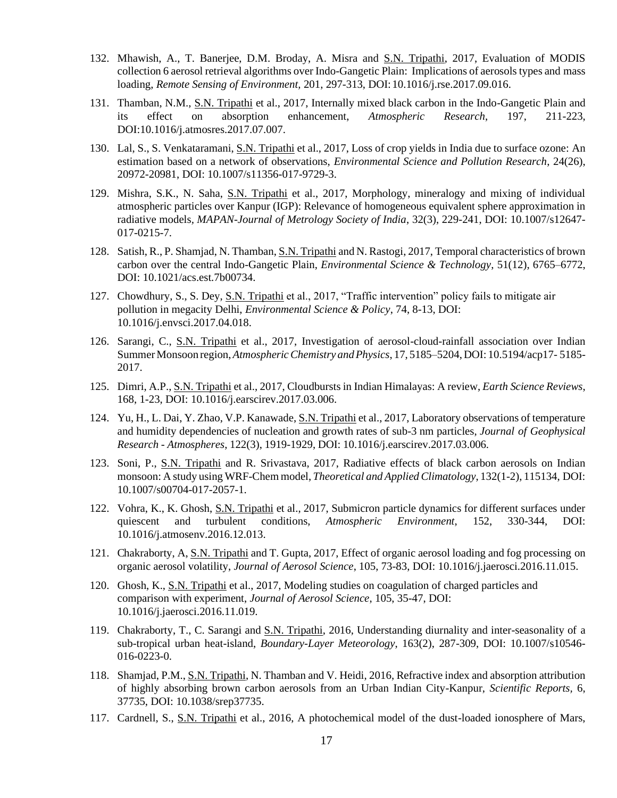- 132. Mhawish, A., T. Banerjee, D.M. Broday, A. Misra and S.N. Tripathi, 2017, Evaluation of MODIS collection 6 aerosol retrieval algorithms over Indo-Gangetic Plain: Implications of aerosols types and mass loading, *Remote Sensing of Environment,* 201, 297-313, DOI:10.1016/j.rse.2017.09.016.
- 131. Thamban, N.M., S.N. Tripathi et al., 2017, Internally mixed black carbon in the Indo-Gangetic Plain and its effect on absorption enhancement, *Atmospheric Research*, 197, 211-223, DOI:10.1016/j.atmosres.2017.07.007.
- 130. Lal, S., S. Venkataramani, S.N. Tripathi et al., 2017, Loss of crop yields in India due to surface ozone: An estimation based on a network of observations, *Environmental Science and Pollution Research*, 24(26), 20972-20981, DOI: 10.1007/s11356-017-9729-3.
- 129. Mishra, S.K., N. Saha, S.N. Tripathi et al., 2017, Morphology, mineralogy and mixing of individual atmospheric particles over Kanpur (IGP): Relevance of homogeneous equivalent sphere approximation in radiative models*, MAPAN-Journal of Metrology Society of India*, 32(3), 229-241, DOI: 10.1007/s12647- 017-0215-7.
- 128. Satish, R., P. Shamjad, N. Thamban, S.N. Tripathi and N. Rastogi, 2017, Temporal characteristics of brown carbon over the central Indo-Gangetic Plain, *Environmental Science & Technology*, 51(12), 6765–6772, DOI: 10.1021/acs.est.7b00734.
- 127. Chowdhury, S., S. Dey, S.N. Tripathi et al., 2017, "Traffic intervention" policy fails to mitigate air pollution in megacity Delhi, *Environmental Science & Policy*, 74, 8-13, DOI: 10.1016/j.envsci.2017.04.018.
- 126. Sarangi, C., S.N. Tripathi et al., 2017, Investigation of aerosol-cloud-rainfall association over Indian SummerMonsoon region,*AtmosphericChemistry andPhysics*, 17, 5185–5204,DOI: 10.5194/acp17- 5185- 2017.
- 125. Dimri, A.P., S.N. Tripathi et al., 2017, Cloudbursts in Indian Himalayas: A review, *Earth Science Reviews*, 168, 1-23, DOI: 10.1016/j.earscirev.2017.03.006.
- 124. Yu, H., L. Dai, Y. Zhao, V.P. Kanawade, S.N. Tripathi et al., 2017, Laboratory observations of temperature and humidity dependencies of nucleation and growth rates of sub-3 nm particles, *Journal of Geophysical Research - Atmospheres*, 122(3), 1919-1929, DOI: 10.1016/j.earscirev.2017.03.006.
- 123. Soni, P., S.N. Tripathi and R. Srivastava, 2017, Radiative effects of black carbon aerosols on Indian monsoon: A study using WRF-Chem model, *Theoretical and Applied Climatology*, 132(1-2), 115134, DOI: 10.1007/s00704-017-2057-1.
- 122. Vohra, K., K. Ghosh, S.N. Tripathi et al., 2017, Submicron particle dynamics for different surfaces under quiescent and turbulent conditions, *Atmospheric Environment*, 152, 330-344, DOI: 10.1016/j.atmosenv.2016.12.013.
- 121. Chakraborty, A, S.N. Tripathi and T. Gupta, 2017, Effect of organic aerosol loading and fog processing on organic aerosol volatility, *Journal of Aerosol Science*, 105, 73-83, DOI: 10.1016/j.jaerosci.2016.11.015.
- 120. Ghosh, K., S.N. Tripathi et al., 2017, Modeling studies on coagulation of charged particles and comparison with experiment, *Journal of Aerosol Science*, 105, 35-47, DOI: 10.1016/j.jaerosci.2016.11.019.
- 119. Chakraborty, T., C. Sarangi and S.N. Tripathi, 2016, Understanding diurnality and inter-seasonality of a sub-tropical urban heat-island, *Boundary-Layer Meteorology*, 163(2), 287-309, DOI: 10.1007/s10546- 016-0223-0.
- 118. Shamjad, P.M., S.N. Tripathi, N. Thamban and V. Heidi, 2016, Refractive index and absorption attribution of highly absorbing brown carbon aerosols from an Urban Indian City-Kanpur, *Scientific Reports,* 6, 37735, DOI: 10.1038/srep37735.
- 117. Cardnell, S., S.N. Tripathi et al., 2016, A photochemical model of the dust-loaded ionosphere of Mars,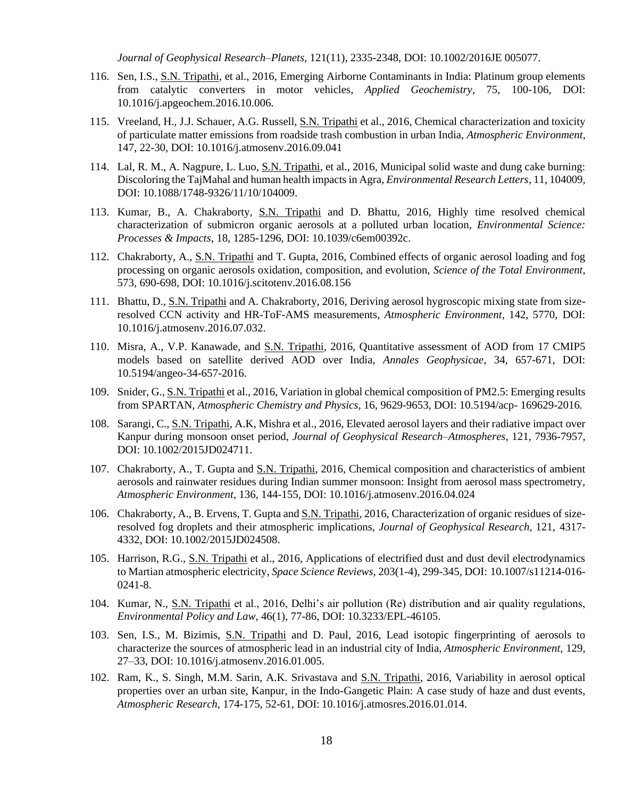*Journal of Geophysical Research–Planets*, 121(11), 2335-2348, DOI: 10.1002/2016JE 005077.

- 116. Sen, I.S., S.N. Tripathi, et al., 2016, Emerging Airborne Contaminants in India: Platinum group elements from catalytic converters in motor vehicles, *Applied Geochemistry*, 75, 100-106, DOI: 10.1016/j.apgeochem.2016.10.006.
- 115. Vreeland, H., J.J. Schauer, A.G. Russell, S.N. Tripathi et al., 2016, Chemical characterization and toxicity of particulate matter emissions from roadside trash combustion in urban India, *Atmospheric Environment*, 147, 22-30, DOI: 10.1016/j.atmosenv.2016.09.041
- 114. Lal, R. M., A. Nagpure, L. Luo, S.N. Tripathi, et al., 2016, Municipal solid waste and dung cake burning: Discoloring the TajMahal and human health impacts in Agra, *Environmental Research Letters*, 11, 104009, DOI: 10.1088/1748-9326/11/10/104009.
- 113. Kumar, B., A. Chakraborty, S.N. Tripathi and D. Bhattu, 2016, Highly time resolved chemical characterization of submicron organic aerosols at a polluted urban location, *Environmental Science: Processes & Impacts*, 18, 1285-1296, DOI: 10.1039/c6em00392c.
- 112. Chakraborty, A., S.N. Tripathi and T. Gupta, 2016, Combined effects of organic aerosol loading and fog processing on organic aerosols oxidation, composition, and evolution, *Science of the Total Environment*, 573, 690-698, DOI: 10.1016/j.scitotenv.2016.08.156
- 111. Bhattu, D., S.N. Tripathi and A. Chakraborty, 2016, Deriving aerosol hygroscopic mixing state from sizeresolved CCN activity and HR-ToF-AMS measurements, *Atmospheric Environment*, 142, 5770, DOI: 10.1016/j.atmosenv.2016.07.032.
- 110. Misra, A., V.P. Kanawade, and S.N. Tripathi, 2016, Quantitative assessment of AOD from 17 CMIP5 models based on satellite derived AOD over India, *Annales Geophysicae*, 34, 657-671, DOI: 10.5194/angeo-34-657-2016.
- 109. Snider, G., S.N. Tripathi et al., 2016, Variation in global chemical composition of PM2.5: Emerging results from SPARTAN, *Atmospheric Chemistry and Physics*, 16, 9629-9653, DOI: 10.5194/acp- 169629-2016.
- 108. Sarangi, C., S.N. Tripathi, A.K, Mishra et al., 2016, Elevated aerosol layers and their radiative impact over Kanpur during monsoon onset period, *Journal of Geophysical Research–Atmospheres*, 121, 7936-7957, DOI: 10.1002/2015JD024711.
- 107. Chakraborty, A., T. Gupta and S.N. Tripathi, 2016, Chemical composition and characteristics of ambient aerosols and rainwater residues during Indian summer monsoon: Insight from aerosol mass spectrometry, *Atmospheric Environment*, 136, 144-155, DOI: 10.1016/j.atmosenv.2016.04.024
- 106. Chakraborty, A., B. Ervens, T. Gupta and S.N. Tripathi, 2016, Characterization of organic residues of sizeresolved fog droplets and their atmospheric implications, *Journal of Geophysical Research*, 121, 4317- 4332, DOI: 10.1002/2015JD024508.
- 105. Harrison, R.G., S.N. Tripathi et al., 2016, Applications of electrified dust and dust devil electrodynamics to Martian atmospheric electricity, *Space Science Reviews*, 203(1-4), 299-345, DOI: 10.1007/s11214-016- 0241-8.
- 104. Kumar, N., S.N. Tripathi et al., 2016, Delhi's air pollution (Re) distribution and air quality regulations, *Environmental Policy and Law*, 46(1), 77-86, DOI: 10.3233/EPL-46105.
- 103. Sen, I.S., M. Bizimis, S.N. Tripathi and D. Paul, 2016, Lead isotopic fingerprinting of aerosols to characterize the sources of atmospheric lead in an industrial city of India, *Atmospheric Environment*, 129, 27–33, DOI: 10.1016/j.atmosenv.2016.01.005.
- 102. Ram, K., S. Singh, M.M. Sarin, A.K. Srivastava and S.N. Tripathi, 2016, Variability in aerosol optical properties over an urban site, Kanpur, in the Indo-Gangetic Plain: A case study of haze and dust events, *Atmospheric Research*, 174-175, 52-61, DOI: 10.1016/j.atmosres.2016.01.014.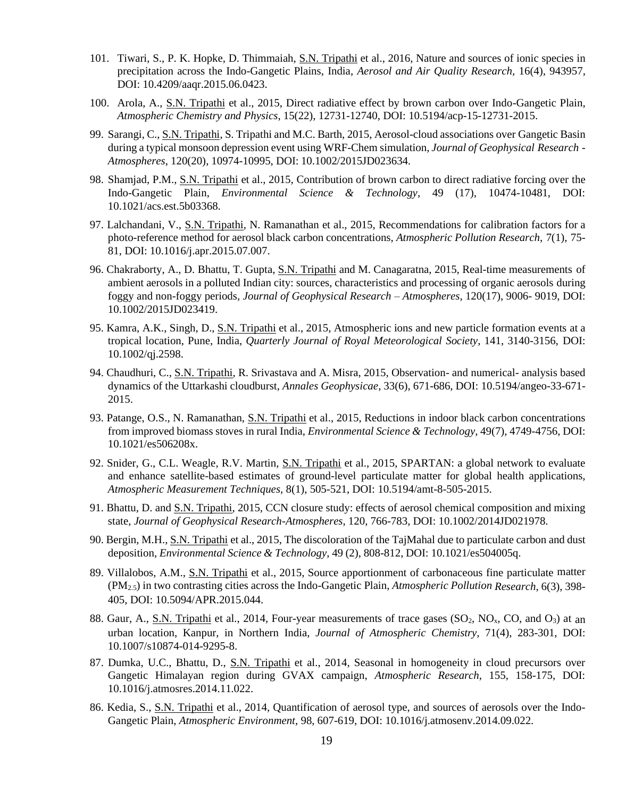- 101. Tiwari, S., P. K. Hopke, D. Thimmaiah, S.N. Tripathi et al., 2016, Nature and sources of ionic species in precipitation across the Indo-Gangetic Plains, India, *Aerosol and Air Quality Research,* 16(4), 943957, DOI: 10.4209/aaqr.2015.06.0423.
- 100. Arola, A., S.N. Tripathi et al., 2015, Direct radiative effect by brown carbon over Indo-Gangetic Plain, *Atmospheric Chemistry and Physics*, 15(22), 12731-12740, DOI: 10.5194/acp-15-12731-2015.
- 99. Sarangi, C., S.N. Tripathi, S. Tripathi and M.C. Barth, 2015, Aerosol-cloud associations over Gangetic Basin during a typical monsoon depression event using WRF-Chem simulation, *Journal of Geophysical Research - Atmospheres*, 120(20), 10974-10995, DOI: 10.1002/2015JD023634.
- 98. Shamjad, P.M., S.N. Tripathi et al., 2015, Contribution of brown carbon to direct radiative forcing over the Indo-Gangetic Plain, *Environmental Science & Technology*, 49 (17), 10474-10481, DOI: 10.1021/acs.est.5b03368.
- 97. Lalchandani, V., S.N. Tripathi, N. Ramanathan et al., 2015, Recommendations for calibration factors for a photo-reference method for aerosol black carbon concentrations, *Atmospheric Pollution Research*, 7(1), 75- 81, DOI: 10.1016/j.apr.2015.07.007.
- 96. Chakraborty, A., D. Bhattu, T. Gupta, S.N. Tripathi and M. Canagaratna, 2015, Real-time measurements of ambient aerosols in a polluted Indian city: sources, characteristics and processing of organic aerosols during foggy and non-foggy periods, *Journal of Geophysical Research – Atmospheres*, 120(17), 9006- 9019, DOI: 10.1002/2015JD023419.
- 95. Kamra, A.K., Singh, D., S.N. Tripathi et al., 2015, Atmospheric ions and new particle formation events at a tropical location, Pune, India, *Quarterly Journal of Royal Meteorological Society*, 141, 3140-3156, DOI: 10.1002/qj.2598.
- 94. Chaudhuri, C., S.N. Tripathi, R. Srivastava and A. Misra, 2015, Observation- and numerical- analysis based dynamics of the Uttarkashi cloudburst, *Annales Geophysicae*, 33(6), 671-686, DOI: 10.5194/angeo-33-671- 2015.
- 93. Patange, O.S., N. Ramanathan, S.N. Tripathi et al., 2015, Reductions in indoor black carbon concentrations from improved biomass stoves in rural India, *Environmental Science & Technology*, 49(7), 4749-4756, DOI: 10.1021/es506208x.
- 92. Snider, G., C.L. Weagle, R.V. Martin, S.N. Tripathi et al., 2015, SPARTAN: a global network to evaluate and enhance satellite-based estimates of ground-level particulate matter for global health applications, *Atmospheric Measurement Techniques,* 8(1), 505-521, DOI: 10.5194/amt-8-505-2015.
- 91. Bhattu, D. and S.N. Tripathi, 2015, CCN closure study: effects of aerosol chemical composition and mixing state, *Journal of Geophysical Research-Atmospheres*, 120, 766-783, DOI: 10.1002/2014JD021978.
- 90. Bergin, M.H., S.N. Tripathi et al., 2015, The discoloration of the TajMahal due to particulate carbon and dust deposition, *Environmental Science & Technology*, 49 (2), 808-812, DOI: 10.1021/es504005q.
- 89. Villalobos, A.M., S.N. Tripathi et al., 2015, Source apportionment of carbonaceous fine particulate matter (PM2.5) in two contrasting cities across the Indo-Gangetic Plain, *Atmospheric Pollution Research*, 6(3), 398- 405, DOI: 10.5094/APR.2015.044.
- 88. Gaur, A., S.N. Tripathi et al., 2014, Four-year measurements of trace gases  $(SO_2, NO_x, CO$ , and  $O_3$ ) at an urban location, Kanpur, in Northern India, *Journal of Atmospheric Chemistry,* 71(4), 283-301, DOI: 10.1007/s10874-014-9295-8.
- 87. Dumka, U.C., Bhattu, D., S.N. Tripathi et al., 2014, Seasonal in homogeneity in cloud precursors over Gangetic Himalayan region during GVAX campaign, *Atmospheric Research*, 155, 158-175, DOI: 10.1016/j.atmosres.2014.11.022.
- 86. Kedia, S., S.N. Tripathi et al., 2014, Quantification of aerosol type, and sources of aerosols over the Indo-Gangetic Plain, *Atmospheric Environment*, 98, 607-619, DOI: 10.1016/j.atmosenv.2014.09.022.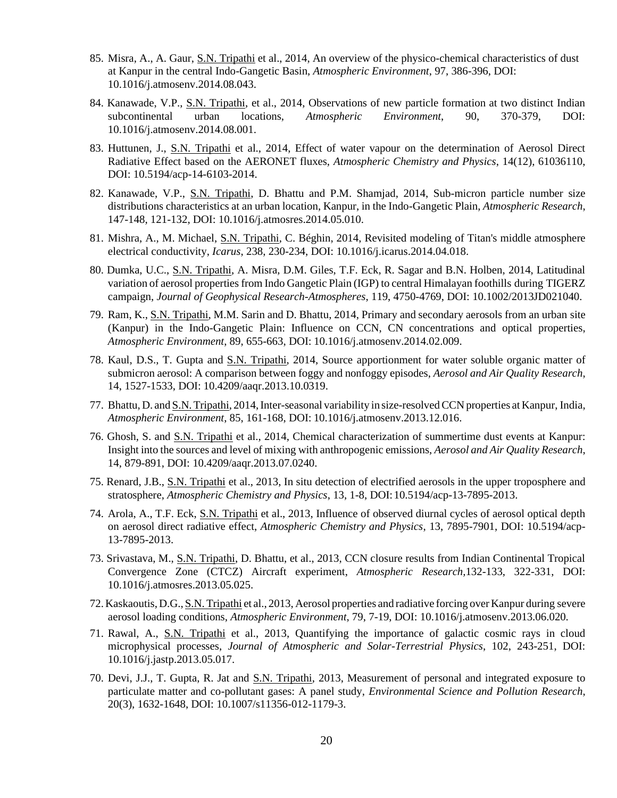- 85. Misra, A., A. Gaur, S.N. Tripathi et al., 2014, An overview of the physico-chemical characteristics of dust at Kanpur in the central Indo-Gangetic Basin, *Atmospheric Environment*, 97, 386-396, DOI: 10.1016/j.atmosenv.2014.08.043.
- 84. Kanawade, V.P., S.N. Tripathi, et al., 2014, Observations of new particle formation at two distinct Indian subcontinental urban locations, *Atmospheric Environment*, 90, 370-379, DOI: 10.1016/j.atmosenv.2014.08.001.
- 83. Huttunen, J., S.N. Tripathi et al., 2014, Effect of water vapour on the determination of Aerosol Direct Radiative Effect based on the AERONET fluxes, *Atmospheric Chemistry and Physics*, 14(12), 61036110, DOI: 10.5194/acp-14-6103-2014.
- 82. Kanawade, V.P., S.N. Tripathi, D. Bhattu and P.M. Shamjad, 2014, Sub-micron particle number size distributions characteristics at an urban location, Kanpur, in the Indo-Gangetic Plain, *Atmospheric Research*, 147-148, 121-132, DOI: 10.1016/j.atmosres.2014.05.010.
- 81. Mishra, A., M. Michael, S.N. Tripathi, C. Béghin, 2014, Revisited modeling of Titan's middle atmosphere electrical conductivity, *Icarus*, 238, 230-234, DOI: 10.1016/j.icarus.2014.04.018.
- 80. Dumka, U.C., S.N. Tripathi, A. Misra, D.M. Giles, T.F. Eck, R. Sagar and B.N. Holben, 2014, Latitudinal variation of aerosol propertiesfrom Indo Gangetic Plain (IGP) to central Himalayan foothills during TIGERZ campaign, *Journal of Geophysical Research-Atmospheres*, 119, 4750-4769, DOI: 10.1002/2013JD021040.
- 79. Ram, K., S.N. Tripathi, M.M. Sarin and D. Bhattu, 2014, Primary and secondary aerosols from an urban site (Kanpur) in the Indo-Gangetic Plain: Influence on CCN, CN concentrations and optical properties, *Atmospheric Environment*, 89, 655-663, DOI: 10.1016/j.atmosenv.2014.02.009.
- 78. Kaul, D.S., T. Gupta and S.N. Tripathi, 2014, Source apportionment for water soluble organic matter of submicron aerosol: A comparison between foggy and nonfoggy episodes, *Aerosol and Air Quality Research*, 14, 1527-1533, DOI: 10.4209/aaqr.2013.10.0319.
- 77. Bhattu, D. and S.N. Tripathi, 2014,Inter-seasonal variability in size-resolvedCCN properties at Kanpur, India, *Atmospheric Environment*, 85, 161-168, DOI: 10.1016/j.atmosenv.2013.12.016.
- 76. Ghosh, S. and S.N. Tripathi et al., 2014, Chemical characterization of summertime dust events at Kanpur: Insight into the sources and level of mixing with anthropogenic emissions, *Aerosol and Air Quality Research*, 14, 879-891, DOI: 10.4209/aaqr.2013.07.0240.
- 75. Renard, J.B., S.N. Tripathi et al., 2013, In situ detection of electrified aerosols in the upper troposphere and stratosphere, *Atmospheric Chemistry and Physics*, 13, 1-8, DOI:10.5194/acp-13-7895-2013.
- 74. Arola, A., T.F. Eck, S.N. Tripathi et al., 2013, Influence of observed diurnal cycles of aerosol optical depth on aerosol direct radiative effect, *Atmospheric Chemistry and Physics*, 13, 7895-7901, DOI: 10.5194/acp-13-7895-2013.
- 73. Srivastava, M., S.N. Tripathi, D. Bhattu, et al., 2013, CCN closure results from Indian Continental Tropical Convergence Zone (CTCZ) Aircraft experiment, *Atmospheric Research,*132-133, 322-331, DOI: 10.1016/j.atmosres.2013.05.025.
- 72. Kaskaoutis, D.G., S.N. Tripathi et al., 2013, Aerosol properties and radiative forcing over Kanpur during severe aerosol loading conditions, *Atmospheric Environment*, 79, 7-19, DOI: 10.1016/j.atmosenv.2013.06.020.
- 71. Rawal, A., S.N. Tripathi et al., 2013, Quantifying the importance of galactic cosmic rays in cloud microphysical processes, *Journal of Atmospheric and Solar-Terrestrial Physics*, 102, 243-251, DOI: 10.1016/j.jastp.2013.05.017.
- 70. Devi, J.J., T. Gupta, R. Jat and S.N. Tripathi, 2013, Measurement of personal and integrated exposure to particulate matter and co-pollutant gases: A panel study, *Environmental Science and Pollution Research*, 20(3), 1632-1648, DOI: 10.1007/s11356-012-1179-3.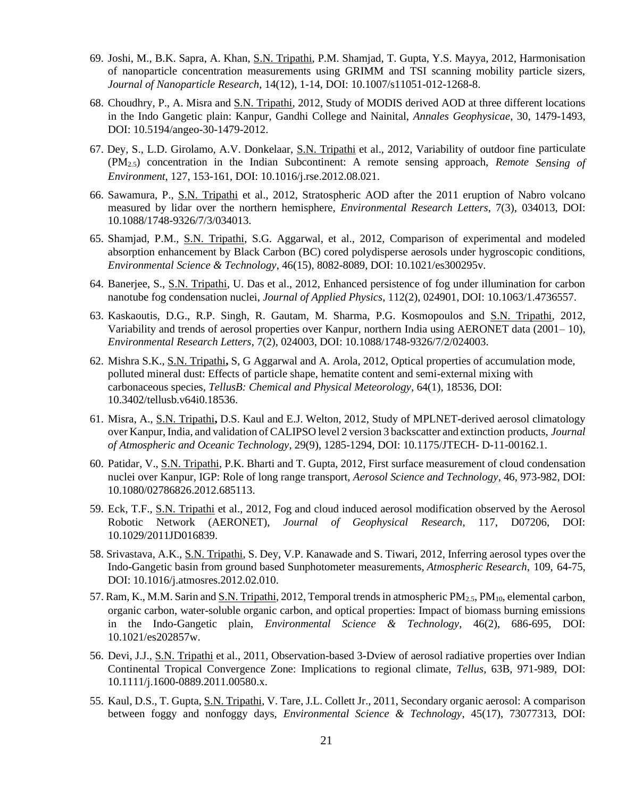- 69. Joshi, M., B.K. Sapra, A. Khan, S.N. Tripathi, P.M. Shamjad, T. Gupta, Y.S. Mayya, 2012, Harmonisation of nanoparticle concentration measurements using GRIMM and TSI scanning mobility particle sizers, *Journal of Nanoparticle Research*, 14(12), 1-14, DOI: 10.1007/s11051-012-1268-8.
- 68. Choudhry, P., A. Misra and S.N. Tripathi, 2012, Study of MODIS derived AOD at three different locations in the Indo Gangetic plain: Kanpur, Gandhi College and Nainital, *Annales Geophysicae*, 30, 1479-1493, DOI: 10.5194/angeo-30-1479-2012.
- 67. Dey, S., L.D. Girolamo, A.V. Donkelaar, S.N. Tripathi et al., 2012, Variability of outdoor fine particulate (PM2.5) concentration in the Indian Subcontinent: A remote sensing approach, *Remote Sensing of Environment*, 127, 153-161, DOI: 10.1016/j.rse.2012.08.021.
- 66. Sawamura, P., S.N. Tripathi et al., 2012, Stratospheric AOD after the 2011 eruption of Nabro volcano measured by lidar over the northern hemisphere, *Environmental Research Letters*, 7(3), 034013, DOI: 10.1088/1748-9326/7/3/034013.
- 65. Shamjad, P.M., S.N. Tripathi, S.G. Aggarwal, et al., 2012, Comparison of experimental and modeled absorption enhancement by Black Carbon (BC) cored polydisperse aerosols under hygroscopic conditions, *Environmental Science & Technology*, 46(15), 8082-8089, DOI: 10.1021/es300295v.
- 64. Banerjee, S., S.N. Tripathi, U. Das et al., 2012, Enhanced persistence of fog under illumination for carbon nanotube fog condensation nuclei, *Journal of Applied Physics*, 112(2), 024901, DOI: 10.1063/1.4736557.
- 63. Kaskaoutis, D.G., R.P. Singh, R. Gautam, M. Sharma, P.G. Kosmopoulos and S.N. Tripathi, 2012, Variability and trends of aerosol properties over Kanpur, northern India using AERONET data (2001– 10), *Environmental Research Letters*, 7(2), 024003, DOI: 10.1088/1748-9326/7/2/024003.
- 62. Mishra S.K., S.N. Tripathi**,** S, G Aggarwal and A. Arola, 2012, Optical properties of accumulation mode, polluted mineral dust: Effects of particle shape, hematite content and semi-external mixing with carbonaceous species, *TellusB: Chemical and Physical Meteorology*, 64(1), 18536, DOI: 10.3402/tellusb.v64i0.18536.
- 61. Misra, A., S.N. Tripathi**,** D.S. Kaul and E.J. Welton, 2012, Study of MPLNET-derived aerosol climatology over Kanpur,India, and validation of CALIPSO level 2 version 3 backscatter and extinction products, *Journal of Atmospheric and Oceanic Technology*, 29(9), 1285-1294, DOI: 10.1175/JTECH- D-11-00162.1.
- 60. Patidar, V., S.N. Tripathi, P.K. Bharti and T. Gupta, 2012, First surface measurement of cloud condensation nuclei over Kanpur, IGP: Role of long range transport, *Aerosol Science and Technology*, 46, 973-982, DOI: 10.1080/02786826.2012.685113.
- 59. Eck, T.F., S.N. Tripathi et al., 2012, Fog and cloud induced aerosol modification observed by the Aerosol Robotic Network (AERONET), *Journal of Geophysical Research*, 117, D07206, DOI: 10.1029/2011JD016839.
- 58. Srivastava, A.K., S.N. Tripathi, S. Dey, V.P. Kanawade and S. Tiwari, 2012, Inferring aerosol types over the Indo-Gangetic basin from ground based Sunphotometer measurements, *Atmospheric Research*, 109, 64-75, DOI: 10.1016/j.atmosres.2012.02.010.
- 57. Ram, K., M.M. Sarin and S.N. Tripathi, 2012, Temporal trends in atmospheric PM2.5, PM10, elemental carbon, organic carbon, water-soluble organic carbon, and optical properties: Impact of biomass burning emissions in the Indo-Gangetic plain, *Environmental Science & Technology*, 46(2), 686-695, DOI: 10.1021/es202857w.
- 56. Devi, J.J., S.N. Tripathi et al., 2011, Observation-based 3-Dview of aerosol radiative properties over Indian Continental Tropical Convergence Zone: Implications to regional climate, *Tellus*, 63B, 971-989, DOI: 10.1111/j.1600-0889.2011.00580.x.
- 55. Kaul, D.S., T. Gupta, S.N. Tripathi, V. Tare, J.L. Collett Jr., 2011, Secondary organic aerosol: A comparison between foggy and nonfoggy days, *Environmental Science & Technology*, 45(17), 73077313, DOI: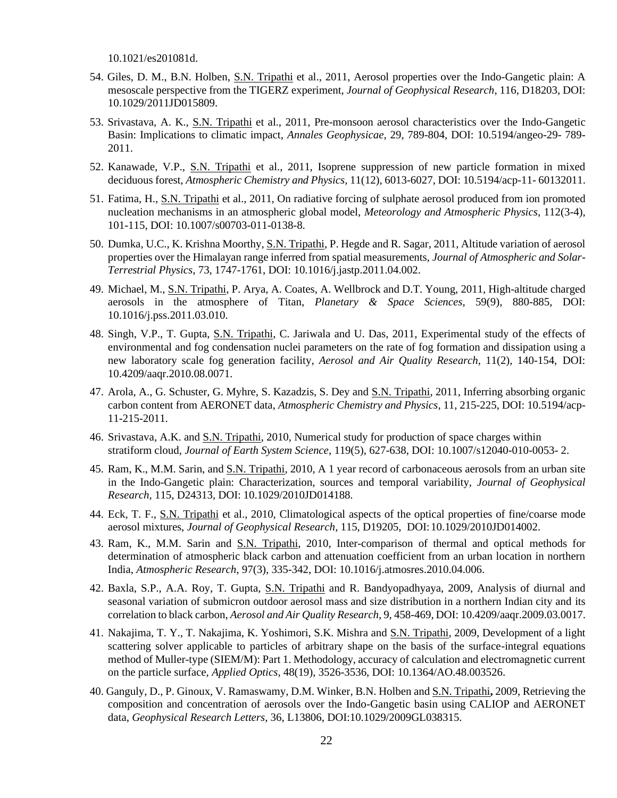10.1021/es201081d.

- 54. Giles, D. M., B.N. Holben, S.N. Tripathi et al., 2011, Aerosol properties over the Indo-Gangetic plain: A mesoscale perspective from the TIGERZ experiment, *Journal of Geophysical Research*, 116, D18203, DOI: 10.1029/2011JD015809.
- 53. Srivastava, A. K., S.N. Tripathi et al., 2011, Pre-monsoon aerosol characteristics over the Indo-Gangetic Basin: Implications to climatic impact, *Annales Geophysicae*, 29, 789-804, DOI: 10.5194/angeo-29- 789- 2011.
- 52. Kanawade, V.P., S.N. Tripathi et al., 2011, Isoprene suppression of new particle formation in mixed deciduous forest, *Atmospheric Chemistry and Physics,* 11(12), 6013-6027, DOI: 10.5194/acp-11- 60132011.
- 51. Fatima, H., S.N. Tripathi et al., 2011, On radiative forcing of sulphate aerosol produced from ion promoted nucleation mechanisms in an atmospheric global model, *Meteorology and Atmospheric Physics*, 112(3-4), 101-115, DOI: 10.1007/s00703-011-0138-8.
- 50. Dumka, U.C., K. Krishna Moorthy, S.N. Tripathi, P. Hegde and R. Sagar, 2011, Altitude variation of aerosol properties over the Himalayan range inferred from spatial measurements, *Journal of Atmospheric and Solar-Terrestrial Physics*, 73, 1747-1761, DOI: 10.1016/j.jastp.2011.04.002.
- 49. Michael, M., S.N. Tripathi, P. Arya, A. Coates, A. Wellbrock and D.T. Young, 2011, High-altitude charged aerosols in the atmosphere of Titan, *Planetary & Space Sciences*, 59(9), 880-885, DOI: 10.1016/j.pss.2011.03.010.
- 48. Singh, V.P., T. Gupta, S.N. Tripathi, C. Jariwala and U. Das, 2011, Experimental study of the effects of environmental and fog condensation nuclei parameters on the rate of fog formation and dissipation using a new laboratory scale fog generation facility*, Aerosol and Air Quality Research*, 11(2), 140-154, DOI: 10.4209/aaqr.2010.08.0071.
- 47. Arola, A., G. Schuster, G. Myhre, S. Kazadzis, S. Dey and S.N. Tripathi, 2011, Inferring absorbing organic carbon content from AERONET data, *Atmospheric Chemistry and Physics*, 11, 215-225, DOI: 10.5194/acp-11-215-2011.
- 46. Srivastava, A.K. and S.N. Tripathi, 2010, Numerical study for production of space charges within stratiform cloud, *Journal of Earth System Science*, 119(5), 627-638, DOI: 10.1007/s12040-010-0053- 2.
- 45. Ram, K., M.M. Sarin, and S.N. Tripathi, 2010, A 1 year record of carbonaceous aerosols from an urban site in the Indo-Gangetic plain: Characterization, sources and temporal variability, *Journal of Geophysical Research*, 115, D24313, DOI: 10.1029/2010JD014188.
- 44. Eck, T. F., S.N. Tripathi et al., 2010, Climatological aspects of the optical properties of fine/coarse mode aerosol mixtures, *Journal of Geophysical Research*, 115, D19205, DOI:10.1029/2010JD014002.
- 43. Ram, K., M.M. Sarin and S.N. Tripathi, 2010, Inter-comparison of thermal and optical methods for determination of atmospheric black carbon and attenuation coefficient from an urban location in northern India, *Atmospheric Research*, 97(3), 335-342, DOI: 10.1016/j.atmosres.2010.04.006.
- 42. Baxla, S.P., A.A. Roy, T. Gupta, S.N. Tripathi and R. Bandyopadhyaya, 2009, Analysis of diurnal and seasonal variation of submicron outdoor aerosol mass and size distribution in a northern Indian city and its correlation to black carbon, *Aerosol and Air Quality Research*, 9, 458-469, DOI: 10.4209/aaqr.2009.03.0017.
- 41. Nakajima, T. Y., T. Nakajima, K. Yoshimori, S.K. Mishra and S.N. Tripathi, 2009, Development of a light scattering solver applicable to particles of arbitrary shape on the basis of the surface-integral equations method of Muller-type (SIEM/M): Part 1. Methodology, accuracy of calculation and electromagnetic current on the particle surface, *Applied Optics*, 48(19), 3526-3536, DOI: 10.1364/AO.48.003526.
- 40. Ganguly, D., P. Ginoux, V. Ramaswamy, D.M. Winker, B.N. Holben and S.N. Tripathi**,** 2009, Retrieving the composition and concentration of aerosols over the Indo-Gangetic basin using CALIOP and AERONET data, *Geophysical Research Letters*, 36, L13806, DOI:10.1029/2009GL038315.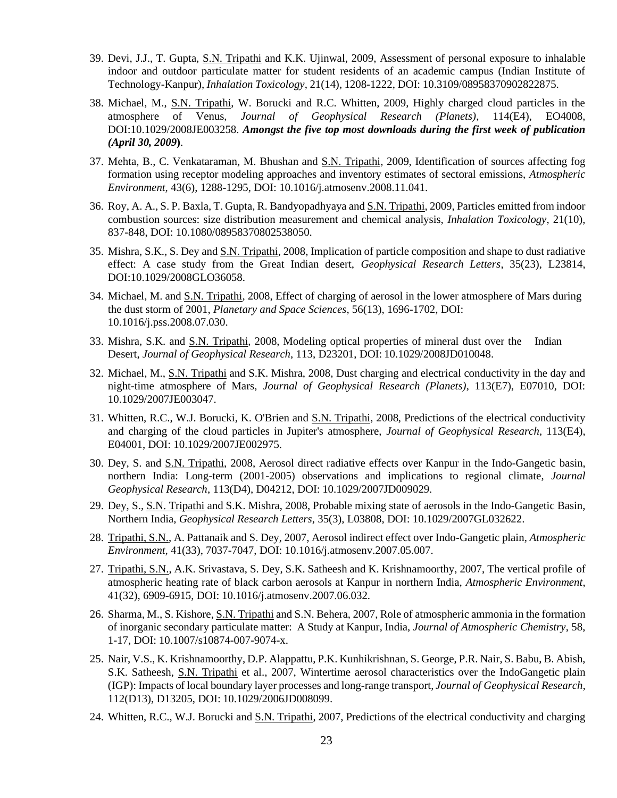- 39. Devi, J.J., T. Gupta, S.N. Tripathi and K.K. Ujinwal, 2009, Assessment of personal exposure to inhalable indoor and outdoor particulate matter for student residents of an academic campus (Indian Institute of Technology-Kanpur), *Inhalation Toxicology*, 21(14), 1208-1222, DOI: 10.3109/08958370902822875.
- 38. Michael, M., S.N. Tripathi, W. Borucki and R.C. Whitten, 2009, Highly charged cloud particles in the atmosphere of Venus, *Journal of Geophysical Research (Planets)*, 114(E4), EO4008, DOI:10.1029/2008JE003258. *Amongst the five top most downloads during the first week of publication (April 30, 2009***)**.
- 37. Mehta, B., C. Venkataraman, M. Bhushan and S.N. Tripathi, 2009, Identification of sources affecting fog formation using receptor modeling approaches and inventory estimates of sectoral emissions, *Atmospheric Environment*, 43(6), 1288-1295, DOI: 10.1016/j.atmosenv.2008.11.041.
- 36. Roy, A. A., S. P. Baxla, T. Gupta, R. Bandyopadhyaya and S.N. Tripathi, 2009, Particles emitted from indoor combustion sources: size distribution measurement and chemical analysis, *Inhalation Toxicology*, 21(10), 837-848, DOI: 10.1080/08958370802538050.
- 35. Mishra, S.K., S. Dey and S.N. Tripathi, 2008, Implication of particle composition and shape to dust radiative effect: A case study from the Great Indian desert, *Geophysical Research Letters*, 35(23), L23814, DOI:10.1029/2008GLO36058.
- 34. Michael, M. and S.N. Tripathi, 2008, Effect of charging of aerosol in the lower atmosphere of Mars during the dust storm of 2001, *Planetary and Space Sciences*, 56(13), 1696-1702, DOI: 10.1016/j.pss.2008.07.030.
- 33. Mishra, S.K. and S.N. Tripathi, 2008, Modeling optical properties of mineral dust over the Indian Desert, *Journal of Geophysical Research*, 113, D23201, DOI: 10.1029/2008JD010048.
- 32. Michael, M., S.N. Tripathi and S.K. Mishra, 2008, Dust charging and electrical conductivity in the day and night-time atmosphere of Mars, *Journal of Geophysical Research (Planets)*, 113(E7), E07010, DOI: 10.1029/2007JE003047.
- 31. Whitten, R.C., W.J. Borucki, K. O'Brien and S.N. Tripathi, 2008, Predictions of the electrical conductivity and charging of the cloud particles in Jupiter's atmosphere, *Journal of Geophysical Research*, 113(E4), E04001, DOI: 10.1029/2007JE002975.
- 30. Dey, S. and S.N. Tripathi, 2008, Aerosol direct radiative effects over Kanpur in the Indo-Gangetic basin, northern India: Long-term (2001-2005) observations and implications to regional climate, *Journal Geophysical Research*, 113(D4), D04212, DOI: 10.1029/2007JD009029.
- 29. Dey, S., S.N. Tripathi and S.K. Mishra, 2008, Probable mixing state of aerosols in the Indo-Gangetic Basin, Northern India, *Geophysical Research Letters*, 35(3), L03808, DOI: 10.1029/2007GL032622.
- 28. Tripathi, S.N., A. Pattanaik and S. Dey, 2007, Aerosol indirect effect over Indo-Gangetic plain, *Atmospheric Environment*, 41(33), 7037-7047, DOI: 10.1016/j.atmosenv.2007.05.007.
- 27. Tripathi, S.N., A.K. Srivastava, S. Dey, S.K. Satheesh and K. Krishnamoorthy, 2007, The vertical profile of atmospheric heating rate of black carbon aerosols at Kanpur in northern India, *Atmospheric Environment*, 41(32), 6909-6915, DOI: 10.1016/j.atmosenv.2007.06.032.
- 26. Sharma, M., S. Kishore, S.N. Tripathi and S.N. Behera, 2007, Role of atmospheric ammonia in the formation of inorganic secondary particulate matter: A Study at Kanpur, India, *Journal of Atmospheric Chemistry*, 58, 1-17, DOI: 10.1007/s10874-007-9074-x.
- 25. Nair, V.S., K. Krishnamoorthy, D.P. Alappattu, P.K. Kunhikrishnan, S. George, P.R. Nair, S. Babu, B. Abish, S.K. Satheesh, S.N. Tripathi et al., 2007, Wintertime aerosol characteristics over the IndoGangetic plain (IGP): Impacts of local boundary layer processes and long-range transport, *Journal of Geophysical Research*, 112(D13), D13205, DOI: 10.1029/2006JD008099.
- 24. Whitten, R.C., W.J. Borucki and S.N. Tripathi, 2007, Predictions of the electrical conductivity and charging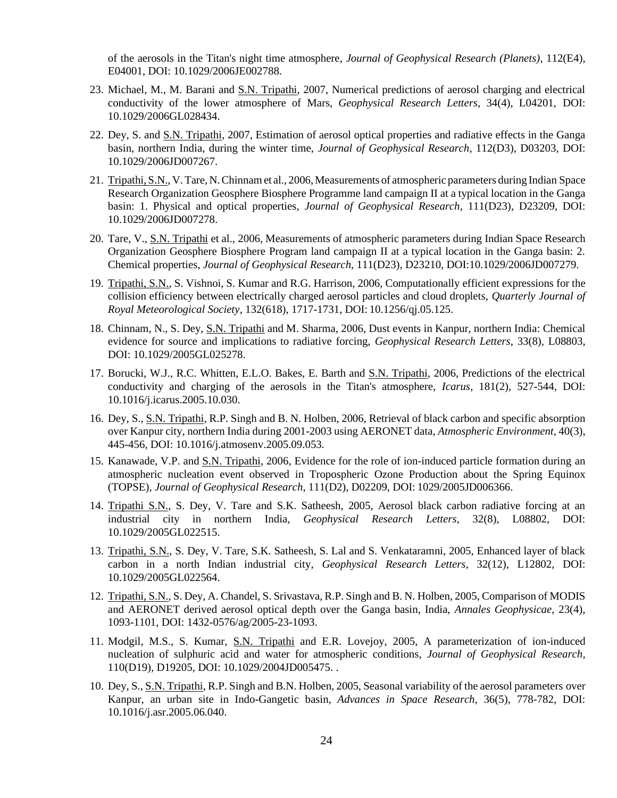of the aerosols in the Titan's night time atmosphere, *Journal of Geophysical Research (Planets)*, 112(E4), E04001, DOI: 10.1029/2006JE002788.

- 23. Michael, M., M. Barani and S.N. Tripathi, 2007, Numerical predictions of aerosol charging and electrical conductivity of the lower atmosphere of Mars, *Geophysical Research Letters*, 34(4), L04201, DOI: 10.1029/2006GL028434.
- 22. Dey, S. and S.N. Tripathi, 2007, Estimation of aerosol optical properties and radiative effects in the Ganga basin, northern India, during the winter time, *Journal of Geophysical Research*, 112(D3), D03203, DOI: 10.1029/2006JD007267.
- 21. Tripathi, S.N., V. Tare, N. Chinnam et al., 2006, Measurements of atmospheric parameters during Indian Space Research Organization Geosphere Biosphere Programme land campaign II at a typical location in the Ganga basin: 1. Physical and optical properties, *Journal of Geophysical Research*, 111(D23), D23209, DOI: 10.1029/2006JD007278.
- 20. Tare, V., S.N. Tripathi et al., 2006, Measurements of atmospheric parameters during Indian Space Research Organization Geosphere Biosphere Program land campaign II at a typical location in the Ganga basin: 2. Chemical properties, *Journal of Geophysical Research*, 111(D23), D23210, DOI:10.1029/2006JD007279.
- 19. Tripathi, S.N., S. Vishnoi, S. Kumar and R.G. Harrison, 2006, Computationally efficient expressions for the collision efficiency between electrically charged aerosol particles and cloud droplets, *Quarterly Journal of Royal Meteorological Society*, 132(618), 1717-1731, DOI: 10.1256/qj.05.125.
- 18. Chinnam, N., S. Dey, S.N. Tripathi and M. Sharma, 2006, Dust events in Kanpur, northern India: Chemical evidence for source and implications to radiative forcing, *Geophysical Research Letters*, 33(8), L08803, DOI: 10.1029/2005GL025278.
- 17. Borucki, W.J., R.C. Whitten, E.L.O. Bakes, E. Barth and S.N. Tripathi, 2006, Predictions of the electrical conductivity and charging of the aerosols in the Titan's atmosphere, *Icarus*, 181(2), 527-544, DOI: 10.1016/j.icarus.2005.10.030.
- 16. Dey, S., S.N. Tripathi, R.P. Singh and B. N. Holben, 2006, Retrieval of black carbon and specific absorption over Kanpur city, northern India during 2001-2003 using AERONET data, *Atmospheric Environment*, 40(3), 445-456, DOI: 10.1016/j.atmosenv.2005.09.053.
- 15. Kanawade, V.P. and S.N. Tripathi, 2006, Evidence for the role of ion-induced particle formation during an atmospheric nucleation event observed in Tropospheric Ozone Production about the Spring Equinox (TOPSE), *Journal of Geophysical Research*, 111(D2), D02209, DOI: 1029/2005JD006366.
- 14. Tripathi S.N., S. Dey, V. Tare and S.K. Satheesh, 2005, Aerosol black carbon radiative forcing at an industrial city in northern India, *Geophysical Research Letters*, 32(8), L08802, DOI: 10.1029/2005GL022515.
- 13. Tripathi, S.N., S. Dey, V. Tare, S.K. Satheesh, S. Lal and S. Venkataramni, 2005, Enhanced layer of black carbon in a north Indian industrial city, *Geophysical Research Letters*, 32(12), L12802, DOI: 10.1029/2005GL022564.
- 12. Tripathi, S.N., S. Dey, A. Chandel, S. Srivastava, R.P. Singh and B. N. Holben, 2005, Comparison of MODIS and AERONET derived aerosol optical depth over the Ganga basin, India, *Annales Geophysicae*, 23(4), 1093-1101, DOI: 1432-0576/ag/2005-23-1093.
- 11. Modgil, M.S., S. Kumar, S.N. Tripathi and E.R. Lovejoy, 2005, A parameterization of ion-induced nucleation of sulphuric acid and water for atmospheric conditions, *Journal of Geophysical Research*, 110(D19), D19205, DOI: 10.1029/2004JD005475. .
- 10. Dey, S., S.N. Tripathi, R.P. Singh and B.N. Holben, 2005, Seasonal variability of the aerosol parameters over Kanpur, an urban site in Indo-Gangetic basin, *Advances in Space Research*, 36(5), 778-782, DOI: 10.1016/j.asr.2005.06.040.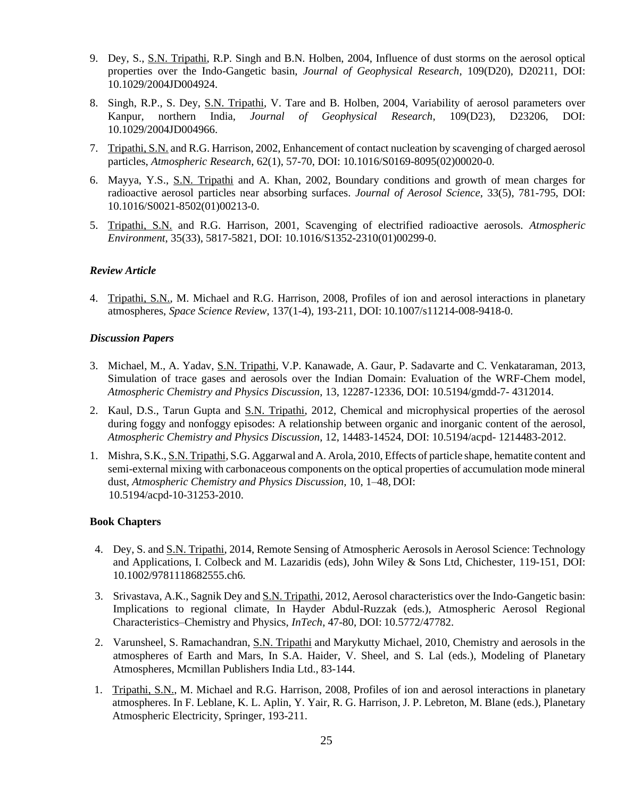- 9. Dey, S., S.N. Tripathi, R.P. Singh and B.N. Holben, 2004, Influence of dust storms on the aerosol optical properties over the Indo-Gangetic basin, *Journal of Geophysical Research*, 109(D20), D20211, DOI: 10.1029/2004JD004924.
- 8. Singh, R.P., S. Dey, S.N. Tripathi, V. Tare and B. Holben, 2004, Variability of aerosol parameters over Kanpur, northern India, *Journal of Geophysical Research*, 109(D23), D23206, DOI: 10.1029/2004JD004966.
- 7. Tripathi, S.N. and R.G. Harrison, 2002, Enhancement of contact nucleation by scavenging of charged aerosol particles, *Atmospheric Research*, 62(1), 57-70, DOI: 10.1016/S0169-8095(02)00020-0.
- 6. Mayya, Y.S., S.N. Tripathi and A. Khan, 2002, Boundary conditions and growth of mean charges for radioactive aerosol particles near absorbing surfaces. *Journal of Aerosol Science*, 33(5), 781-795, DOI: 10.1016/S0021-8502(01)00213-0.
- 5. Tripathi, S.N. and R.G. Harrison, 2001, Scavenging of electrified radioactive aerosols. *Atmospheric Environment*, 35(33), 5817-5821, DOI: 10.1016/S1352-2310(01)00299-0.

#### *Review Article*

4. Tripathi, S.N., M. Michael and R.G. Harrison, 2008, Profiles of ion and aerosol interactions in planetary atmospheres, *Space Science Review*, 137(1-4), 193-211, DOI: 10.1007/s11214-008-9418-0.

#### *Discussion Papers*

- 3. Michael, M., A. Yadav, S.N. Tripathi, V.P. Kanawade, A. Gaur, P. Sadavarte and C. Venkataraman, 2013, Simulation of trace gases and aerosols over the Indian Domain: Evaluation of the WRF-Chem model, *Atmospheric Chemistry and Physics Discussion*, 13, 12287-12336, DOI: 10.5194/gmdd-7- 4312014.
- 2. Kaul, D.S., Tarun Gupta and S.N. Tripathi, 2012, Chemical and microphysical properties of the aerosol during foggy and nonfoggy episodes: A relationship between organic and inorganic content of the aerosol, *Atmospheric Chemistry and Physics Discussion*, 12, 14483-14524, DOI: 10.5194/acpd- 1214483-2012.
- 1. Mishra, S.K., S.N. Tripathi, S.G. Aggarwal and A. Arola, 2010, Effects of particle shape, hematite content and semi-external mixing with carbonaceous components on the optical properties of accumulation mode mineral dust, *Atmospheric Chemistry and Physics Discussion,* 10, 1–48, DOI: 10.5194/acpd-10-31253-2010.

#### **Book Chapters**

- 4. Dey, S. and S.N. Tripathi, 2014, Remote Sensing of Atmospheric Aerosols in Aerosol Science: Technology and Applications, I. Colbeck and M. Lazaridis (eds), John Wiley & Sons Ltd, Chichester, 119-151, DOI: 10.1002/9781118682555.ch6*.*
- 3. Srivastava, A.K., Sagnik Dey and S.N. Tripathi, 2012, Aerosol characteristics over the Indo-Gangetic basin: Implications to regional climate, In Hayder Abdul-Ruzzak (eds.), Atmospheric Aerosol Regional Characteristics–Chemistry and Physics, *InTech*, 47-80, DOI: 10.5772/47782.
- 2. Varunsheel, S. Ramachandran, S.N. Tripathi and Marykutty Michael, 2010, Chemistry and aerosols in the atmospheres of Earth and Mars, In S.A. Haider, V. Sheel, and S. Lal (eds.), Modeling of Planetary Atmospheres, Mcmillan Publishers India Ltd., 83-144.
- 1. Tripathi, S.N., M. Michael and R.G. Harrison, 2008, Profiles of ion and aerosol interactions in planetary atmospheres. In F. Leblane, K. L. Aplin, Y. Yair, R. G. Harrison, J. P. Lebreton, M. Blane (eds.), Planetary Atmospheric Electricity, Springer, 193-211.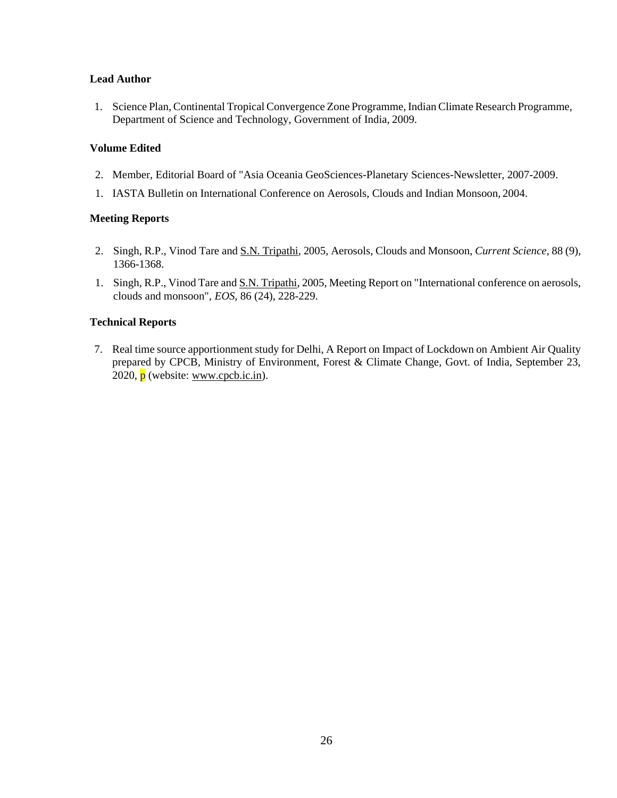#### **Lead Author**

1. Science Plan, Continental Tropical Convergence Zone Programme, Indian Climate Research Programme, Department of Science and Technology, Government of India, 2009.

#### **Volume Edited**

- 2. Member, Editorial Board of "Asia Oceania GeoSciences-Planetary Sciences-Newsletter, 2007-2009.
- 1. IASTA Bulletin on International Conference on Aerosols, Clouds and Indian Monsoon, 2004.

#### **Meeting Reports**

- 2. Singh, R.P., Vinod Tare and S.N. Tripathi, 2005, Aerosols, Clouds and Monsoon, *Current Science*, 88 (9), 1366-1368.
- 1. Singh, R.P., Vinod Tare and S.N. Tripathi, 2005, Meeting Report on "International conference on aerosols, clouds and monsoon", *EOS*, 86 (24), 228-229.

#### **Technical Reports**

7. Real time source apportionment study for Delhi, A Report on Impact of Lockdown on Ambient Air Quality prepared by CPCB, Ministry of Environment, Forest & Climate Change, Govt. of India, September 23, 2020,  $\bar{p}$  (website: www.cpcb.ic.in).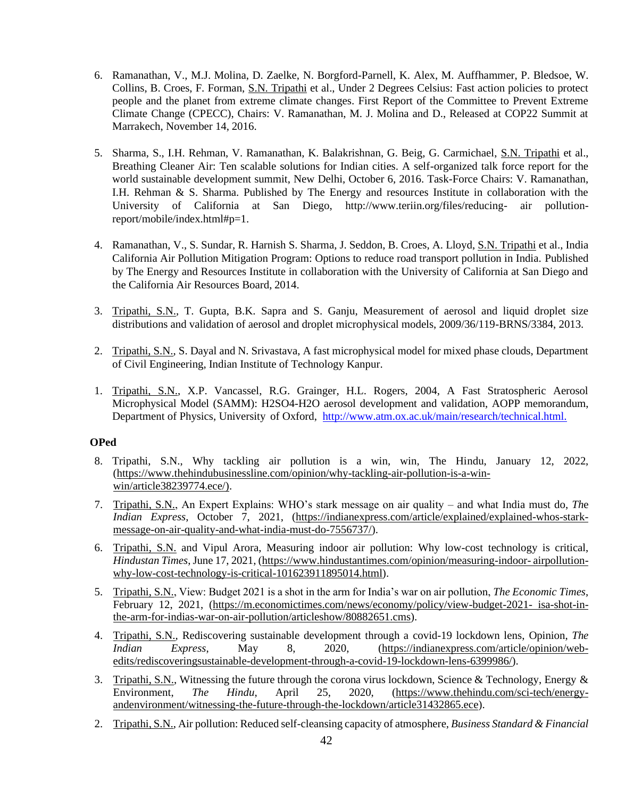- 6. Ramanathan, V., M.J. Molina, D. Zaelke, N. Borgford-Parnell, K. Alex, M. Auffhammer, P. Bledsoe, W. Collins, B. Croes, F. Forman, S.N. Tripathi et al., Under 2 Degrees Celsius: Fast action policies to protect people and the planet from extreme climate changes. First Report of the Committee to Prevent Extreme Climate Change (CPECC), Chairs: V. Ramanathan, M. J. Molina and D., Released at COP22 Summit at Marrakech, November 14, 2016.
- 5. Sharma, S., I.H. Rehman, V. Ramanathan, K. Balakrishnan, G. Beig, G. Carmichael, S.N. Tripathi et al., Breathing Cleaner Air: Ten scalable solutions for Indian cities. A self-organized talk force report for the world sustainable development summit, New Delhi, October 6, 2016. Task-Force Chairs: V. Ramanathan, I.H. Rehman & S. Sharma. Published by The Energy and resources Institute in collaboration with the University of California at San Diego, <http://www.teriin.org/files/reducing-> air pollutionreport/mobile/index.html#p=1.
- 4. Ramanathan, V., S. Sundar, R. Harnish S. Sharma, J. Seddon, B. Croes, A. Lloyd, S.N. Tripathi et al., India California Air Pollution Mitigation Program: Options to reduce road transport pollution in India. Published by The Energy and Resources Institute in collaboration with the University of California at San Diego and the California Air Resources Board, 2014.
- 3. Tripathi, S.N., T. Gupta, B.K. Sapra and S. Ganju, Measurement of aerosol and liquid droplet size distributions and validation of aerosol and droplet microphysical models, 2009/36/119-BRNS/3384, 2013.
- 2. Tripathi, S.N., S. Dayal and N. Srivastava, A fast microphysical model for mixed phase clouds, Department of Civil Engineering, Indian Institute of Technology Kanpur.
- 1. Tripathi, S.N., X.P. Vancassel, R.G. Grainger, H.L. Rogers, 2004, A Fast Stratospheric Aerosol Microphysical Model (SAMM): H2SO4-H2O aerosol development and validation, AOPP memorandum, Department of Physics, University of Oxford, <http://www.atm.ox.ac.uk/main/research/technical.html.>

## **OPed**

- 8. Tripathi, S.N., Why tackling air pollution is a win, win, The Hindu, January 12, 2022, (https://www.thehindubusinessline.com/opinion/why-tackling-air-pollution-is-a-winwin/article38239774.ece/).
- 7. Tripathi, S.N., An Expert Explains: WHO's stark message on air quality and what India must do, *Th*e *Indian Express*, October 7, 2021, (https://indianexpress.com/article/explained/explained-whos-starkmessage-on-air-quality-and-what-india-must-do-7556737/).
- 6. Tripathi, S.N. and Vipul Arora, Measuring indoor air pollution: Why low-cost technology is critical, *Hindustan Times*, June 17, 2021, (https:/[/www.hindustantimes.com/opinion/measuring-indoor-](http://www.hindustantimes.com/opinion/measuring-indoor-) airpollutionwhy-low-cost-technology-is-critical-101623911895014.html).
- 5. Tripathi, S.N., View: Budget 2021 is a shot in the arm for India's war on air pollution, *The Economic Times*, February 12, 2021, (https://m.economictimes.com/news/economy/policy/view-budget-2021- isa-shot-inthe-arm-for-indias-war-on-air-pollution/articleshow/80882651.cms).
- 4. Tripathi, S.N., Rediscovering sustainable development through a covid-19 lockdown lens, Opinion, *The Indian Express*, May 8, 2020, (https://indianexpress.com/article/opinion/webedits/rediscoveringsustainable-development-through-a-covid-19-lockdown-lens-6399986/).
- 3. Tripathi, S.N., Witnessing the future through the corona virus lockdown, Science & Technology, Energy & Environment, *The Hindu*, April 25, 2020, (https:/[/www.thehindu.com/sci-tech/energy](http://www.thehindu.com/sci-tech/energy-)andenvironment/witnessing-the-future-through-the-lockdown/article31432865.ece).
- 2. Tripathi, S.N., Air pollution: Reduced self-cleansing capacity of atmosphere, *Business Standard & Financial*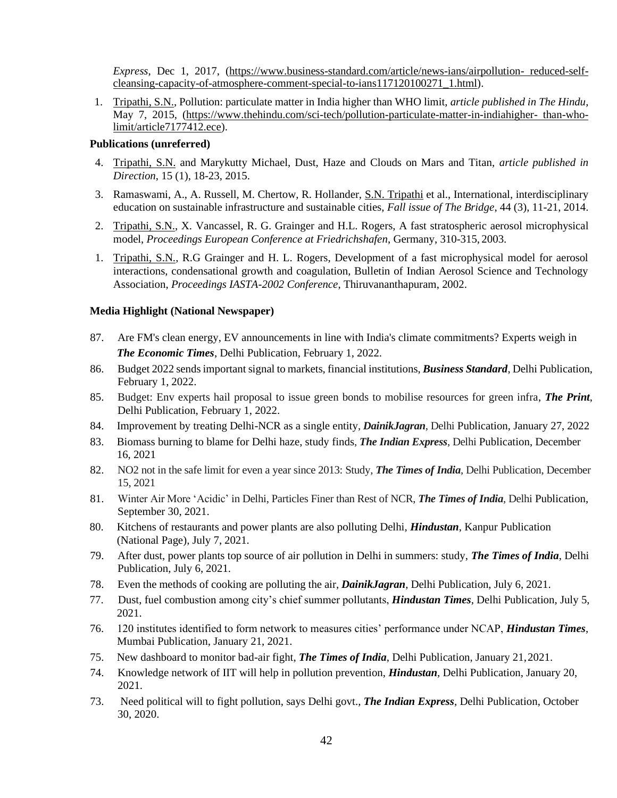*Express*, Dec 1, 2017, (https:/[/www.business-standard.com/article/news-ians/airpollution-](http://www.business-standard.com/article/news-ians/airpollution-) reduced-selfcleansing-capacity-of-atmosphere-comment-special-to-ians117120100271\_1.html).

1. Tripathi, S.N., Pollution: particulate matter in India higher than WHO limit, *article published in The Hindu*, May 7, 2015, (https:/[/www.thehindu.com/sci-tech/pollution-particulate-matter-in-indiahigher-](http://www.thehindu.com/sci-tech/pollution-particulate-matter-in-indiahigher-) than-wholimit/article7177412.ece).

## **Publications (unreferred)**

- 4. Tripathi, S.N. and Marykutty Michael, Dust, Haze and Clouds on Mars and Titan, *article published in Direction*, 15 (1), 18-23, 2015.
- 3. Ramaswami, A., A. Russell, M. Chertow, R. Hollander, S.N. Tripathi et al., International, interdisciplinary education on sustainable infrastructure and sustainable cities, *Fall issue of The Bridge*, 44 (3), 11-21, 2014.
- 2. Tripathi, S.N., X. Vancassel, R. G. Grainger and H.L. Rogers, A fast stratospheric aerosol microphysical model, *Proceedings European Conference at Friedrichshafen*, Germany, 310-315, 2003.
- 1. Tripathi, S.N., R.G Grainger and H. L. Rogers, Development of a fast microphysical model for aerosol interactions, condensational growth and coagulation, Bulletin of Indian Aerosol Science and Technology Association, *Proceedings IASTA-2002 Conference*, Thiruvananthapuram, 2002.

## **Media Highlight (National Newspaper)**

- 87. Are FM's clean energy, EV announcements in line with India's climate commitments? Experts weigh in *The Economic Times*, Delhi Publication, February 1, 2022.
- 86. Budget 2022 sends important signal to markets, financial institutions, *Business Standard*, Delhi Publication, February 1, 2022.
- 85. Budget: Env experts hail proposal to issue green bonds to mobilise resources for green infra, *The Print*, Delhi Publication, February 1, 2022.
- 84. Improvement by treating Delhi-NCR as a single entity, *DainikJagran*, Delhi Publication, January 27, 2022
- 83. Biomass burning to blame for Delhi haze, study finds, *The Indian Express*, Delhi Publication, December 16, 2021
- 82. NO2 not in the safe limit for even a year since 2013: Study, *The Times of India*, Delhi Publication, December 15, 2021
- 81. Winter Air More 'Acidic' in Delhi, Particles Finer than Rest of NCR, *The Times of India*, Delhi Publication, September 30, 2021.
- 80. Kitchens of restaurants and power plants are also polluting Delhi, *Hindustan*, Kanpur Publication (National Page), July 7, 2021.
- 79. After dust, power plants top source of air pollution in Delhi in summers: study, *The Times of India*, Delhi Publication, July 6, 2021.
- 78. Even the methods of cooking are polluting the air, *DainikJagran*, Delhi Publication, July 6, 2021.
- 77. Dust, fuel combustion among city's chief summer pollutants, *Hindustan Times*, Delhi Publication, July 5, 2021.
- 76. 120 institutes identified to form network to measures cities' performance under NCAP, *Hindustan Times*, Mumbai Publication, January 21, 2021.
- 75. New dashboard to monitor bad-air fight, *The Times of India*, Delhi Publication, January 21,2021.
- 74. Knowledge network of IIT will help in pollution prevention, *Hindustan*, Delhi Publication, January 20, 2021.
- 73. Need political will to fight pollution, says Delhi govt., *The Indian Express*, Delhi Publication, October 30, 2020.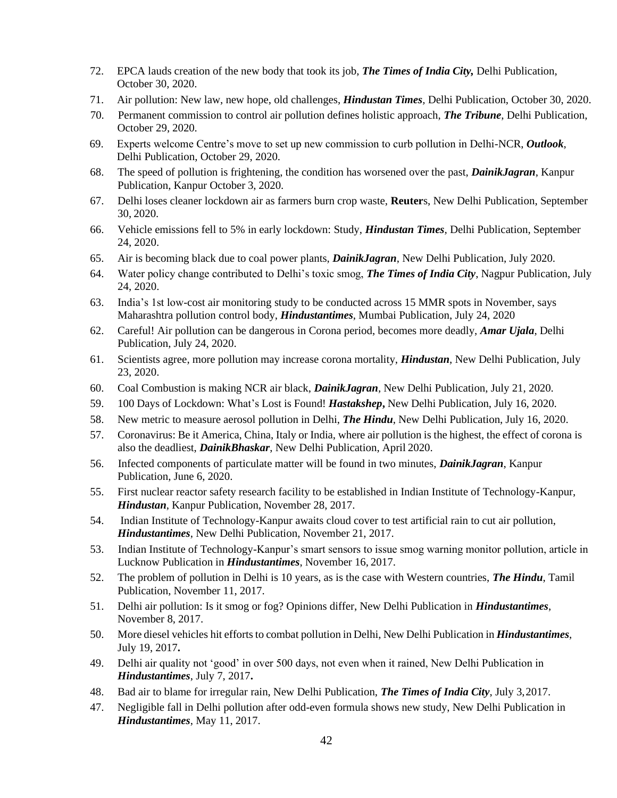- 72. EPCA lauds creation of the new body that took its job, *The Times of India City,* Delhi Publication, October 30, 2020.
- 71. Air pollution: New law, new hope, old challenges, *Hindustan Times,* Delhi Publication, October 30, 2020.
- 70. Permanent commission to control air pollution defines holistic approach, *The Tribune*, Delhi Publication, October 29, 2020.
- 69. Experts welcome Centre's move to set up new commission to curb pollution in Delhi-NCR, *Outlook*, Delhi Publication, October 29, 2020.
- 68. The speed of pollution is frightening, the condition has worsened over the past, *DainikJagran*, Kanpur Publication, Kanpur October 3, 2020.
- 67. Delhi loses cleaner lockdown air as farmers burn crop waste, **Reuter**s, New Delhi Publication, September 30, 2020.
- 66. Vehicle emissions fell to 5% in early lockdown: Study, *Hindustan Times,* Delhi Publication, September 24, 2020.
- 65. Air is becoming black due to coal power plants, *DainikJagran*, New Delhi Publication, July 2020.
- 64. Water policy change contributed to Delhi's toxic smog, *The Times of India City*, Nagpur Publication, July 24, 2020.
- 63. India's 1st low-cost air monitoring study to be conducted across 15 MMR spots in November, says Maharashtra pollution control body, *Hindustantimes*, Mumbai Publication, July 24, 2020
- 62. Careful! Air pollution can be dangerous in Corona period, becomes more deadly, *Amar Ujala*, Delhi Publication, July 24, 2020.
- 61. Scientists agree, more pollution may increase corona mortality, *Hindustan*, New Delhi Publication, July 23, 2020.
- 60. Coal Combustion is making NCR air black, *DainikJagran*, New Delhi Publication, July 21, 2020.
- 59. 100 Days of Lockdown: What's Lost is Found! *Hastakshep***,** New Delhi Publication, July 16, 2020.
- 58. New metric to measure aerosol pollution in Delhi, *The Hindu*, New Delhi Publication, July 16, 2020.
- 57. Coronavirus: Be it America, China, Italy or India, where air pollution is the highest, the effect of corona is also the deadliest, *DainikBhaskar*, New Delhi Publication, April 2020.
- 56. Infected components of particulate matter will be found in two minutes, *DainikJagran*, Kanpur Publication, June 6, 2020.
- 55. First nuclear reactor safety research facility to be established in Indian Institute of Technology-Kanpur, *Hindustan*, Kanpur Publication, November 28, 2017.
- 54. Indian Institute of Technology-Kanpur awaits cloud cover to test artificial rain to cut air pollution, *Hindustantimes*, New Delhi Publication, November 21, 2017.
- 53. Indian Institute of Technology-Kanpur's smart sensors to issue smog warning monitor pollution, article in Lucknow Publication in *Hindustantimes*, November 16, 2017.
- 52. The problem of pollution in Delhi is 10 years, as is the case with Western countries, *The Hindu*, Tamil Publication, November 11, 2017.
- 51. Delhi air pollution: Is it smog or fog? Opinions differ, New Delhi Publication in *Hindustantimes*, November 8, 2017.
- 50. More diesel vehicles hit effortsto combat pollution in Delhi, New Delhi Publication in *Hindustantimes*, July 19, 2017**.**
- 49. Delhi air quality not 'good' in over 500 days, not even when it rained, New Delhi Publication in *Hindustantimes*, July 7, 2017**.**
- 48. Bad air to blame for irregular rain, New Delhi Publication, *The Times of India City*, July 3,2017.
- 47. Negligible fall in Delhi pollution after odd-even formula shows new study, New Delhi Publication in *Hindustantimes*, May 11, 2017.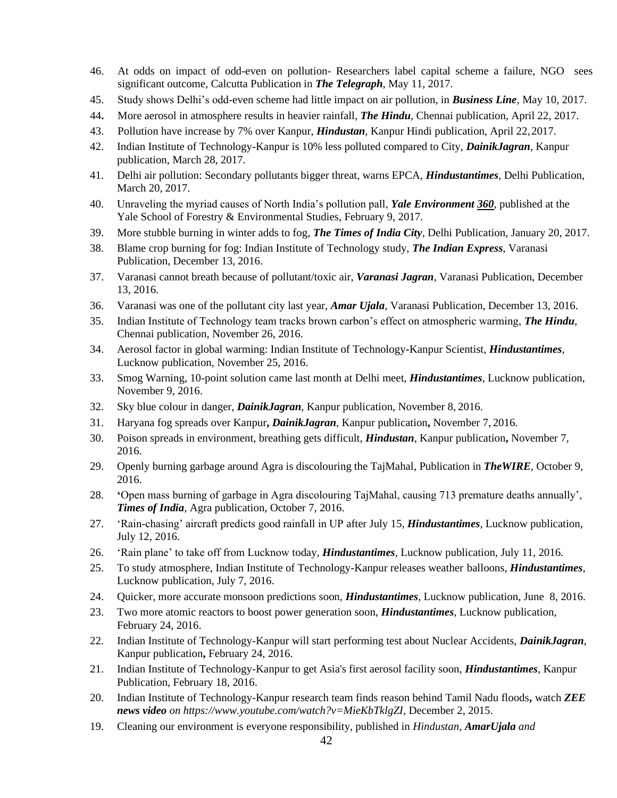- 46. At odds on impact of odd-even on pollution- Researchers label capital scheme a failure, NGO sees significant outcome, Calcutta Publication in *The Telegraph*, May 11, 2017.
- 45. Study shows Delhi's odd-even scheme had little impact on air pollution, in *Business Line*, May 10, 2017.
- 44**.** More aerosol in atmosphere results in heavier rainfall, *The Hindu*, Chennai publication, April 22, 2017.
- 43. Pollution have increase by 7% over Kanpur, *Hindustan*, Kanpur Hindi publication, April 22,2017.
- 42. Indian Institute of Technology-Kanpur is 10% less polluted compared to City, *DainikJagran*, Kanpur publication, March 28, 2017.
- 41. Delhi air pollution: Secondary pollutants bigger threat, warns EPCA, *Hindustantimes*, Delhi Publication, March 20, 2017.
- 40. Unraveling the myriad causes of North India's pollution pall, *Yale Environment 360*, published at the Yale School of Forestry & Environmental Studies, February 9, 2017.
- 39. More stubble burning in winter adds to fog, *The Times of India City*, Delhi Publication, January 20, 2017.
- 38. Blame crop burning for fog: Indian Institute of Technology study, *The Indian Express*, Varanasi Publication, December 13, 2016.
- 37. Varanasi cannot breath because of pollutant/toxic air, *Varanasi Jagran*, Varanasi Publication, December 13, 2016.
- 36. Varanasi was one of the pollutant city last year, *Amar Ujala*, Varanasi Publication, December 13, 2016.
- 35. Indian Institute of Technology team tracks brown carbon's effect on atmospheric warming, *The Hindu*, Chennai publication, November 26, 2016.
- 34. Aerosol factor in global warming: Indian Institute of Technology**-**Kanpur Scientist, *Hindustantimes*, Lucknow publication, November 25, 2016.
- 33. Smog Warning, 10-point solution came last month at Delhi meet, *Hindustantimes*, Lucknow publication, November 9, 2016.
- 32. Sky blue colour in danger, *DainikJagran*, Kanpur publication, November 8, 2016.
- 31. Haryana fog spreads over Kanpur**,** *DainikJagran*, Kanpur publication**,** November 7, 2016.
- 30. Poison spreads in environment, breathing gets difficult, *Hindustan*, Kanpur publication**,** November 7, 2016.
- 29. Openly burning garbage around Agra is discolouring the TajMahal, Publication in *TheWIRE*, October 9, 2016.
- 28. **'**Open mass burning of garbage in Agra discolouring TajMahal, causing 713 premature deaths annually', *Times of India*, Agra publication, October 7, 2016.
- 27. 'Rain-chasing' aircraft predicts good rainfall in UP after July 15, *Hindustantimes*, Lucknow publication, July 12, 2016.
- 26. 'Rain plane' to take off from Lucknow today, *Hindustantimes*, Lucknow publication, July 11, 2016.
- 25. To study atmosphere, Indian Institute of Technology-Kanpur releases weather balloons, *Hindustantimes*, Lucknow publication, July 7, 2016.
- 24. Quicker, more accurate monsoon predictions soon, *Hindustantimes,* Lucknow publication, June 8, 2016.
- 23. Two more atomic reactors to boost power generation soon, *Hindustantimes,* Lucknow publication, February 24, 2016.
- 22. Indian Institute of Technology-Kanpur will start performing test about Nuclear Accidents, *DainikJagran*, Kanpur publication**,** February 24, 2016.
- 21. Indian Institute of Technology-Kanpur to get Asia's first aerosol facility soon, *Hindustantimes*, Kanpur Publication, February 18, 2016.
- 20. Indian Institute of Technology-Kanpur research team finds reason behind Tamil Nadu floods**,** watch *ZEE news video on https:/[/www.youtube.com/watch?v=MieKbTklgZI](http://www.youtube.com/watch?v=MieKbTklgZI)*, December 2, 2015.
- 19. Cleaning our environment is everyone responsibility, published in *Hindustan*, *AmarUjala and*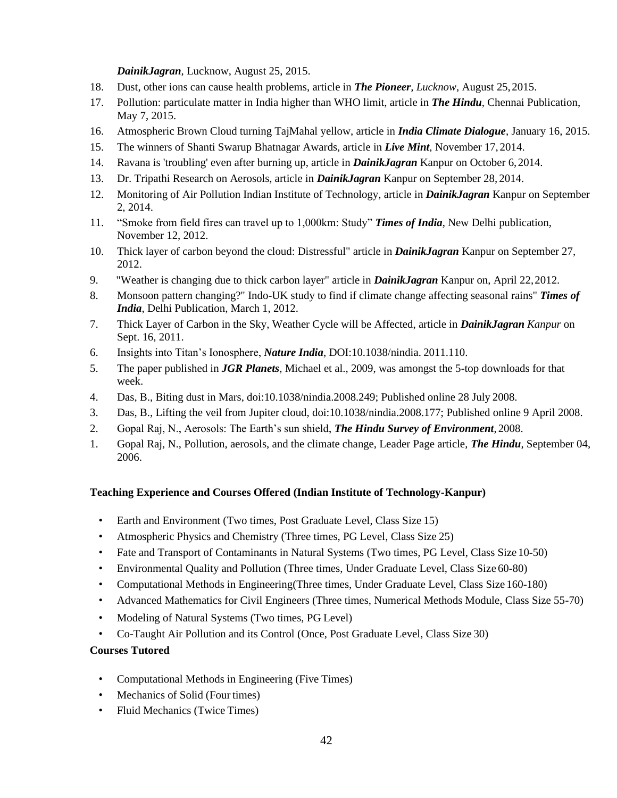#### *DainikJagran*, Lucknow, August 25, 2015.

- 18. Dust, other ions can cause health problems, article in *The Pioneer, Lucknow*, August 25,2015.
- 17. Pollution: particulate matter in India higher than WHO limit, article in *The Hindu*, Chennai Publication, May 7, 2015.
- 16. Atmospheric Brown Cloud turning TajMahal yellow, article in *India Climate Dialogue*, January 16, 2015.
- 15. The winners of Shanti Swarup Bhatnagar Awards, article in *Live Mint*, November 17, 2014.
- 14. Ravana is 'troubling' even after burning up, article in *DainikJagran* Kanpur on October 6,2014.
- 13. Dr. Tripathi Research on Aerosols, article in *DainikJagran* Kanpur on September 28, 2014.
- 12. Monitoring of Air Pollution Indian Institute of Technology, article in *DainikJagran* Kanpur on September 2, 2014.
- 11. "Smoke from field fires can travel up to 1,000km: Study" *Times of India*, New Delhi publication, November 12, 2012.
- 10. Thick layer of carbon beyond the cloud: Distressful" article in *DainikJagran* Kanpur on September 27, 2012.
- 9. "Weather is changing due to thick carbon layer" article in *DainikJagran* Kanpur on, April 22,2012.
- 8. Monsoon pattern changing?" Indo-UK study to find if climate change affecting seasonal rains" *Times of India*, Delhi Publication, March 1, 2012.
- 7. Thick Layer of Carbon in the Sky, Weather Cycle will be Affected, article in *DainikJagran Kanpur* on Sept. 16, 2011.
- 6. Insights into Titan's Ionosphere, *Nature India*, DOI:10.1038/nindia. 2011.110.
- 5. The paper published in *JGR Planets*, Michael et al., 2009, was amongst the 5-top downloads for that week.
- 4. Das, B., Biting dust in Mars, doi:10.1038/nindia.2008.249; Published online 28 July 2008.
- 3. Das, B., Lifting the veil from Jupiter cloud, doi:10.1038/nindia.2008.177; Published online 9 April 2008.
- 2. Gopal Raj, N., Aerosols: The Earth's sun shield, *The Hindu Survey of Environment*, 2008.
- 1. Gopal Raj, N., Pollution, aerosols, and the climate change, Leader Page article, *The Hindu*, September 04, 2006.

## **Teaching Experience and Courses Offered (Indian Institute of Technology-Kanpur)**

- Earth and Environment (Two times, Post Graduate Level, Class Size 15)
- Atmospheric Physics and Chemistry (Three times, PG Level, Class Size 25)
- Fate and Transport of Contaminants in Natural Systems (Two times, PG Level, Class Size 10-50)
- Environmental Quality and Pollution (Three times, Under Graduate Level, Class Size 60-80)
- Computational Methods in Engineering(Three times, Under Graduate Level, Class Size 160-180)
- Advanced Mathematics for Civil Engineers (Three times, Numerical Methods Module, Class Size 55-70)
- Modeling of Natural Systems (Two times, PG Level)
- Co-Taught Air Pollution and its Control (Once, Post Graduate Level, Class Size 30)

## **Courses Tutored**

- Computational Methods in Engineering (Five Times)
- Mechanics of Solid (Four times)
- Fluid Mechanics (Twice Times)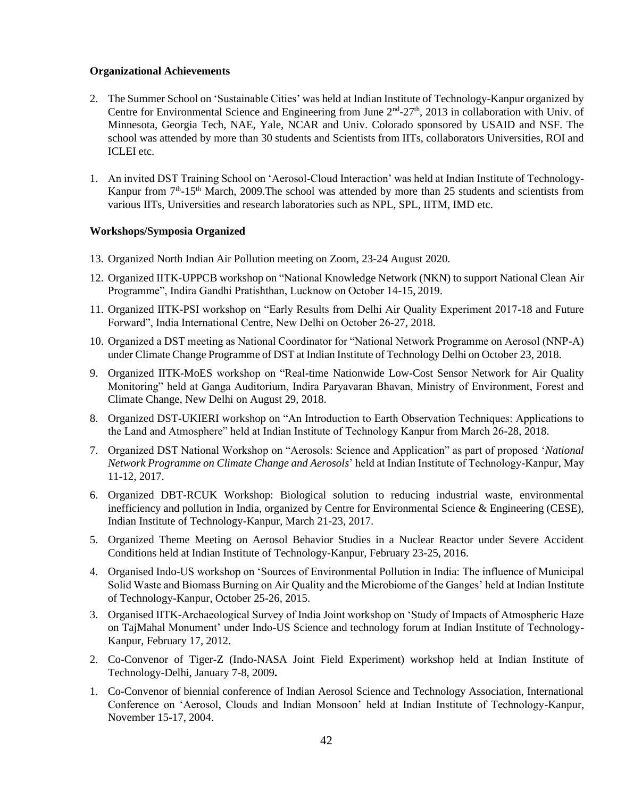#### **Organizational Achievements**

- 2. The Summer School on 'Sustainable Cities' was held at Indian Institute of Technology-Kanpur organized by Centre for Environmental Science and Engineering from June  $2<sup>nd</sup> - 27<sup>th</sup>$ , 2013 in collaboration with Univ. of Minnesota, Georgia Tech, NAE, Yale, NCAR and Univ. Colorado sponsored by USAID and NSF. The school was attended by more than 30 students and Scientists from IITs, collaborators Universities, ROI and ICLEI etc.
- 1. An invited DST Training School on 'Aerosol-Cloud Interaction' was held at Indian Institute of Technology-Kanpur from 7<sup>th</sup>-15<sup>th</sup> March, 2009. The school was attended by more than 25 students and scientists from various IITs, Universities and research laboratories such as NPL, SPL, IITM, IMD etc.

## **Workshops/Symposia Organized**

- 13. Organized North Indian Air Pollution meeting on Zoom, 23-24 August 2020.
- 12. Organized IITK-UPPCB workshop on "National Knowledge Network (NKN) to support National Clean Air Programme", Indira Gandhi Pratishthan, Lucknow on October 14-15, 2019.
- 11. Organized IITK-PSI workshop on "Early Results from Delhi Air Quality Experiment 2017-18 and Future Forward", India International Centre, New Delhi on October 26-27, 2018.
- 10. Organized a DST meeting as National Coordinator for "National Network Programme on Aerosol (NNP-A) under Climate Change Programme of DST at Indian Institute of Technology Delhi on October 23, 2018.
- 9. Organized IITK-MoES workshop on "Real-time Nationwide Low-Cost Sensor Network for Air Quality Monitoring" held at Ganga Auditorium, Indira Paryavaran Bhavan, Ministry of Environment, Forest and Climate Change, New Delhi on August 29, 2018.
- 8. Organized DST-UKIERI workshop on "An Introduction to Earth Observation Techniques: Applications to the Land and Atmosphere" held at Indian Institute of Technology Kanpur from March 26-28, 2018.
- 7. Organized DST National Workshop on "Aerosols: Science and Application" as part of proposed '*National Network Programme on Climate Change and Aerosols*' held at Indian Institute of Technology-Kanpur, May 11-12, 2017.
- 6. Organized DBT-RCUK Workshop: Biological solution to reducing industrial waste, environmental inefficiency and pollution in India, organized by Centre for Environmental Science & Engineering (CESE), Indian Institute of Technology-Kanpur, March 21-23, 2017.
- 5. Organized Theme Meeting on Aerosol Behavior Studies in a Nuclear Reactor under Severe Accident Conditions held at Indian Institute of Technology-Kanpur, February 23-25, 2016.
- 4. Organised Indo-US workshop on 'Sources of Environmental Pollution in India: The influence of Municipal Solid Waste and Biomass Burning on Air Quality and the Microbiome of the Ganges' held at Indian Institute of Technology-Kanpur, October 25-26, 2015.
- 3. Organised IITK-Archaeological Survey of India Joint workshop on 'Study of Impacts of Atmospheric Haze on TajMahal Monument' under Indo-US Science and technology forum at Indian Institute of Technology-Kanpur, February 17, 2012.
- 2. Co-Convenor of Tiger-Z (Indo-NASA Joint Field Experiment) workshop held at Indian Institute of Technology-Delhi, January 7-8, 2009**.**
- 1. Co-Convenor of biennial conference of Indian Aerosol Science and Technology Association, International Conference on 'Aerosol, Clouds and Indian Monsoon' held at Indian Institute of Technology-Kanpur, November 15-17, 2004.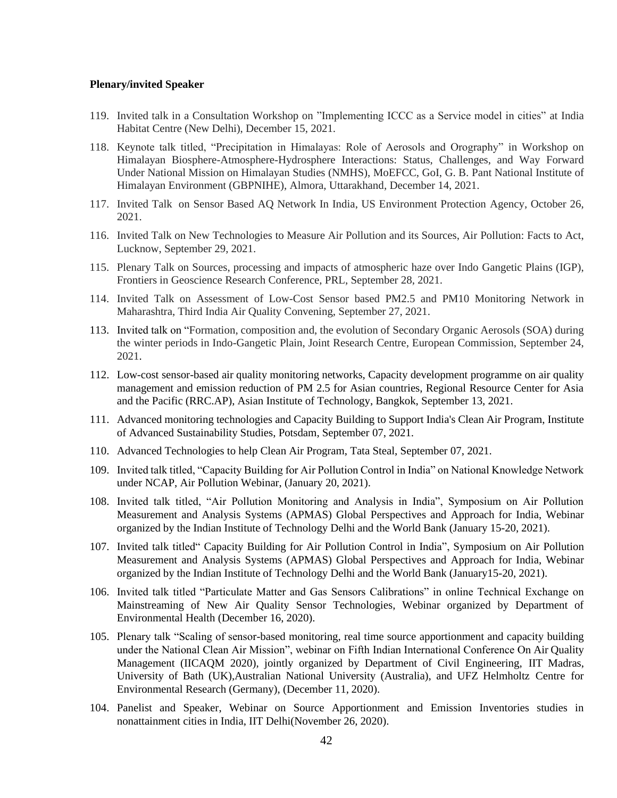#### **Plenary/invited Speaker**

- 119. Invited talk in a Consultation Workshop on "Implementing ICCC as a Service model in cities" at India Habitat Centre (New Delhi), December 15, 2021.
- 118. Keynote talk titled, "Precipitation in Himalayas: Role of Aerosols and Orography" in Workshop on Himalayan Biosphere-Atmosphere-Hydrosphere Interactions: Status, Challenges, and Way Forward Under National Mission on Himalayan Studies (NMHS), MoEFCC, GoI, G. B. Pant National Institute of Himalayan Environment (GBPNIHE), Almora, Uttarakhand, December 14, 2021.
- 117. Invited Talk on Sensor Based AQ Network In India, US Environment Protection Agency, October 26, 2021.
- 116. Invited Talk on New Technologies to Measure Air Pollution and its Sources, Air Pollution: Facts to Act, Lucknow, September 29, 2021.
- 115. Plenary Talk on Sources, processing and impacts of atmospheric haze over Indo Gangetic Plains (IGP), Frontiers in Geoscience Research Conference, PRL, September 28, 2021.
- 114. Invited Talk on Assessment of Low-Cost Sensor based PM2.5 and PM10 Monitoring Network in Maharashtra, Third India Air Quality Convening, September 27, 2021.
- 113. Invited talk on "Formation, composition and, the evolution of Secondary Organic Aerosols (SOA) during the winter periods in Indo-Gangetic Plain, Joint Research Centre, European Commission, September 24, 2021.
- 112. Low-cost sensor-based air quality monitoring networks, Capacity development programme on air quality management and emission reduction of PM 2.5 for Asian countries, Regional Resource Center for Asia and the Pacific (RRC.AP), Asian Institute of Technology, Bangkok, September 13, 2021.
- 111. Advanced monitoring technologies and Capacity Building to Support India's Clean Air Program, Institute of Advanced Sustainability Studies, Potsdam, September 07, 2021.
- 110. Advanced Technologies to help Clean Air Program, Tata Steal, September 07, 2021.
- 109. Invited talk titled, "Capacity Building for Air Pollution Control in India" on National Knowledge Network under NCAP, Air Pollution Webinar, (January 20, 2021).
- 108. Invited talk titled, "Air Pollution Monitoring and Analysis in India", Symposium on Air Pollution Measurement and Analysis Systems (APMAS) Global Perspectives and Approach for India, Webinar organized by the Indian Institute of Technology Delhi and the World Bank (January 15-20, 2021).
- 107. Invited talk titled" Capacity Building for Air Pollution Control in India", Symposium on Air Pollution Measurement and Analysis Systems (APMAS) Global Perspectives and Approach for India, Webinar organized by the Indian Institute of Technology Delhi and the World Bank (January15-20, 2021).
- 106. Invited talk titled "Particulate Matter and Gas Sensors Calibrations" in online Technical Exchange on Mainstreaming of New Air Quality Sensor Technologies, Webinar organized by Department of Environmental Health (December 16, 2020).
- 105. Plenary talk "Scaling of sensor-based monitoring, real time source apportionment and capacity building under the National Clean Air Mission", webinar on Fifth Indian International Conference On Air Quality Management (IICAQM 2020), jointly organized by Department of Civil Engineering, IIT Madras, University of Bath (UK),Australian National University (Australia), and UFZ Helmholtz Centre for Environmental Research (Germany), (December 11, 2020).
- 104. Panelist and Speaker, Webinar on Source Apportionment and Emission Inventories studies in nonattainment cities in India, IIT Delhi(November 26, 2020).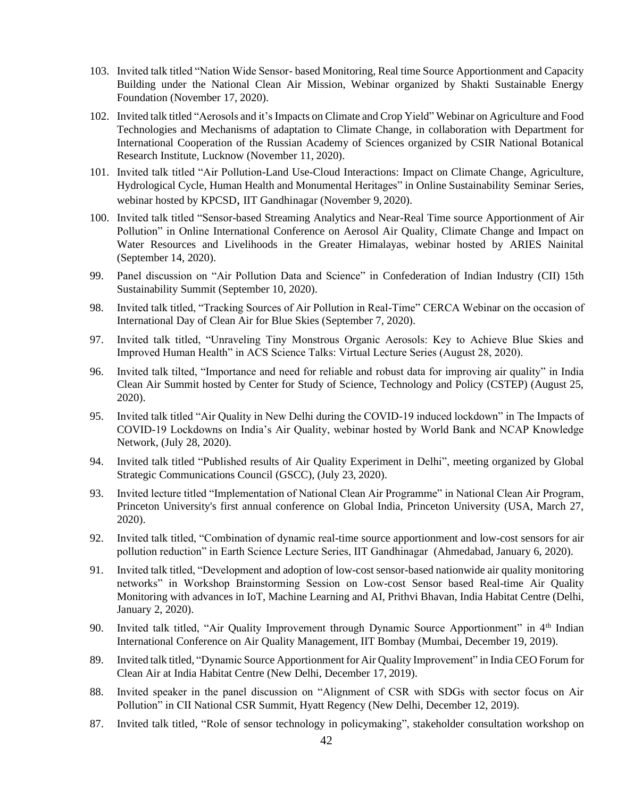- 103. Invited talk titled "Nation Wide Sensor- based Monitoring, Real time Source Apportionment and Capacity Building under the National Clean Air Mission, Webinar organized by Shakti Sustainable Energy Foundation (November 17, 2020).
- 102. Invited talk titled "Aerosols and it's Impacts on Climate and Crop Yield" Webinar on Agriculture and Food Technologies and Mechanisms of adaptation to Climate Change, in collaboration with Department for International Cooperation of the Russian Academy of Sciences organized by CSIR National Botanical Research Institute, Lucknow (November 11, 2020).
- 101. Invited talk titled "Air Pollution-Land Use-Cloud Interactions: Impact on Climate Change, Agriculture, Hydrological Cycle, Human Health and Monumental Heritages" in Online Sustainability Seminar Series, webinar hosted by KPCSD, IIT Gandhinagar (November 9, 2020).
- 100. Invited talk titled "Sensor-based Streaming Analytics and Near-Real Time source Apportionment of Air Pollution" in Online International Conference on Aerosol Air Quality, Climate Change and Impact on Water Resources and Livelihoods in the Greater Himalayas, webinar hosted by ARIES Nainital (September 14, 2020).
- 99. Panel discussion on "Air Pollution Data and Science" in Confederation of Indian Industry (CII) 15th Sustainability Summit (September 10, 2020).
- 98. Invited talk titled, "Tracking Sources of Air Pollution in Real-Time" CERCA Webinar on the occasion of International Day of Clean Air for Blue Skies (September 7, 2020).
- 97. Invited talk titled, "Unraveling Tiny Monstrous Organic Aerosols: Key to Achieve Blue Skies and Improved Human Health" in ACS Science Talks: Virtual Lecture Series (August 28, 2020).
- 96. Invited talk tilted, "Importance and need for reliable and robust data for improving air quality" in India Clean Air Summit hosted by Center for Study of Science, Technology and Policy (CSTEP) (August 25, 2020).
- 95. Invited talk titled "Air Quality in New Delhi during the COVID-19 induced lockdown" in The Impacts of COVID-19 Lockdowns on India's Air Quality, webinar hosted by World Bank and NCAP Knowledge Network, (July 28, 2020).
- 94. Invited talk titled "Published results of Air Quality Experiment in Delhi", meeting organized by Global Strategic Communications Council (GSCC), (July 23, 2020).
- 93. Invited lecture titled "Implementation of National Clean Air Programme" in National Clean Air Program, Princeton University's first annual conference on Global India, Princeton University (USA, March 27, 2020).
- 92. Invited talk titled, "Combination of dynamic real-time source apportionment and low-cost sensors for air pollution reduction" in Earth Science Lecture Series, IIT Gandhinagar (Ahmedabad, January 6, 2020).
- 91. Invited talk titled, "Development and adoption of low-cost sensor-based nationwide air quality monitoring networks" in Workshop Brainstorming Session on Low-cost Sensor based Real-time Air Quality Monitoring with advances in IoT, Machine Learning and AI, Prithvi Bhavan, India Habitat Centre (Delhi, January 2, 2020).
- 90. Invited talk titled, "Air Quality Improvement through Dynamic Source Apportionment" in 4<sup>th</sup> Indian International Conference on Air Quality Management, IIT Bombay (Mumbai, December 19, 2019).
- 89. Invited talk titled, "Dynamic Source Apportionment for Air Quality Improvement" in India CEO Forum for Clean Air at India Habitat Centre (New Delhi, December 17, 2019).
- 88. Invited speaker in the panel discussion on "Alignment of CSR with SDGs with sector focus on Air Pollution" in CII National CSR Summit, Hyatt Regency (New Delhi, December 12, 2019).
- 87. Invited talk titled, "Role of sensor technology in policymaking", stakeholder consultation workshop on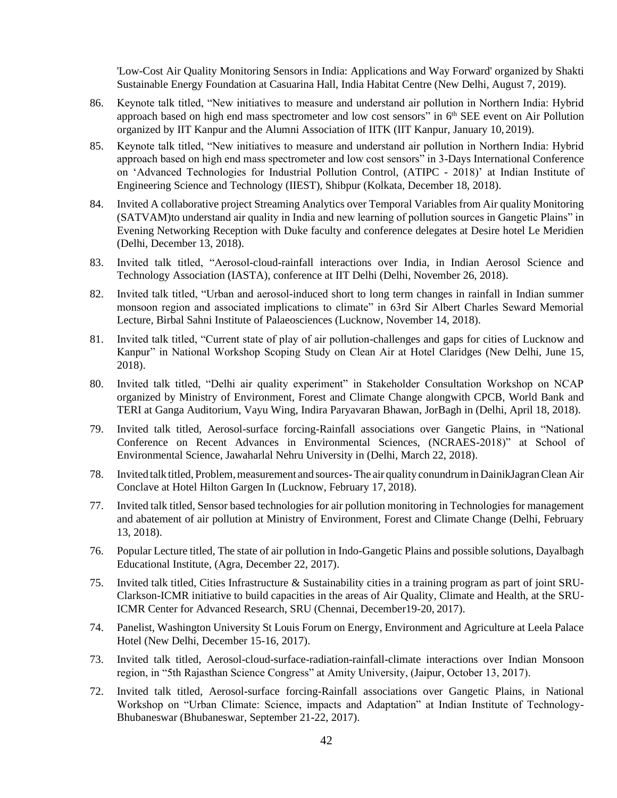'Low-Cost Air Quality Monitoring Sensors in India: Applications and Way Forward' organized by Shakti Sustainable Energy Foundation at Casuarina Hall, India Habitat Centre (New Delhi, August 7, 2019).

- 86. Keynote talk titled, "New initiatives to measure and understand air pollution in Northern India: Hybrid approach based on high end mass spectrometer and low cost sensors" in 6<sup>th</sup> SEE event on Air Pollution organized by IIT Kanpur and the Alumni Association of IITK (IIT Kanpur, January 10, 2019).
- 85. Keynote talk titled, "New initiatives to measure and understand air pollution in Northern India: Hybrid approach based on high end mass spectrometer and low cost sensors" in 3-Days International Conference on 'Advanced Technologies for Industrial Pollution Control, (ATIPC - 2018)' at Indian Institute of Engineering Science and Technology (IIEST), Shibpur (Kolkata, December 18, 2018).
- 84. Invited A collaborative project Streaming Analytics over Temporal Variables from Air quality Monitoring (SATVAM)to understand air quality in India and new learning of pollution sources in Gangetic Plains" in Evening Networking Reception with Duke faculty and conference delegates at Desire hotel Le Meridien (Delhi, December 13, 2018).
- 83. Invited talk titled, "Aerosol-cloud-rainfall interactions over India, in Indian Aerosol Science and Technology Association (IASTA), conference at IIT Delhi (Delhi, November 26, 2018).
- 82. Invited talk titled, "Urban and aerosol-induced short to long term changes in rainfall in Indian summer monsoon region and associated implications to climate" in 63rd Sir Albert Charles Seward Memorial Lecture, Birbal Sahni Institute of Palaeosciences (Lucknow, November 14, 2018).
- 81. Invited talk titled, "Current state of play of air pollution-challenges and gaps for cities of Lucknow and Kanpur" in National Workshop Scoping Study on Clean Air at Hotel Claridges (New Delhi, June 15, 2018).
- 80. Invited talk titled, "Delhi air quality experiment" in Stakeholder Consultation Workshop on NCAP organized by Ministry of Environment, Forest and Climate Change alongwith CPCB, World Bank and TERI at Ganga Auditorium, Vayu Wing, Indira Paryavaran Bhawan, JorBagh in (Delhi, April 18, 2018).
- 79. Invited talk titled, Aerosol-surface forcing-Rainfall associations over Gangetic Plains, in "National Conference on Recent Advances in Environmental Sciences, (NCRAES-2018)" at School of Environmental Science, Jawaharlal Nehru University in (Delhi, March 22, 2018).
- 78. Invited talk titled, Problem, measurement and sources-The air quality conundrum in DainikJagran Clean Air Conclave at Hotel Hilton Gargen In (Lucknow, February 17, 2018).
- 77. Invited talk titled, Sensor based technologies for air pollution monitoring in Technologies for management and abatement of air pollution at Ministry of Environment, Forest and Climate Change (Delhi, February 13, 2018).
- 76. Popular Lecture titled, The state of air pollution in Indo-Gangetic Plains and possible solutions, Dayalbagh Educational Institute, (Agra, December 22, 2017).
- 75. Invited talk titled, Cities Infrastructure & Sustainability cities in a training program as part of joint SRU-Clarkson-ICMR initiative to build capacities in the areas of Air Quality, Climate and Health, at the SRU-ICMR Center for Advanced Research, SRU (Chennai, December19-20, 2017).
- 74. Panelist, Washington University St Louis Forum on Energy, Environment and Agriculture at Leela Palace Hotel (New Delhi, December 15-16, 2017).
- 73. Invited talk titled, Aerosol-cloud-surface-radiation-rainfall-climate interactions over Indian Monsoon region, in "5th Rajasthan Science Congress" at Amity University, (Jaipur, October 13, 2017).
- 72. Invited talk titled, Aerosol-surface forcing-Rainfall associations over Gangetic Plains, in National Workshop on "Urban Climate: Science, impacts and Adaptation" at Indian Institute of Technology-Bhubaneswar (Bhubaneswar, September 21-22, 2017).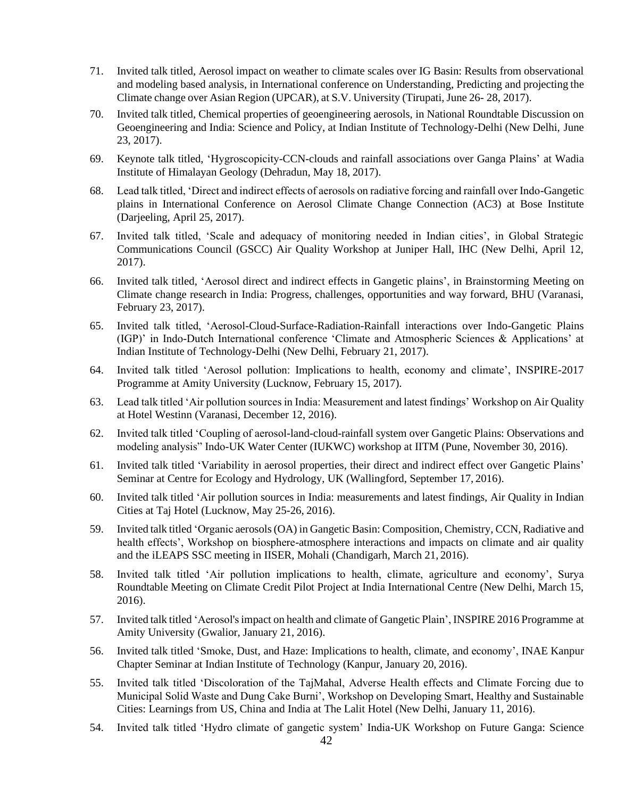- 71. Invited talk titled, Aerosol impact on weather to climate scales over IG Basin: Results from observational and modeling based analysis, in International conference on Understanding, Predicting and projecting the Climate change over Asian Region (UPCAR), at S.V. University (Tirupati, June 26- 28, 2017).
- 70. Invited talk titled, Chemical properties of geoengineering aerosols, in National Roundtable Discussion on Geoengineering and India: Science and Policy, at Indian Institute of Technology-Delhi (New Delhi, June 23, 2017).
- 69. Keynote talk titled, 'Hygroscopicity-CCN-clouds and rainfall associations over Ganga Plains' at Wadia Institute of Himalayan Geology (Dehradun, May 18, 2017).
- 68. Lead talk titled, 'Direct and indirect effects of aerosols on radiative forcing and rainfall over Indo-Gangetic plains in International Conference on Aerosol Climate Change Connection (AC3) at Bose Institute (Darjeeling, April 25, 2017).
- 67. Invited talk titled, 'Scale and adequacy of monitoring needed in Indian cities', in Global Strategic Communications Council (GSCC) Air Quality Workshop at Juniper Hall, IHC (New Delhi, April 12, 2017).
- 66. Invited talk titled, 'Aerosol direct and indirect effects in Gangetic plains', in Brainstorming Meeting on Climate change research in India: Progress, challenges, opportunities and way forward, BHU (Varanasi, February 23, 2017).
- 65. Invited talk titled, 'Aerosol-Cloud-Surface-Radiation-Rainfall interactions over Indo-Gangetic Plains (IGP)' in Indo-Dutch International conference 'Climate and Atmospheric Sciences & Applications' at Indian Institute of Technology-Delhi (New Delhi, February 21, 2017).
- 64. Invited talk titled 'Aerosol pollution: Implications to health, economy and climate', INSPIRE-2017 Programme at Amity University (Lucknow, February 15, 2017).
- 63. Lead talk titled 'Air pollution sources in India: Measurement and latest findings' Workshop on Air Quality at Hotel Westinn (Varanasi, December 12, 2016).
- 62. Invited talk titled 'Coupling of aerosol-land-cloud-rainfall system over Gangetic Plains: Observations and modeling analysis" Indo-UK Water Center (IUKWC) workshop at IITM (Pune, November 30, 2016).
- 61. Invited talk titled 'Variability in aerosol properties, their direct and indirect effect over Gangetic Plains' Seminar at Centre for Ecology and Hydrology, UK (Wallingford, September 17, 2016).
- 60. Invited talk titled 'Air pollution sources in India: measurements and latest findings, Air Quality in Indian Cities at Taj Hotel (Lucknow, May 25-26, 2016).
- 59. Invited talk titled 'Organic aerosols(OA) in Gangetic Basin: Composition, Chemistry, CCN, Radiative and health effects', Workshop on biosphere-atmosphere interactions and impacts on climate and air quality and the iLEAPS SSC meeting in IISER, Mohali (Chandigarh, March 21, 2016).
- 58. Invited talk titled 'Air pollution implications to health, climate, agriculture and economy', Surya Roundtable Meeting on Climate Credit Pilot Project at India International Centre (New Delhi, March 15, 2016).
- 57. Invited talk titled 'Aerosol'simpact on health and climate of Gangetic Plain', INSPIRE 2016 Programme at Amity University (Gwalior, January 21, 2016).
- 56. Invited talk titled 'Smoke, Dust, and Haze: Implications to health, climate, and economy', INAE Kanpur Chapter Seminar at Indian Institute of Technology (Kanpur, January 20, 2016).
- 55. Invited talk titled 'Discoloration of the TajMahal, Adverse Health effects and Climate Forcing due to Municipal Solid Waste and Dung Cake Burni', Workshop on Developing Smart, Healthy and Sustainable Cities: Learnings from US, China and India at The Lalit Hotel (New Delhi, January 11, 2016).
- 54. Invited talk titled 'Hydro climate of gangetic system' India-UK Workshop on Future Ganga: Science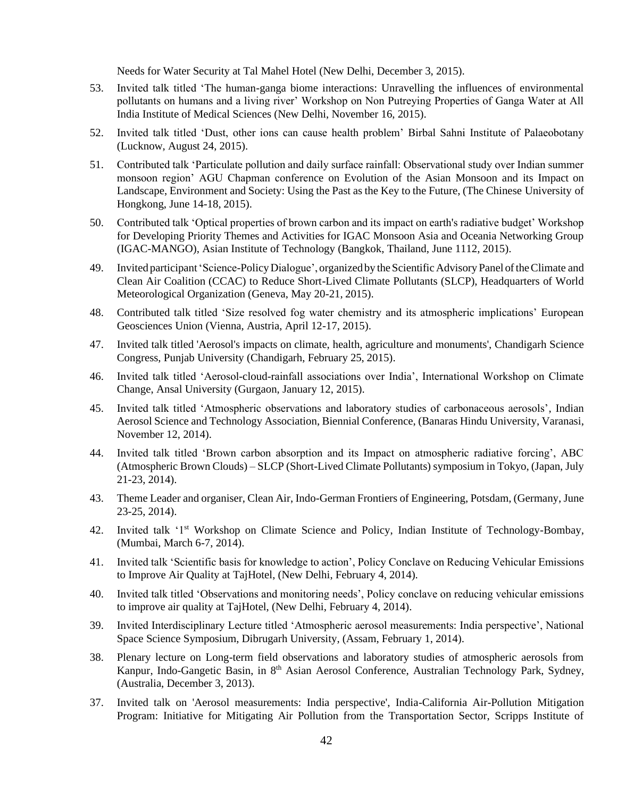Needs for Water Security at Tal Mahel Hotel (New Delhi, December 3, 2015).

- 53. Invited talk titled 'The human-ganga biome interactions: Unravelling the influences of environmental pollutants on humans and a living river' Workshop on Non Putreying Properties of Ganga Water at All India Institute of Medical Sciences (New Delhi, November 16, 2015).
- 52. Invited talk titled 'Dust, other ions can cause health problem' Birbal Sahni Institute of Palaeobotany (Lucknow, August 24, 2015).
- 51. Contributed talk 'Particulate pollution and daily surface rainfall: Observational study over Indian summer monsoon region' AGU Chapman conference on Evolution of the Asian Monsoon and its Impact on Landscape, Environment and Society: Using the Past as the Key to the Future, (The Chinese University of Hongkong, June 14-18, 2015).
- 50. Contributed talk 'Optical properties of brown carbon and its impact on earth's radiative budget' Workshop for Developing Priority Themes and Activities for IGAC Monsoon Asia and Oceania Networking Group (IGAC-MANGO), Asian Institute of Technology (Bangkok, Thailand, June 1112, 2015).
- 49. Invited participant'Science-PolicyDialogue', organizedby theScientificAdvisory Panel oftheClimate and Clean Air Coalition (CCAC) to Reduce Short-Lived Climate Pollutants (SLCP), Headquarters of World Meteorological Organization (Geneva, May 20-21, 2015).
- 48. Contributed talk titled 'Size resolved fog water chemistry and its atmospheric implications' European Geosciences Union (Vienna, Austria, April 12-17, 2015).
- 47. Invited talk titled 'Aerosol's impacts on climate, health, agriculture and monuments', Chandigarh Science Congress, Punjab University (Chandigarh, February 25, 2015).
- 46. Invited talk titled 'Aerosol-cloud-rainfall associations over India', International Workshop on Climate Change, Ansal University (Gurgaon, January 12, 2015).
- 45. Invited talk titled 'Atmospheric observations and laboratory studies of carbonaceous aerosols', Indian Aerosol Science and Technology Association, Biennial Conference, (Banaras Hindu University, Varanasi, November 12, 2014).
- 44. Invited talk titled 'Brown carbon absorption and its Impact on atmospheric radiative forcing', ABC (Atmospheric Brown Clouds) – SLCP (Short-Lived Climate Pollutants) symposium in Tokyo, (Japan, July 21-23, 2014).
- 43. Theme Leader and organiser, Clean Air, Indo-German Frontiers of Engineering, Potsdam, (Germany, June 23-25, 2014).
- 42. Invited talk '1st Workshop on Climate Science and Policy, Indian Institute of Technology-Bombay, (Mumbai, March 6-7, 2014).
- 41. Invited talk 'Scientific basis for knowledge to action', Policy Conclave on Reducing Vehicular Emissions to Improve Air Quality at TajHotel, (New Delhi, February 4, 2014).
- 40. Invited talk titled 'Observations and monitoring needs', Policy conclave on reducing vehicular emissions to improve air quality at TajHotel, (New Delhi, February 4, 2014).
- 39. Invited Interdisciplinary Lecture titled 'Atmospheric aerosol measurements: India perspective', National Space Science Symposium, Dibrugarh University, (Assam, February 1, 2014).
- 38. Plenary lecture on Long-term field observations and laboratory studies of atmospheric aerosols from Kanpur, Indo-Gangetic Basin, in 8<sup>th</sup> Asian Aerosol Conference, Australian Technology Park, Sydney, (Australia, December 3, 2013).
- 37. Invited talk on 'Aerosol measurements: India perspective', India-California Air-Pollution Mitigation Program: Initiative for Mitigating Air Pollution from the Transportation Sector, Scripps Institute of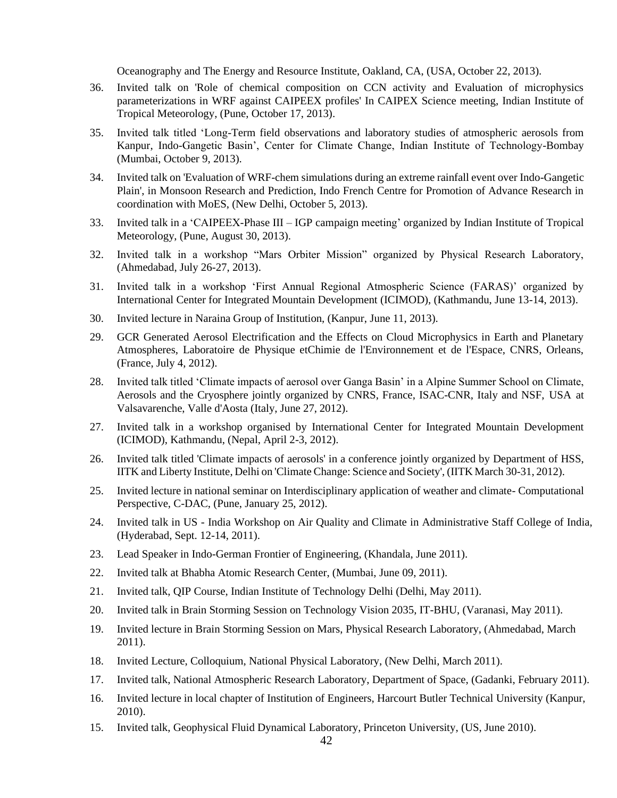Oceanography and The Energy and Resource Institute, Oakland, CA, (USA, October 22, 2013).

- 36. Invited talk on 'Role of chemical composition on CCN activity and Evaluation of microphysics parameterizations in WRF against CAIPEEX profiles' In CAIPEX Science meeting, Indian Institute of Tropical Meteorology, (Pune, October 17, 2013).
- 35. Invited talk titled 'Long-Term field observations and laboratory studies of atmospheric aerosols from Kanpur, Indo-Gangetic Basin', Center for Climate Change, Indian Institute of Technology-Bombay (Mumbai, October 9, 2013).
- 34. Invited talk on 'Evaluation of WRF-chem simulations during an extreme rainfall event over Indo-Gangetic Plain', in Monsoon Research and Prediction, Indo French Centre for Promotion of Advance Research in coordination with MoES, (New Delhi, October 5, 2013).
- 33. Invited talk in a 'CAIPEEX-Phase III IGP campaign meeting' organized by Indian Institute of Tropical Meteorology, (Pune, August 30, 2013).
- 32. Invited talk in a workshop "Mars Orbiter Mission" organized by Physical Research Laboratory, (Ahmedabad, July 26-27, 2013).
- 31. Invited talk in a workshop 'First Annual Regional Atmospheric Science (FARAS)' organized by International Center for Integrated Mountain Development (ICIMOD), (Kathmandu, June 13-14, 2013).
- 30. Invited lecture in Naraina Group of Institution, (Kanpur, June 11, 2013).
- 29. GCR Generated Aerosol Electrification and the Effects on Cloud Microphysics in Earth and Planetary Atmospheres, Laboratoire de Physique etChimie de l'Environnement et de l'Espace, CNRS, Orleans, (France, July 4, 2012).
- 28. Invited talk titled 'Climate impacts of aerosol over Ganga Basin' in a Alpine Summer School on Climate, Aerosols and the Cryosphere jointly organized by CNRS, France, ISAC-CNR, Italy and NSF, USA at Valsavarenche, Valle d'Aosta (Italy, June 27, 2012).
- 27. Invited talk in a workshop organised by International Center for Integrated Mountain Development (ICIMOD), Kathmandu, (Nepal, April 2-3, 2012).
- 26. Invited talk titled 'Climate impacts of aerosols' in a conference jointly organized by Department of HSS, IITK and Liberty Institute, Delhi on 'Climate Change: Science and Society', (IITK March 30-31, 2012).
- 25. Invited lecture in national seminar on Interdisciplinary application of weather and climate- Computational Perspective, C-DAC, (Pune, January 25, 2012).
- 24. Invited talk in US India Workshop on Air Quality and Climate in Administrative Staff College of India, (Hyderabad, Sept. 12-14, 2011).
- 23. Lead Speaker in Indo-German Frontier of Engineering, (Khandala, June 2011).
- 22. Invited talk at Bhabha Atomic Research Center, (Mumbai, June 09, 2011).
- 21. Invited talk, QIP Course, Indian Institute of Technology Delhi (Delhi, May 2011).
- 20. Invited talk in Brain Storming Session on Technology Vision 2035, IT-BHU, (Varanasi, May 2011).
- 19. Invited lecture in Brain Storming Session on Mars, Physical Research Laboratory, (Ahmedabad, March 2011).
- 18. Invited Lecture, Colloquium, National Physical Laboratory, (New Delhi, March 2011).
- 17. Invited talk, National Atmospheric Research Laboratory, Department of Space, (Gadanki, February 2011).
- 16. Invited lecture in local chapter of Institution of Engineers, Harcourt Butler Technical University (Kanpur, 2010).
- 15. Invited talk, Geophysical Fluid Dynamical Laboratory, Princeton University, (US, June 2010).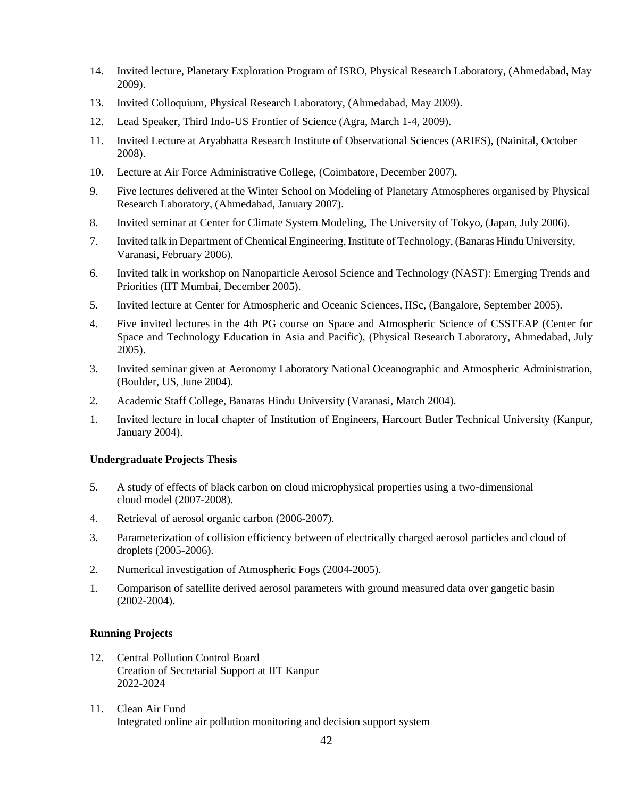- 14. Invited lecture, Planetary Exploration Program of ISRO, Physical Research Laboratory, (Ahmedabad, May 2009).
- 13. Invited Colloquium, Physical Research Laboratory, (Ahmedabad, May 2009).
- 12. Lead Speaker, Third Indo-US Frontier of Science (Agra, March 1-4, 2009).
- 11. Invited Lecture at Aryabhatta Research Institute of Observational Sciences (ARIES), (Nainital, October 2008).
- 10. Lecture at Air Force Administrative College, (Coimbatore, December 2007).
- 9. Five lectures delivered at the Winter School on Modeling of Planetary Atmospheres organised by Physical Research Laboratory, (Ahmedabad, January 2007).
- 8. Invited seminar at Center for Climate System Modeling, The University of Tokyo, (Japan, July 2006).
- 7. Invited talk in Department of Chemical Engineering, Institute of Technology, (Banaras Hindu University, Varanasi, February 2006).
- 6. Invited talk in workshop on Nanoparticle Aerosol Science and Technology (NAST): Emerging Trends and Priorities (IIT Mumbai, December 2005).
- 5. Invited lecture at Center for Atmospheric and Oceanic Sciences, IISc, (Bangalore, September 2005).
- 4. Five invited lectures in the 4th PG course on Space and Atmospheric Science of CSSTEAP (Center for Space and Technology Education in Asia and Pacific), (Physical Research Laboratory, Ahmedabad, July 2005).
- 3. Invited seminar given at Aeronomy Laboratory National Oceanographic and Atmospheric Administration, (Boulder, US, June 2004).
- 2. Academic Staff College, Banaras Hindu University (Varanasi, March 2004).
- 1. Invited lecture in local chapter of Institution of Engineers, Harcourt Butler Technical University (Kanpur, January 2004).

## **Undergraduate Projects Thesis**

- 5. A study of effects of black carbon on cloud microphysical properties using a two-dimensional cloud model (2007-2008).
- 4. Retrieval of aerosol organic carbon (2006-2007).
- 3. Parameterization of collision efficiency between of electrically charged aerosol particles and cloud of droplets (2005-2006).
- 2. Numerical investigation of Atmospheric Fogs (2004-2005).
- 1. Comparison of satellite derived aerosol parameters with ground measured data over gangetic basin (2002-2004).

## **Running Projects**

- 12. Central Pollution Control Board Creation of Secretarial Support at IIT Kanpur 2022-2024
- 11. Clean Air Fund Integrated online air pollution monitoring and decision support system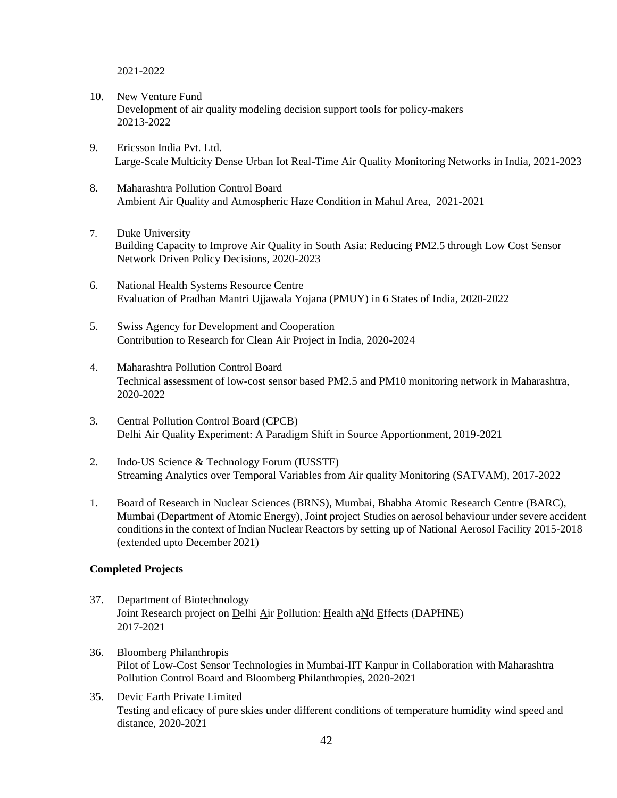2021-2022

- 10. New Venture Fund Development of air quality modeling decision support tools for policy-makers 20213-2022
- 9. Ericsson India Pvt. Ltd. Large-Scale Multicity Dense Urban Iot Real-Time Air Quality Monitoring Networks in India, 2021-2023
- 8. Maharashtra Pollution Control Board Ambient Air Quality and Atmospheric Haze Condition in Mahul Area, 2021-2021
- 7. Duke University Building Capacity to Improve Air Quality in South Asia: Reducing PM2.5 through Low Cost Sensor Network Driven Policy Decisions, 2020-2023
- 6. National Health Systems Resource Centre Evaluation of Pradhan Mantri Ujjawala Yojana (PMUY) in 6 States of India, 2020-2022
- 5. Swiss Agency for Development and Cooperation Contribution to Research for Clean Air Project in India, 2020-2024
- 4. Maharashtra Pollution Control Board Technical assessment of low-cost sensor based PM2.5 and PM10 monitoring network in Maharashtra, 2020-2022
- 3. Central Pollution Control Board (CPCB) Delhi Air Quality Experiment: A Paradigm Shift in Source Apportionment, 2019-2021
- 2. Indo-US Science & Technology Forum (IUSSTF) Streaming Analytics over Temporal Variables from Air quality Monitoring (SATVAM), 2017-2022
- 1. Board of Research in Nuclear Sciences (BRNS), Mumbai, Bhabha Atomic Research Centre (BARC), Mumbai (Department of Atomic Energy), Joint project Studies on aerosol behaviour under severe accident conditionsin the context of Indian Nuclear Reactors by setting up of National Aerosol Facility 2015-2018 (extended upto December 2021)

## **Completed Projects**

- 37. Department of Biotechnology Joint Research project on Delhi Air Pollution: Health aNd Effects (DAPHNE) 2017-2021
- 36. Bloomberg Philanthropis Pilot of Low-Cost Sensor Technologies in Mumbai-IIT Kanpur in Collaboration with Maharashtra Pollution Control Board and Bloomberg Philanthropies, 2020-2021
- 35. Devic Earth Private Limited Testing and eficacy of pure skies under different conditions of temperature humidity wind speed and distance, 2020-2021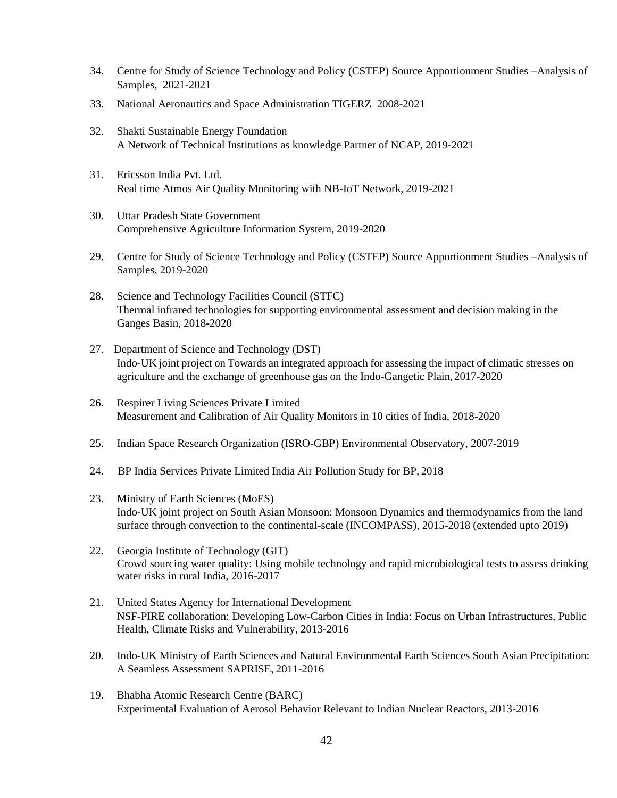- 34. Centre for Study of Science Technology and Policy (CSTEP) Source Apportionment Studies –Analysis of Samples, 2021-2021
- 33. National Aeronautics and Space Administration TIGERZ 2008-2021
- 32. Shakti Sustainable Energy Foundation A Network of Technical Institutions as knowledge Partner of NCAP, 2019-2021
- 31. Ericsson India Pvt. Ltd. Real time Atmos Air Quality Monitoring with NB-IoT Network, 2019-2021
- 30. Uttar Pradesh State Government Comprehensive Agriculture Information System, 2019-2020
- 29. Centre for Study of Science Technology and Policy (CSTEP) Source Apportionment Studies –Analysis of Samples, 2019-2020
- 28. Science and Technology Facilities Council (STFC) Thermal infrared technologies for supporting environmental assessment and decision making in the Ganges Basin, 2018-2020
- 27. Department of Science and Technology (DST) Indo-UK joint project on Towards an integrated approach for assessing the impact of climatic stresses on agriculture and the exchange of greenhouse gas on the Indo-Gangetic Plain, 2017-2020
- 26. Respirer Living Sciences Private Limited Measurement and Calibration of Air Quality Monitors in 10 cities of India, 2018-2020
- 25. Indian Space Research Organization (ISRO-GBP) Environmental Observatory, 2007-2019
- 24. BP India Services Private Limited India Air Pollution Study for BP, 2018
- 23. Ministry of Earth Sciences (MoES) Indo-UK joint project on South Asian Monsoon: Monsoon Dynamics and thermodynamics from the land surface through convection to the continental-scale (INCOMPASS), 2015-2018 (extended upto 2019)
- 22. Georgia Institute of Technology (GIT) Crowd sourcing water quality: Using mobile technology and rapid microbiological tests to assess drinking water risks in rural India, 2016-2017
- 21. United States Agency for International Development NSF-PIRE collaboration: Developing Low-Carbon Cities in India: Focus on Urban Infrastructures, Public Health, Climate Risks and Vulnerability, 2013-2016
- 20. Indo-UK Ministry of Earth Sciences and Natural Environmental Earth Sciences South Asian Precipitation: A Seamless Assessment SAPRISE, 2011-2016
- 19. Bhabha Atomic Research Centre (BARC) Experimental Evaluation of Aerosol Behavior Relevant to Indian Nuclear Reactors, 2013-2016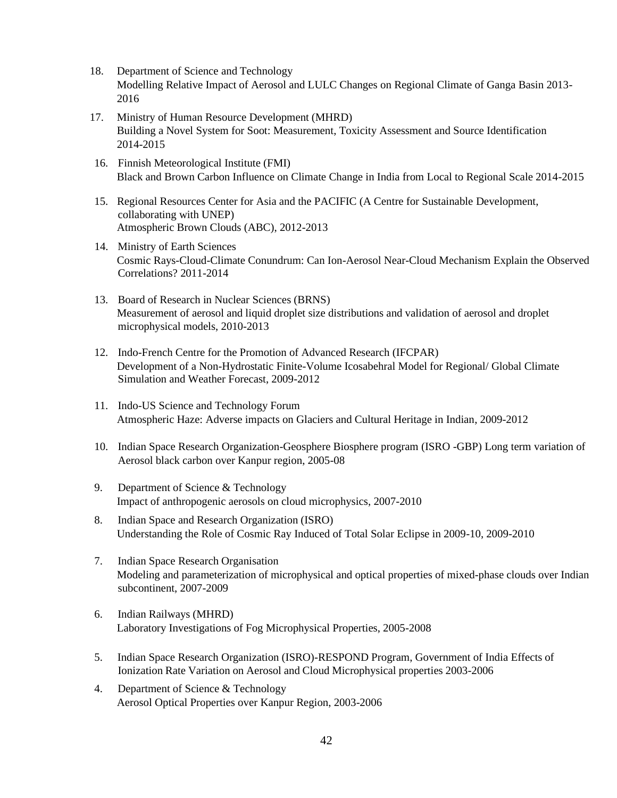- 18. Department of Science and Technology Modelling Relative Impact of Aerosol and LULC Changes on Regional Climate of Ganga Basin 2013- 2016
- 17. Ministry of Human Resource Development (MHRD) Building a Novel System for Soot: Measurement, Toxicity Assessment and Source Identification 2014-2015
- 16. Finnish Meteorological Institute (FMI) Black and Brown Carbon Influence on Climate Change in India from Local to Regional Scale 2014-2015
- 15. Regional Resources Center for Asia and the PACIFIC (A Centre for Sustainable Development, collaborating with UNEP) Atmospheric Brown Clouds (ABC), 2012-2013
- 14. Ministry of Earth Sciences Cosmic Rays-Cloud-Climate Conundrum: Can Ion-Aerosol Near-Cloud Mechanism Explain the Observed Correlations? 2011-2014
- 13. Board of Research in Nuclear Sciences (BRNS) Measurement of aerosol and liquid droplet size distributions and validation of aerosol and droplet microphysical models, 2010-2013
- 12. Indo-French Centre for the Promotion of Advanced Research (IFCPAR) Development of a Non-Hydrostatic Finite-Volume Icosabehral Model for Regional/ Global Climate Simulation and Weather Forecast, 2009-2012
- 11. Indo-US Science and Technology Forum Atmospheric Haze: Adverse impacts on Glaciers and Cultural Heritage in Indian, 2009-2012
- 10. Indian Space Research Organization-Geosphere Biosphere program (ISRO -GBP) Long term variation of Aerosol black carbon over Kanpur region, 2005-08
- 9. Department of Science & Technology Impact of anthropogenic aerosols on cloud microphysics, 2007-2010
- 8. Indian Space and Research Organization (ISRO) Understanding the Role of Cosmic Ray Induced of Total Solar Eclipse in 2009-10, 2009-2010
- 7. Indian Space Research Organisation Modeling and parameterization of microphysical and optical properties of mixed-phase clouds over Indian subcontinent, 2007-2009
- 6. Indian Railways (MHRD) Laboratory Investigations of Fog Microphysical Properties, 2005-2008
- 5. Indian Space Research Organization (ISRO)-RESPOND Program, Government of India Effects of Ionization Rate Variation on Aerosol and Cloud Microphysical properties 2003-2006
- 4. Department of Science & Technology Aerosol Optical Properties over Kanpur Region, 2003-2006